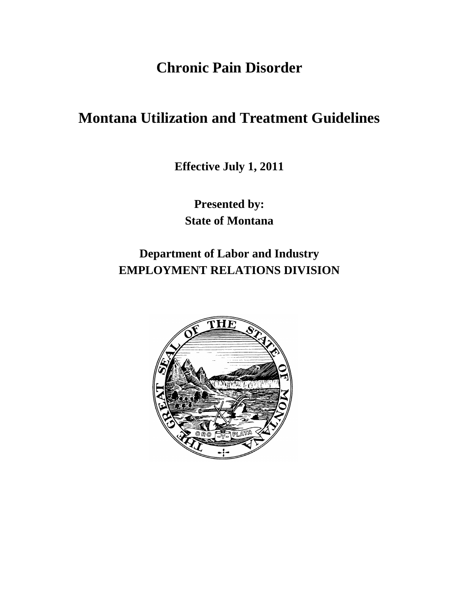**Chronic Pain Disorder**

# **Montana Utilization and Treatment Guidelines**

**Effective July 1, 2011**

**Presented by: State of Montana**

**Department of Labor and Industry EMPLOYMENT RELATIONS DIVISION**

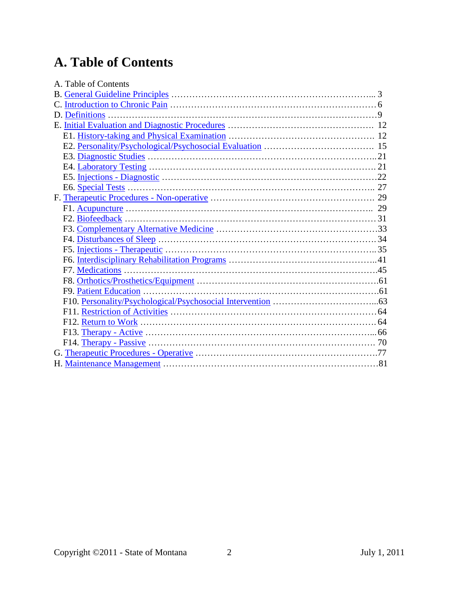# **A. Table of Contents**

| A. Table of Contents |  |
|----------------------|--|
|                      |  |
|                      |  |
|                      |  |
|                      |  |
|                      |  |
|                      |  |
|                      |  |
|                      |  |
|                      |  |
|                      |  |
|                      |  |
|                      |  |
|                      |  |
|                      |  |
|                      |  |
|                      |  |
|                      |  |
|                      |  |
|                      |  |
|                      |  |
|                      |  |
|                      |  |
|                      |  |
|                      |  |
|                      |  |
|                      |  |
|                      |  |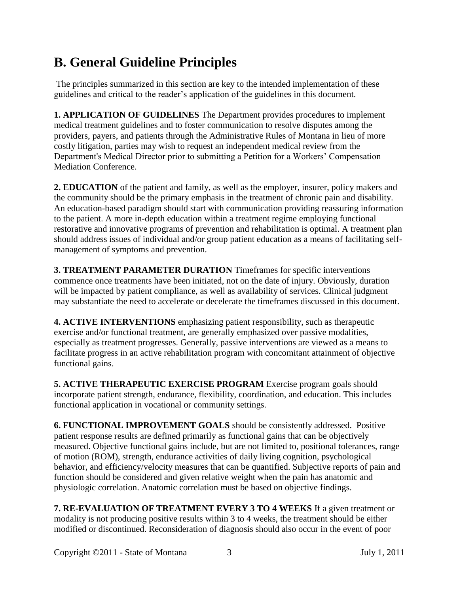# <span id="page-2-0"></span>**B. General Guideline Principles**

The principles summarized in this section are key to the intended implementation of these guidelines and critical to the reader's application of the guidelines in this document.

**1. APPLICATION OF GUIDELINES** The Department provides procedures to implement medical treatment guidelines and to foster communication to resolve disputes among the providers, payers, and patients through the Administrative Rules of Montana in lieu of more costly litigation, parties may wish to request an independent medical review from the Department's Medical Director prior to submitting a Petition for a Workers' Compensation Mediation Conference.

**2. EDUCATION** of the patient and family, as well as the employer, insurer, policy makers and the community should be the primary emphasis in the treatment of chronic pain and disability. An education-based paradigm should start with communication providing reassuring information to the patient. A more in-depth education within a treatment regime employing functional restorative and innovative programs of prevention and rehabilitation is optimal. A treatment plan should address issues of individual and/or group patient education as a means of facilitating selfmanagement of symptoms and prevention.

**3. TREATMENT PARAMETER DURATION** Timeframes for specific interventions commence once treatments have been initiated, not on the date of injury. Obviously, duration will be impacted by patient compliance, as well as availability of services. Clinical judgment may substantiate the need to accelerate or decelerate the timeframes discussed in this document.

**4. ACTIVE INTERVENTIONS** emphasizing patient responsibility, such as therapeutic exercise and/or functional treatment, are generally emphasized over passive modalities, especially as treatment progresses. Generally, passive interventions are viewed as a means to facilitate progress in an active rehabilitation program with concomitant attainment of objective functional gains.

**5. ACTIVE THERAPEUTIC EXERCISE PROGRAM** Exercise program goals should incorporate patient strength, endurance, flexibility, coordination, and education. This includes functional application in vocational or community settings.

**6. FUNCTIONAL IMPROVEMENT GOALS** should be consistently addressed. Positive patient response results are defined primarily as functional gains that can be objectively measured. Objective functional gains include, but are not limited to, positional tolerances, range of motion (ROM), strength, endurance activities of daily living cognition, psychological behavior, and efficiency/velocity measures that can be quantified. Subjective reports of pain and function should be considered and given relative weight when the pain has anatomic and physiologic correlation. Anatomic correlation must be based on objective findings.

**7. RE-EVALUATION OF TREATMENT EVERY 3 TO 4 WEEKS** If a given treatment or modality is not producing positive results within 3 to 4 weeks, the treatment should be either modified or discontinued. Reconsideration of diagnosis should also occur in the event of poor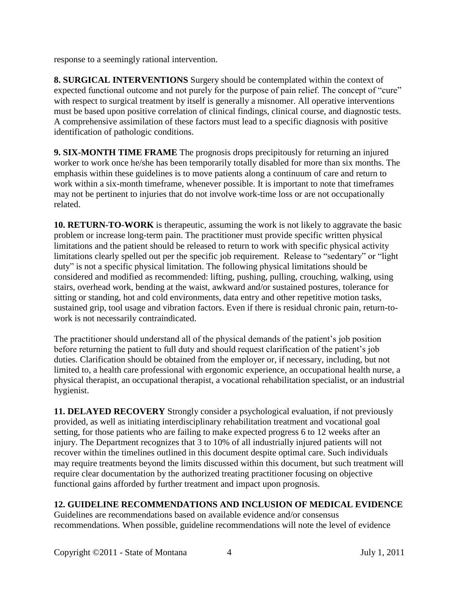response to a seemingly rational intervention.

**8. SURGICAL INTERVENTIONS** Surgery should be contemplated within the context of expected functional outcome and not purely for the purpose of pain relief. The concept of "cure" with respect to surgical treatment by itself is generally a misnomer. All operative interventions must be based upon positive correlation of clinical findings, clinical course, and diagnostic tests. A comprehensive assimilation of these factors must lead to a specific diagnosis with positive identification of pathologic conditions.

**9. SIX-MONTH TIME FRAME** The prognosis drops precipitously for returning an injured worker to work once he/she has been temporarily totally disabled for more than six months. The emphasis within these guidelines is to move patients along a continuum of care and return to work within a six-month timeframe, whenever possible. It is important to note that timeframes may not be pertinent to injuries that do not involve work-time loss or are not occupationally related.

**10. RETURN-TO-WORK** is therapeutic, assuming the work is not likely to aggravate the basic problem or increase long-term pain. The practitioner must provide specific written physical limitations and the patient should be released to return to work with specific physical activity limitations clearly spelled out per the specific job requirement. Release to "sedentary" or "light duty" is not a specific physical limitation. The following physical limitations should be considered and modified as recommended: lifting, pushing, pulling, crouching, walking, using stairs, overhead work, bending at the waist, awkward and/or sustained postures, tolerance for sitting or standing, hot and cold environments, data entry and other repetitive motion tasks, sustained grip, tool usage and vibration factors. Even if there is residual chronic pain, return-towork is not necessarily contraindicated.

The practitioner should understand all of the physical demands of the patient's job position before returning the patient to full duty and should request clarification of the patient's job duties. Clarification should be obtained from the employer or, if necessary, including, but not limited to, a health care professional with ergonomic experience, an occupational health nurse, a physical therapist, an occupational therapist, a vocational rehabilitation specialist, or an industrial hygienist.

**11. DELAYED RECOVERY** Strongly consider a psychological evaluation, if not previously provided, as well as initiating interdisciplinary rehabilitation treatment and vocational goal setting, for those patients who are failing to make expected progress 6 to 12 weeks after an injury. The Department recognizes that 3 to 10% of all industrially injured patients will not recover within the timelines outlined in this document despite optimal care. Such individuals may require treatments beyond the limits discussed within this document, but such treatment will require clear documentation by the authorized treating practitioner focusing on objective functional gains afforded by further treatment and impact upon prognosis.

## **12. GUIDELINE RECOMMENDATIONS AND INCLUSION OF MEDICAL EVIDENCE**

Guidelines are recommendations based on available evidence and/or consensus recommendations. When possible, guideline recommendations will note the level of evidence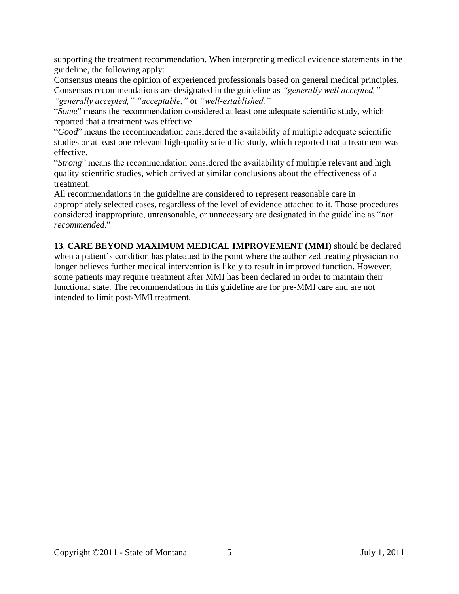supporting the treatment recommendation. When interpreting medical evidence statements in the guideline, the following apply:

Consensus means the opinion of experienced professionals based on general medical principles. Consensus recommendations are designated in the guideline as *"generally well accepted," "generally accepted," "acceptable,"* or *"well-established."* 

"*Some*" means the recommendation considered at least one adequate scientific study, which reported that a treatment was effective.

"*Good*" means the recommendation considered the availability of multiple adequate scientific studies or at least one relevant high-quality scientific study, which reported that a treatment was effective.

"*Strong*" means the recommendation considered the availability of multiple relevant and high quality scientific studies, which arrived at similar conclusions about the effectiveness of a treatment.

All recommendations in the guideline are considered to represent reasonable care in appropriately selected cases, regardless of the level of evidence attached to it. Those procedures considered inappropriate, unreasonable, or unnecessary are designated in the guideline as "*not recommended*."

**13**. **CARE BEYOND MAXIMUM MEDICAL IMPROVEMENT (MMI)** should be declared when a patient's condition has plateaued to the point where the authorized treating physician no longer believes further medical intervention is likely to result in improved function. However, some patients may require treatment after MMI has been declared in order to maintain their functional state. The recommendations in this guideline are for pre-MMI care and are not intended to limit post-MMI treatment.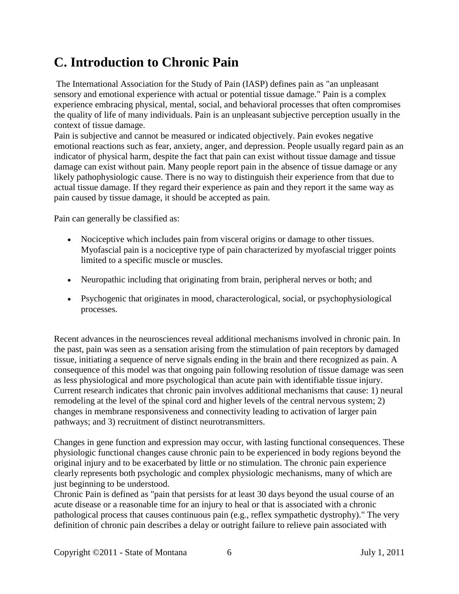# <span id="page-5-0"></span>**C. Introduction to Chronic Pain**

The International Association for the Study of Pain (IASP) defines pain as "an unpleasant sensory and emotional experience with actual or potential tissue damage." Pain is a complex experience embracing physical, mental, social, and behavioral processes that often compromises the quality of life of many individuals. Pain is an unpleasant subjective perception usually in the context of tissue damage.

Pain is subjective and cannot be measured or indicated objectively. Pain evokes negative emotional reactions such as fear, anxiety, anger, and depression. People usually regard pain as an indicator of physical harm, despite the fact that pain can exist without tissue damage and tissue damage can exist without pain. Many people report pain in the absence of tissue damage or any likely pathophysiologic cause. There is no way to distinguish their experience from that due to actual tissue damage. If they regard their experience as pain and they report it the same way as pain caused by tissue damage, it should be accepted as pain.

Pain can generally be classified as:

- Nociceptive which includes pain from visceral origins or damage to other tissues. Myofascial pain is a nociceptive type of pain characterized by myofascial trigger points limited to a specific muscle or muscles.
- Neuropathic including that originating from brain, peripheral nerves or both; and
- Psychogenic that originates in mood, characterological, social, or psychophysiological processes.

Recent advances in the neurosciences reveal additional mechanisms involved in chronic pain. In the past, pain was seen as a sensation arising from the stimulation of pain receptors by damaged tissue, initiating a sequence of nerve signals ending in the brain and there recognized as pain. A consequence of this model was that ongoing pain following resolution of tissue damage was seen as less physiological and more psychological than acute pain with identifiable tissue injury. Current research indicates that chronic pain involves additional mechanisms that cause: 1) neural remodeling at the level of the spinal cord and higher levels of the central nervous system; 2) changes in membrane responsiveness and connectivity leading to activation of larger pain pathways; and 3) recruitment of distinct neurotransmitters.

Changes in gene function and expression may occur, with lasting functional consequences. These physiologic functional changes cause chronic pain to be experienced in body regions beyond the original injury and to be exacerbated by little or no stimulation. The chronic pain experience clearly represents both psychologic and complex physiologic mechanisms, many of which are just beginning to be understood.

Chronic Pain is defined as "pain that persists for at least 30 days beyond the usual course of an acute disease or a reasonable time for an injury to heal or that is associated with a chronic pathological process that causes continuous pain (e.g., reflex sympathetic dystrophy)." The very definition of chronic pain describes a delay or outright failure to relieve pain associated with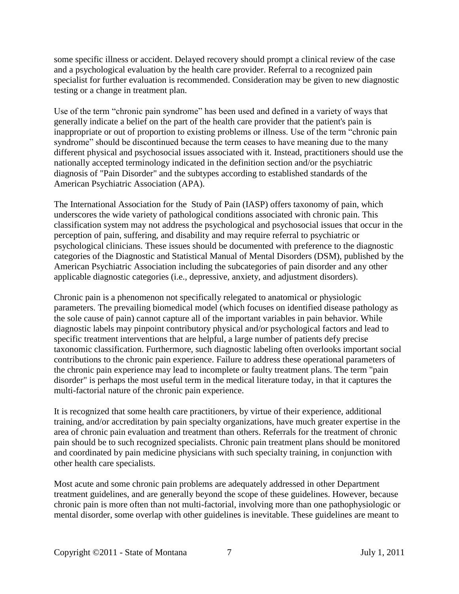some specific illness or accident. Delayed recovery should prompt a clinical review of the case and a psychological evaluation by the health care provider. Referral to a recognized pain specialist for further evaluation is recommended. Consideration may be given to new diagnostic testing or a change in treatment plan.

Use of the term "chronic pain syndrome" has been used and defined in a variety of ways that generally indicate a belief on the part of the health care provider that the patient's pain is inappropriate or out of proportion to existing problems or illness. Use of the term "chronic pain syndrome" should be discontinued because the term ceases to have meaning due to the many different physical and psychosocial issues associated with it. Instead, practitioners should use the nationally accepted terminology indicated in the definition section and/or the psychiatric diagnosis of "Pain Disorder" and the subtypes according to established standards of the American Psychiatric Association (APA).

The International Association for the Study of Pain (IASP) offers taxonomy of pain, which underscores the wide variety of pathological conditions associated with chronic pain. This classification system may not address the psychological and psychosocial issues that occur in the perception of pain, suffering, and disability and may require referral to psychiatric or psychological clinicians. These issues should be documented with preference to the diagnostic categories of the Diagnostic and Statistical Manual of Mental Disorders (DSM), published by the American Psychiatric Association including the subcategories of pain disorder and any other applicable diagnostic categories (i.e., depressive, anxiety, and adjustment disorders).

Chronic pain is a phenomenon not specifically relegated to anatomical or physiologic parameters. The prevailing biomedical model (which focuses on identified disease pathology as the sole cause of pain) cannot capture all of the important variables in pain behavior. While diagnostic labels may pinpoint contributory physical and/or psychological factors and lead to specific treatment interventions that are helpful, a large number of patients defy precise taxonomic classification. Furthermore, such diagnostic labeling often overlooks important social contributions to the chronic pain experience. Failure to address these operational parameters of the chronic pain experience may lead to incomplete or faulty treatment plans. The term "pain disorder" is perhaps the most useful term in the medical literature today, in that it captures the multi-factorial nature of the chronic pain experience.

It is recognized that some health care practitioners, by virtue of their experience, additional training, and/or accreditation by pain specialty organizations, have much greater expertise in the area of chronic pain evaluation and treatment than others. Referrals for the treatment of chronic pain should be to such recognized specialists. Chronic pain treatment plans should be monitored and coordinated by pain medicine physicians with such specialty training, in conjunction with other health care specialists.

Most acute and some chronic pain problems are adequately addressed in other Department treatment guidelines, and are generally beyond the scope of these guidelines. However, because chronic pain is more often than not multi-factorial, involving more than one pathophysiologic or mental disorder, some overlap with other guidelines is inevitable. These guidelines are meant to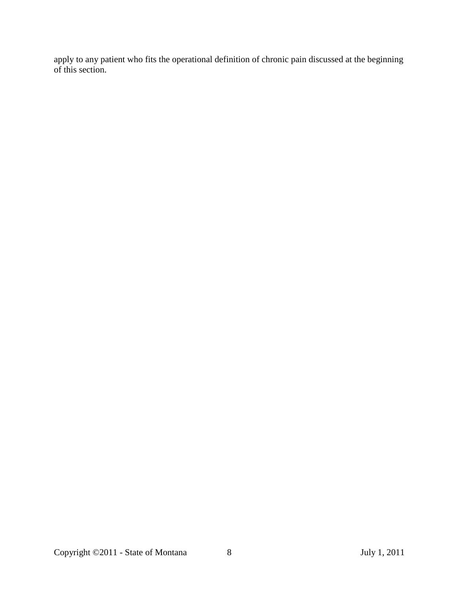apply to any patient who fits the operational definition of chronic pain discussed at the beginning of this section.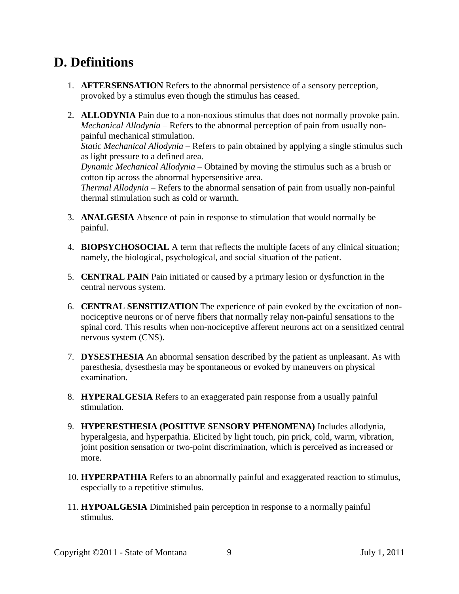# <span id="page-8-0"></span>**D. Definitions**

- 1. **AFTERSENSATION** Refers to the abnormal persistence of a sensory perception, provoked by a stimulus even though the stimulus has ceased.
- 2. **ALLODYNIA** Pain due to a non-noxious stimulus that does not normally provoke pain. *Mechanical Allodynia* – Refers to the abnormal perception of pain from usually nonpainful mechanical stimulation.

*Static Mechanical Allodynia* – Refers to pain obtained by applying a single stimulus such as light pressure to a defined area.

*Dynamic Mechanical Allodynia* – Obtained by moving the stimulus such as a brush or cotton tip across the abnormal hypersensitive area.

*Thermal Allodynia* – Refers to the abnormal sensation of pain from usually non-painful thermal stimulation such as cold or warmth.

- 3. **ANALGESIA** Absence of pain in response to stimulation that would normally be painful.
- 4. **BIOPSYCHOSOCIAL** A term that reflects the multiple facets of any clinical situation; namely, the biological, psychological, and social situation of the patient.
- 5. **CENTRAL PAIN** Pain initiated or caused by a primary lesion or dysfunction in the central nervous system.
- 6. **CENTRAL SENSITIZATION** The experience of pain evoked by the excitation of nonnociceptive neurons or of nerve fibers that normally relay non-painful sensations to the spinal cord. This results when non-nociceptive afferent neurons act on a sensitized central nervous system (CNS).
- 7. **DYSESTHESIA** An abnormal sensation described by the patient as unpleasant. As with paresthesia, dysesthesia may be spontaneous or evoked by maneuvers on physical examination.
- 8. **HYPERALGESIA** Refers to an exaggerated pain response from a usually painful stimulation.
- 9. **HYPERESTHESIA (POSITIVE SENSORY PHENOMENA)** Includes allodynia, hyperalgesia, and hyperpathia. Elicited by light touch, pin prick, cold, warm, vibration, joint position sensation or two-point discrimination, which is perceived as increased or more.
- 10. **HYPERPATHIA** Refers to an abnormally painful and exaggerated reaction to stimulus, especially to a repetitive stimulus.
- 11. **HYPOALGESIA** Diminished pain perception in response to a normally painful stimulus.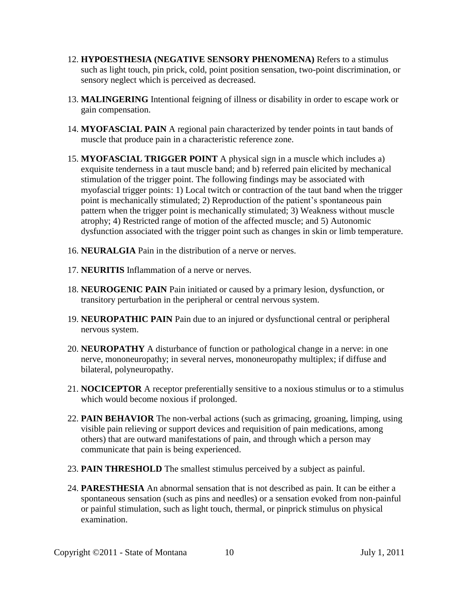- 12. **HYPOESTHESIA (NEGATIVE SENSORY PHENOMENA)** Refers to a stimulus such as light touch, pin prick, cold, point position sensation, two-point discrimination, or sensory neglect which is perceived as decreased.
- 13. **MALINGERING** Intentional feigning of illness or disability in order to escape work or gain compensation.
- 14. **MYOFASCIAL PAIN** A regional pain characterized by tender points in taut bands of muscle that produce pain in a characteristic reference zone.
- 15. **MYOFASCIAL TRIGGER POINT** A physical sign in a muscle which includes a) exquisite tenderness in a taut muscle band; and b) referred pain elicited by mechanical stimulation of the trigger point. The following findings may be associated with myofascial trigger points: 1) Local twitch or contraction of the taut band when the trigger point is mechanically stimulated; 2) Reproduction of the patient's spontaneous pain pattern when the trigger point is mechanically stimulated; 3) Weakness without muscle atrophy; 4) Restricted range of motion of the affected muscle; and 5) Autonomic dysfunction associated with the trigger point such as changes in skin or limb temperature.
- 16. **NEURALGIA** Pain in the distribution of a nerve or nerves.
- 17. **NEURITIS** Inflammation of a nerve or nerves.
- 18. **NEUROGENIC PAIN** Pain initiated or caused by a primary lesion, dysfunction, or transitory perturbation in the peripheral or central nervous system.
- 19. **NEUROPATHIC PAIN** Pain due to an injured or dysfunctional central or peripheral nervous system.
- 20. **NEUROPATHY** A disturbance of function or pathological change in a nerve: in one nerve, mononeuropathy; in several nerves, mononeuropathy multiplex; if diffuse and bilateral, polyneuropathy.
- 21. **NOCICEPTOR** A receptor preferentially sensitive to a noxious stimulus or to a stimulus which would become noxious if prolonged.
- 22. **PAIN BEHAVIOR** The non-verbal actions (such as grimacing, groaning, limping, using visible pain relieving or support devices and requisition of pain medications, among others) that are outward manifestations of pain, and through which a person may communicate that pain is being experienced.
- 23. **PAIN THRESHOLD** The smallest stimulus perceived by a subject as painful.
- 24. **PARESTHESIA** An abnormal sensation that is not described as pain. It can be either a spontaneous sensation (such as pins and needles) or a sensation evoked from non-painful or painful stimulation, such as light touch, thermal, or pinprick stimulus on physical examination.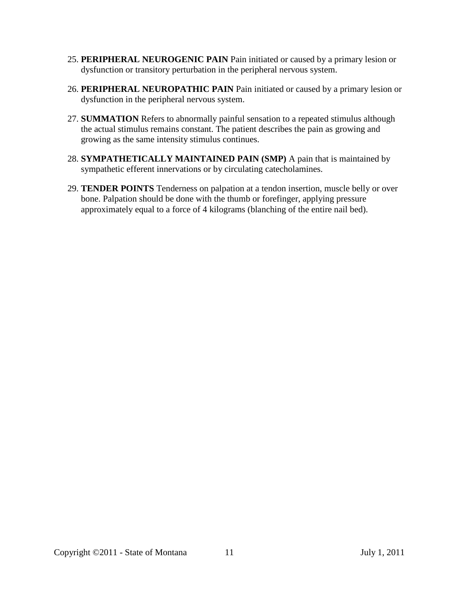- 25. **PERIPHERAL NEUROGENIC PAIN** Pain initiated or caused by a primary lesion or dysfunction or transitory perturbation in the peripheral nervous system.
- 26. **PERIPHERAL NEUROPATHIC PAIN** Pain initiated or caused by a primary lesion or dysfunction in the peripheral nervous system.
- 27. **SUMMATION** Refers to abnormally painful sensation to a repeated stimulus although the actual stimulus remains constant. The patient describes the pain as growing and growing as the same intensity stimulus continues.
- 28. **SYMPATHETICALLY MAINTAINED PAIN (SMP)** A pain that is maintained by sympathetic efferent innervations or by circulating catecholamines.
- 29. **TENDER POINTS** Tenderness on palpation at a tendon insertion, muscle belly or over bone. Palpation should be done with the thumb or forefinger, applying pressure approximately equal to a force of 4 kilograms (blanching of the entire nail bed).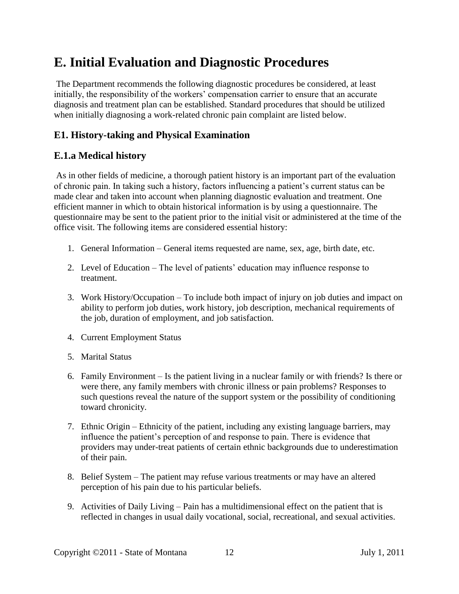# <span id="page-11-0"></span>**E. Initial Evaluation and Diagnostic Procedures**

The Department recommends the following diagnostic procedures be considered, at least initially, the responsibility of the workers' compensation carrier to ensure that an accurate diagnosis and treatment plan can be established. Standard procedures that should be utilized when initially diagnosing a work-related chronic pain complaint are listed below.

# <span id="page-11-1"></span>**E1. History-taking and Physical Examination**

## **E.1.a Medical history**

As in other fields of medicine, a thorough patient history is an important part of the evaluation of chronic pain. In taking such a history, factors influencing a patient's current status can be made clear and taken into account when planning diagnostic evaluation and treatment. One efficient manner in which to obtain historical information is by using a questionnaire. The questionnaire may be sent to the patient prior to the initial visit or administered at the time of the office visit. The following items are considered essential history:

- 1. General Information General items requested are name, sex, age, birth date, etc.
- 2. Level of Education The level of patients' education may influence response to treatment.
- 3. Work History/Occupation To include both impact of injury on job duties and impact on ability to perform job duties, work history, job description, mechanical requirements of the job, duration of employment, and job satisfaction.
- 4. Current Employment Status
- 5. Marital Status
- 6. Family Environment Is the patient living in a nuclear family or with friends? Is there or were there, any family members with chronic illness or pain problems? Responses to such questions reveal the nature of the support system or the possibility of conditioning toward chronicity.
- 7. Ethnic Origin Ethnicity of the patient, including any existing language barriers, may influence the patient's perception of and response to pain. There is evidence that providers may under-treat patients of certain ethnic backgrounds due to underestimation of their pain.
- 8. Belief System The patient may refuse various treatments or may have an altered perception of his pain due to his particular beliefs.
- 9. Activities of Daily Living Pain has a multidimensional effect on the patient that is reflected in changes in usual daily vocational, social, recreational, and sexual activities.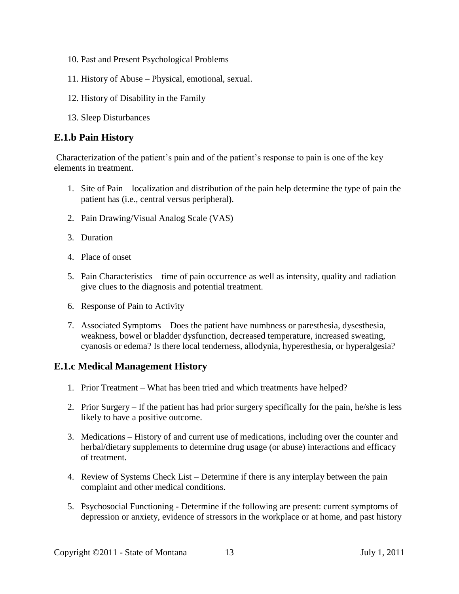- 10. Past and Present Psychological Problems
- 11. History of Abuse Physical, emotional, sexual.
- 12. History of Disability in the Family
- 13. Sleep Disturbances

## **E.1.b Pain History**

Characterization of the patient's pain and of the patient's response to pain is one of the key elements in treatment.

- 1. Site of Pain localization and distribution of the pain help determine the type of pain the patient has (i.e., central versus peripheral).
- 2. Pain Drawing/Visual Analog Scale (VAS)
- 3. Duration
- 4. Place of onset
- 5. Pain Characteristics time of pain occurrence as well as intensity, quality and radiation give clues to the diagnosis and potential treatment.
- 6. Response of Pain to Activity
- 7. Associated Symptoms Does the patient have numbness or paresthesia, dysesthesia, weakness, bowel or bladder dysfunction, decreased temperature, increased sweating, cyanosis or edema? Is there local tenderness, allodynia, hyperesthesia, or hyperalgesia?

## **E.1.c Medical Management History**

- 1. Prior Treatment What has been tried and which treatments have helped?
- 2. Prior Surgery If the patient has had prior surgery specifically for the pain, he/she is less likely to have a positive outcome.
- 3. Medications History of and current use of medications, including over the counter and herbal/dietary supplements to determine drug usage (or abuse) interactions and efficacy of treatment.
- 4. Review of Systems Check List Determine if there is any interplay between the pain complaint and other medical conditions.
- 5. Psychosocial Functioning Determine if the following are present: current symptoms of depression or anxiety, evidence of stressors in the workplace or at home, and past history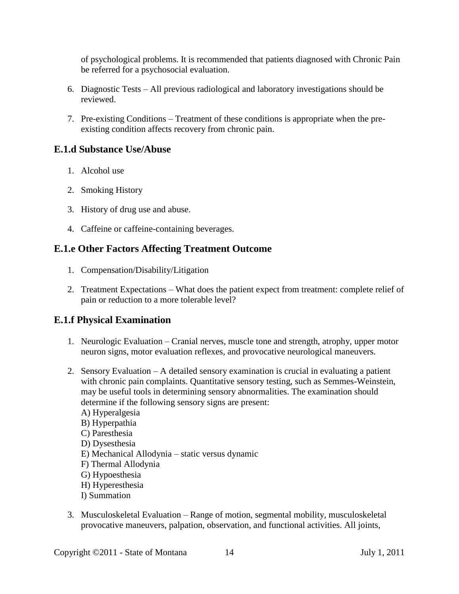of psychological problems. It is recommended that patients diagnosed with Chronic Pain be referred for a psychosocial evaluation.

- 6. Diagnostic Tests All previous radiological and laboratory investigations should be reviewed.
- 7. Pre-existing Conditions Treatment of these conditions is appropriate when the preexisting condition affects recovery from chronic pain.

#### **E.1.d Substance Use/Abuse**

- 1. Alcohol use
- 2. Smoking History
- 3. History of drug use and abuse.
- 4. Caffeine or caffeine-containing beverages.

### **E.1.e Other Factors Affecting Treatment Outcome**

- 1. Compensation/Disability/Litigation
- 2. Treatment Expectations What does the patient expect from treatment: complete relief of pain or reduction to a more tolerable level?

## **E.1.f Physical Examination**

- 1. Neurologic Evaluation Cranial nerves, muscle tone and strength, atrophy, upper motor neuron signs, motor evaluation reflexes, and provocative neurological maneuvers.
- 2. Sensory Evaluation A detailed sensory examination is crucial in evaluating a patient with chronic pain complaints. Quantitative sensory testing, such as Semmes-Weinstein, may be useful tools in determining sensory abnormalities. The examination should determine if the following sensory signs are present:
	- A) Hyperalgesia B) Hyperpathia C) Paresthesia D) Dysesthesia E) Mechanical Allodynia – static versus dynamic F) Thermal Allodynia G) Hypoesthesia H) Hyperesthesia
	- I) Summation
- 3. Musculoskeletal Evaluation Range of motion, segmental mobility, musculoskeletal provocative maneuvers, palpation, observation, and functional activities. All joints,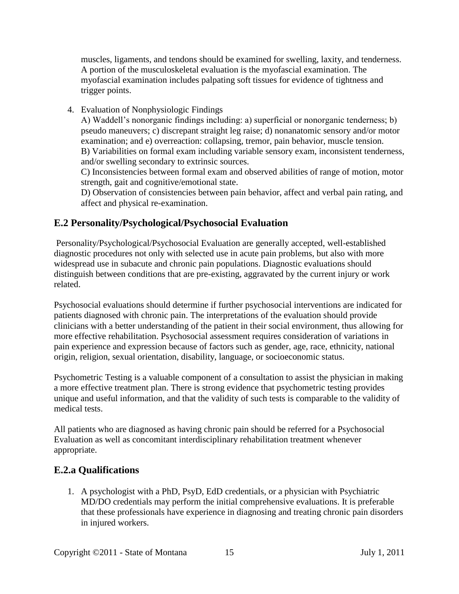muscles, ligaments, and tendons should be examined for swelling, laxity, and tenderness. A portion of the musculoskeletal evaluation is the myofascial examination. The myofascial examination includes palpating soft tissues for evidence of tightness and trigger points.

4. Evaluation of Nonphysiologic Findings

A) Waddell's nonorganic findings including: a) superficial or nonorganic tenderness; b) pseudo maneuvers; c) discrepant straight leg raise; d) nonanatomic sensory and/or motor examination; and e) overreaction: collapsing, tremor, pain behavior, muscle tension. B) Variabilities on formal exam including variable sensory exam, inconsistent tenderness, and/or swelling secondary to extrinsic sources.

C) Inconsistencies between formal exam and observed abilities of range of motion, motor strength, gait and cognitive/emotional state.

D) Observation of consistencies between pain behavior, affect and verbal pain rating, and affect and physical re-examination.

# <span id="page-14-0"></span>**E.2 Personality/Psychological/Psychosocial Evaluation**

Personality/Psychological/Psychosocial Evaluation are generally accepted, well-established diagnostic procedures not only with selected use in acute pain problems, but also with more widespread use in subacute and chronic pain populations. Diagnostic evaluations should distinguish between conditions that are pre-existing, aggravated by the current injury or work related.

Psychosocial evaluations should determine if further psychosocial interventions are indicated for patients diagnosed with chronic pain. The interpretations of the evaluation should provide clinicians with a better understanding of the patient in their social environment, thus allowing for more effective rehabilitation. Psychosocial assessment requires consideration of variations in pain experience and expression because of factors such as gender, age, race, ethnicity, national origin, religion, sexual orientation, disability, language, or socioeconomic status.

Psychometric Testing is a valuable component of a consultation to assist the physician in making a more effective treatment plan. There is strong evidence that psychometric testing provides unique and useful information, and that the validity of such tests is comparable to the validity of medical tests.

All patients who are diagnosed as having chronic pain should be referred for a Psychosocial Evaluation as well as concomitant interdisciplinary rehabilitation treatment whenever appropriate.

# **E.2.a Qualifications**

1. A psychologist with a PhD, PsyD, EdD credentials, or a physician with Psychiatric MD/DO credentials may perform the initial comprehensive evaluations. It is preferable that these professionals have experience in diagnosing and treating chronic pain disorders in injured workers.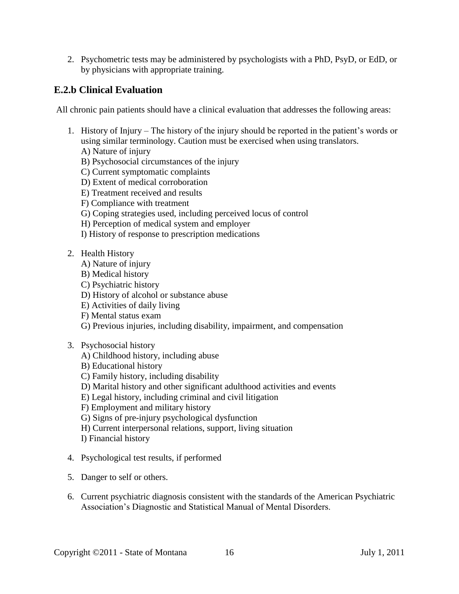2. Psychometric tests may be administered by psychologists with a PhD, PsyD, or EdD, or by physicians with appropriate training.

## **E.2.b Clinical Evaluation**

All chronic pain patients should have a clinical evaluation that addresses the following areas:

- 1. History of Injury The history of the injury should be reported in the patient's words or using similar terminology. Caution must be exercised when using translators.
	- A) Nature of injury
	- B) Psychosocial circumstances of the injury
	- C) Current symptomatic complaints
	- D) Extent of medical corroboration
	- E) Treatment received and results
	- F) Compliance with treatment
	- G) Coping strategies used, including perceived locus of control
	- H) Perception of medical system and employer
	- I) History of response to prescription medications
- 2. Health History
	- A) Nature of injury
	- B) Medical history
	- C) Psychiatric history
	- D) History of alcohol or substance abuse
	- E) Activities of daily living
	- F) Mental status exam
	- G) Previous injuries, including disability, impairment, and compensation
- 3. Psychosocial history
	- A) Childhood history, including abuse
	- B) Educational history
	- C) Family history, including disability
	- D) Marital history and other significant adulthood activities and events
	- E) Legal history, including criminal and civil litigation
	- F) Employment and military history
	- G) Signs of pre-injury psychological dysfunction
	- H) Current interpersonal relations, support, living situation
	- I) Financial history
- 4. Psychological test results, if performed
- 5. Danger to self or others.
- 6. Current psychiatric diagnosis consistent with the standards of the American Psychiatric Association's Diagnostic and Statistical Manual of Mental Disorders.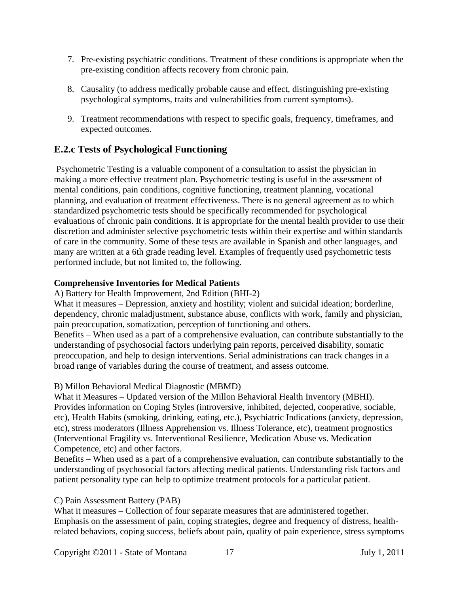- 7. Pre-existing psychiatric conditions. Treatment of these conditions is appropriate when the pre-existing condition affects recovery from chronic pain.
- 8. Causality (to address medically probable cause and effect, distinguishing pre-existing psychological symptoms, traits and vulnerabilities from current symptoms).
- 9. Treatment recommendations with respect to specific goals, frequency, timeframes, and expected outcomes.

## **E.2.c Tests of Psychological Functioning**

Psychometric Testing is a valuable component of a consultation to assist the physician in making a more effective treatment plan. Psychometric testing is useful in the assessment of mental conditions, pain conditions, cognitive functioning, treatment planning, vocational planning, and evaluation of treatment effectiveness. There is no general agreement as to which standardized psychometric tests should be specifically recommended for psychological evaluations of chronic pain conditions. It is appropriate for the mental health provider to use their discretion and administer selective psychometric tests within their expertise and within standards of care in the community. Some of these tests are available in Spanish and other languages, and many are written at a 6th grade reading level. Examples of frequently used psychometric tests performed include, but not limited to, the following.

#### **Comprehensive Inventories for Medical Patients**

#### A) Battery for Health Improvement, 2nd Edition (BHI-2)

What it measures – Depression, anxiety and hostility; violent and suicidal ideation; borderline, dependency, chronic maladjustment, substance abuse, conflicts with work, family and physician, pain preoccupation, somatization, perception of functioning and others.

Benefits – When used as a part of a comprehensive evaluation, can contribute substantially to the understanding of psychosocial factors underlying pain reports, perceived disability, somatic preoccupation, and help to design interventions. Serial administrations can track changes in a broad range of variables during the course of treatment, and assess outcome.

#### B) Millon Behavioral Medical Diagnostic (MBMD)

What it Measures – Updated version of the Millon Behavioral Health Inventory (MBHI). Provides information on Coping Styles (introversive, inhibited, dejected, cooperative, sociable, etc), Health Habits (smoking, drinking, eating, etc.), Psychiatric Indications (anxiety, depression, etc), stress moderators (Illness Apprehension vs. Illness Tolerance, etc), treatment prognostics (Interventional Fragility vs. Interventional Resilience, Medication Abuse vs. Medication Competence, etc) and other factors.

Benefits – When used as a part of a comprehensive evaluation, can contribute substantially to the understanding of psychosocial factors affecting medical patients. Understanding risk factors and patient personality type can help to optimize treatment protocols for a particular patient.

#### C) Pain Assessment Battery (PAB)

What it measures – Collection of four separate measures that are administered together. Emphasis on the assessment of pain, coping strategies, degree and frequency of distress, healthrelated behaviors, coping success, beliefs about pain, quality of pain experience, stress symptoms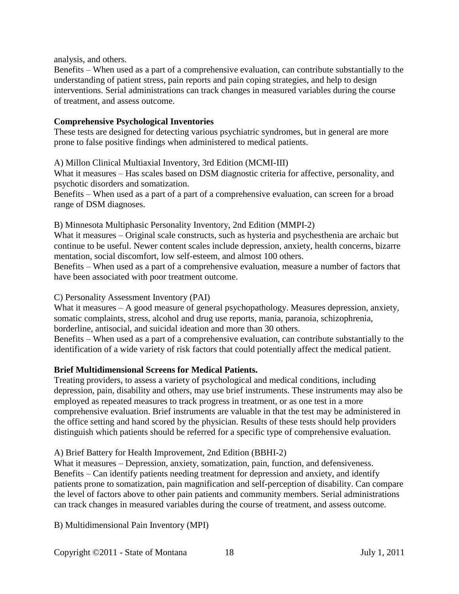analysis, and others.

Benefits – When used as a part of a comprehensive evaluation, can contribute substantially to the understanding of patient stress, pain reports and pain coping strategies, and help to design interventions. Serial administrations can track changes in measured variables during the course of treatment, and assess outcome.

#### **Comprehensive Psychological Inventories**

These tests are designed for detecting various psychiatric syndromes, but in general are more prone to false positive findings when administered to medical patients.

A) Millon Clinical Multiaxial Inventory, 3rd Edition (MCMI-III)

What it measures – Has scales based on DSM diagnostic criteria for affective, personality, and psychotic disorders and somatization.

Benefits – When used as a part of a part of a comprehensive evaluation, can screen for a broad range of DSM diagnoses.

B) Minnesota Multiphasic Personality Inventory, 2nd Edition (MMPI-2)

What it measures – Original scale constructs, such as hysteria and psychesthenia are archaic but continue to be useful. Newer content scales include depression, anxiety, health concerns, bizarre mentation, social discomfort, low self-esteem, and almost 100 others.

Benefits – When used as a part of a comprehensive evaluation, measure a number of factors that have been associated with poor treatment outcome.

#### C) Personality Assessment Inventory (PAI)

What it measures – A good measure of general psychopathology. Measures depression, anxiety, somatic complaints, stress, alcohol and drug use reports, mania, paranoia, schizophrenia, borderline, antisocial, and suicidal ideation and more than 30 others.

Benefits – When used as a part of a comprehensive evaluation, can contribute substantially to the identification of a wide variety of risk factors that could potentially affect the medical patient.

#### **Brief Multidimensional Screens for Medical Patients.**

Treating providers, to assess a variety of psychological and medical conditions, including depression, pain, disability and others, may use brief instruments. These instruments may also be employed as repeated measures to track progress in treatment, or as one test in a more comprehensive evaluation. Brief instruments are valuable in that the test may be administered in the office setting and hand scored by the physician. Results of these tests should help providers distinguish which patients should be referred for a specific type of comprehensive evaluation.

#### A) Brief Battery for Health Improvement, 2nd Edition (BBHI-2)

What it measures – Depression, anxiety, somatization, pain, function, and defensiveness. Benefits – Can identify patients needing treatment for depression and anxiety, and identify patients prone to somatization, pain magnification and self-perception of disability. Can compare the level of factors above to other pain patients and community members. Serial administrations can track changes in measured variables during the course of treatment, and assess outcome.

B) Multidimensional Pain Inventory (MPI)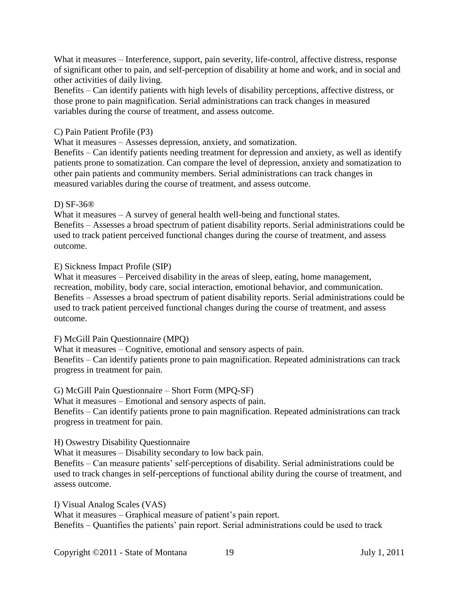What it measures – Interference, support, pain severity, life-control, affective distress, response of significant other to pain, and self-perception of disability at home and work, and in social and other activities of daily living.

Benefits – Can identify patients with high levels of disability perceptions, affective distress, or those prone to pain magnification. Serial administrations can track changes in measured variables during the course of treatment, and assess outcome.

#### C) Pain Patient Profile (P3)

What it measures – Assesses depression, anxiety, and somatization.

Benefits – Can identify patients needing treatment for depression and anxiety, as well as identify patients prone to somatization. Can compare the level of depression, anxiety and somatization to other pain patients and community members. Serial administrations can track changes in measured variables during the course of treatment, and assess outcome.

#### D) SF-36®

What it measures – A survey of general health well-being and functional states. Benefits – Assesses a broad spectrum of patient disability reports. Serial administrations could be used to track patient perceived functional changes during the course of treatment, and assess outcome.

E) Sickness Impact Profile (SIP)

What it measures – Perceived disability in the areas of sleep, eating, home management, recreation, mobility, body care, social interaction, emotional behavior, and communication. Benefits – Assesses a broad spectrum of patient disability reports. Serial administrations could be used to track patient perceived functional changes during the course of treatment, and assess outcome.

F) McGill Pain Questionnaire (MPQ)

What it measures – Cognitive, emotional and sensory aspects of pain. Benefits – Can identify patients prone to pain magnification. Repeated administrations can track progress in treatment for pain.

G) McGill Pain Questionnaire – Short Form (MPQ-SF)

What it measures – Emotional and sensory aspects of pain.

Benefits – Can identify patients prone to pain magnification. Repeated administrations can track progress in treatment for pain.

H) Oswestry Disability Questionnaire

What it measures – Disability secondary to low back pain.

Benefits – Can measure patients' self-perceptions of disability. Serial administrations could be used to track changes in self-perceptions of functional ability during the course of treatment, and assess outcome.

I) Visual Analog Scales (VAS)

What it measures – Graphical measure of patient's pain report. Benefits – Quantifies the patients' pain report. Serial administrations could be used to track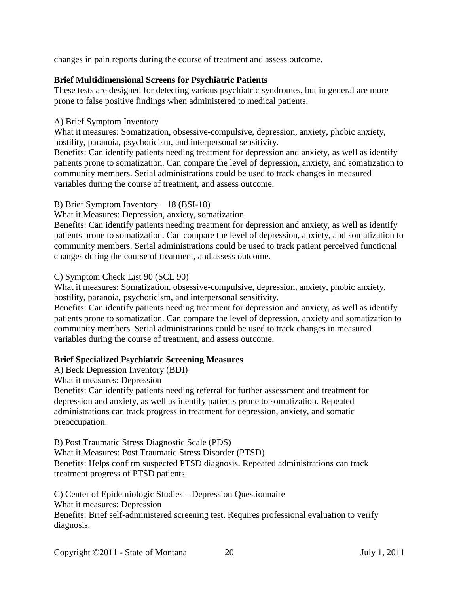changes in pain reports during the course of treatment and assess outcome.

#### **Brief Multidimensional Screens for Psychiatric Patients**

These tests are designed for detecting various psychiatric syndromes, but in general are more prone to false positive findings when administered to medical patients.

#### A) Brief Symptom Inventory

What it measures: Somatization, obsessive-compulsive, depression, anxiety, phobic anxiety, hostility, paranoia, psychoticism, and interpersonal sensitivity.

Benefits: Can identify patients needing treatment for depression and anxiety, as well as identify patients prone to somatization. Can compare the level of depression, anxiety, and somatization to community members. Serial administrations could be used to track changes in measured variables during the course of treatment, and assess outcome.

#### B) Brief Symptom Inventory – 18 (BSI-18)

What it Measures: Depression, anxiety, somatization.

Benefits: Can identify patients needing treatment for depression and anxiety, as well as identify patients prone to somatization. Can compare the level of depression, anxiety, and somatization to community members. Serial administrations could be used to track patient perceived functional changes during the course of treatment, and assess outcome.

#### C) Symptom Check List 90 (SCL 90)

What it measures: Somatization, obsessive-compulsive, depression, anxiety, phobic anxiety, hostility, paranoia, psychoticism, and interpersonal sensitivity.

Benefits: Can identify patients needing treatment for depression and anxiety, as well as identify patients prone to somatization. Can compare the level of depression, anxiety and somatization to community members. Serial administrations could be used to track changes in measured variables during the course of treatment, and assess outcome.

#### **Brief Specialized Psychiatric Screening Measures**

A) Beck Depression Inventory (BDI)

What it measures: Depression

Benefits: Can identify patients needing referral for further assessment and treatment for depression and anxiety, as well as identify patients prone to somatization. Repeated administrations can track progress in treatment for depression, anxiety, and somatic preoccupation.

B) Post Traumatic Stress Diagnostic Scale (PDS)

What it Measures: Post Traumatic Stress Disorder (PTSD) Benefits: Helps confirm suspected PTSD diagnosis. Repeated administrations can track treatment progress of PTSD patients.

C) Center of Epidemiologic Studies – Depression Questionnaire

What it measures: Depression

Benefits: Brief self-administered screening test. Requires professional evaluation to verify diagnosis.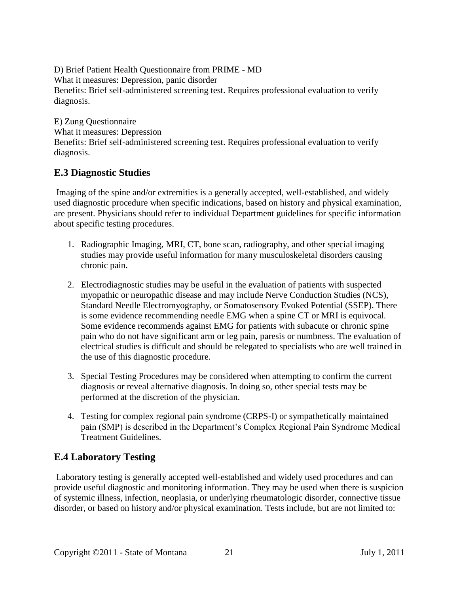D) Brief Patient Health Questionnaire from PRIME - MD What it measures: Depression, panic disorder Benefits: Brief self-administered screening test. Requires professional evaluation to verify diagnosis.

E) Zung Questionnaire What it measures: Depression Benefits: Brief self-administered screening test. Requires professional evaluation to verify diagnosis.

## <span id="page-20-0"></span>**E.3 Diagnostic Studies**

Imaging of the spine and/or extremities is a generally accepted, well-established, and widely used diagnostic procedure when specific indications, based on history and physical examination, are present. Physicians should refer to individual Department guidelines for specific information about specific testing procedures.

- 1. Radiographic Imaging, MRI, CT, bone scan, radiography, and other special imaging studies may provide useful information for many musculoskeletal disorders causing chronic pain.
- 2. Electrodiagnostic studies may be useful in the evaluation of patients with suspected myopathic or neuropathic disease and may include Nerve Conduction Studies (NCS), Standard Needle Electromyography, or Somatosensory Evoked Potential (SSEP). There is some evidence recommending needle EMG when a spine CT or MRI is equivocal. Some evidence recommends against EMG for patients with subacute or chronic spine pain who do not have significant arm or leg pain, paresis or numbness. The evaluation of electrical studies is difficult and should be relegated to specialists who are well trained in the use of this diagnostic procedure.
- 3. Special Testing Procedures may be considered when attempting to confirm the current diagnosis or reveal alternative diagnosis. In doing so, other special tests may be performed at the discretion of the physician.
- 4. Testing for complex regional pain syndrome (CRPS-I) or sympathetically maintained pain (SMP) is described in the Department's Complex Regional Pain Syndrome Medical Treatment Guidelines.

# <span id="page-20-1"></span>**E.4 Laboratory Testing**

Laboratory testing is generally accepted well-established and widely used procedures and can provide useful diagnostic and monitoring information. They may be used when there is suspicion of systemic illness, infection, neoplasia, or underlying rheumatologic disorder, connective tissue disorder, or based on history and/or physical examination. Tests include, but are not limited to: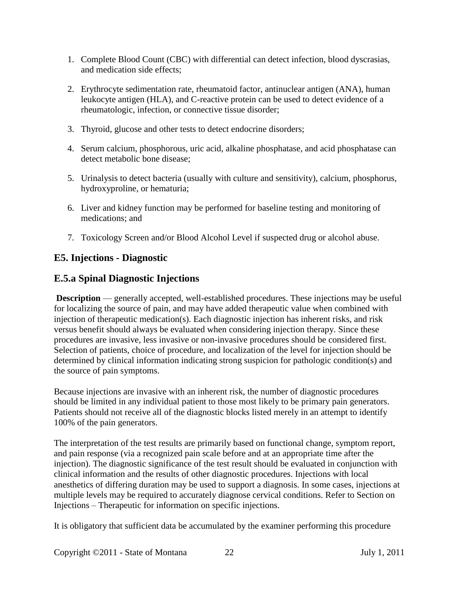- 1. Complete Blood Count (CBC) with differential can detect infection, blood dyscrasias, and medication side effects;
- 2. Erythrocyte sedimentation rate, rheumatoid factor, antinuclear antigen (ANA), human leukocyte antigen (HLA), and C-reactive protein can be used to detect evidence of a rheumatologic, infection, or connective tissue disorder;
- 3. Thyroid, glucose and other tests to detect endocrine disorders;
- 4. Serum calcium, phosphorous, uric acid, alkaline phosphatase, and acid phosphatase can detect metabolic bone disease;
- 5. Urinalysis to detect bacteria (usually with culture and sensitivity), calcium, phosphorus, hydroxyproline, or hematuria;
- 6. Liver and kidney function may be performed for baseline testing and monitoring of medications; and
- 7. Toxicology Screen and/or Blood Alcohol Level if suspected drug or alcohol abuse.

### <span id="page-21-0"></span>**E5. Injections - Diagnostic**

### **E.5.a Spinal Diagnostic Injections**

**Description** — generally accepted, well-established procedures. These injections may be useful for localizing the source of pain, and may have added therapeutic value when combined with injection of therapeutic medication(s). Each diagnostic injection has inherent risks, and risk versus benefit should always be evaluated when considering injection therapy. Since these procedures are invasive, less invasive or non-invasive procedures should be considered first. Selection of patients, choice of procedure, and localization of the level for injection should be determined by clinical information indicating strong suspicion for pathologic condition(s) and the source of pain symptoms.

Because injections are invasive with an inherent risk, the number of diagnostic procedures should be limited in any individual patient to those most likely to be primary pain generators. Patients should not receive all of the diagnostic blocks listed merely in an attempt to identify 100% of the pain generators.

The interpretation of the test results are primarily based on functional change, symptom report, and pain response (via a recognized pain scale before and at an appropriate time after the injection). The diagnostic significance of the test result should be evaluated in conjunction with clinical information and the results of other diagnostic procedures. Injections with local anesthetics of differing duration may be used to support a diagnosis. In some cases, injections at multiple levels may be required to accurately diagnose cervical conditions. Refer to Section on Injections – Therapeutic for information on specific injections.

It is obligatory that sufficient data be accumulated by the examiner performing this procedure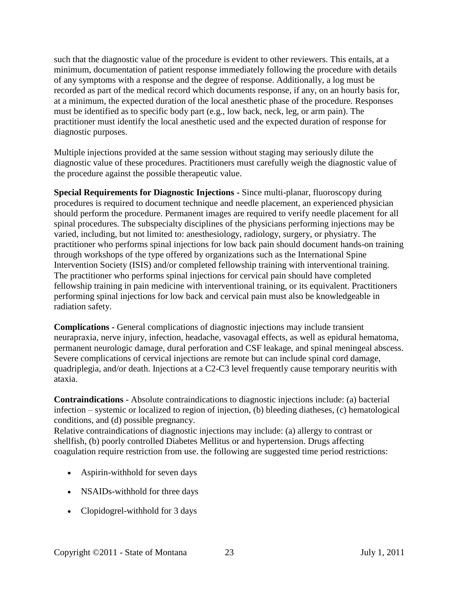such that the diagnostic value of the procedure is evident to other reviewers. This entails, at a minimum, documentation of patient response immediately following the procedure with details of any symptoms with a response and the degree of response. Additionally, a log must be recorded as part of the medical record which documents response, if any, on an hourly basis for, at a minimum, the expected duration of the local anesthetic phase of the procedure. Responses must be identified as to specific body part (e.g., low back, neck, leg, or arm pain). The practitioner must identify the local anesthetic used and the expected duration of response for diagnostic purposes.

Multiple injections provided at the same session without staging may seriously dilute the diagnostic value of these procedures. Practitioners must carefully weigh the diagnostic value of the procedure against the possible therapeutic value.

**Special Requirements for Diagnostic Injections -** Since multi-planar, fluoroscopy during procedures is required to document technique and needle placement, an experienced physician should perform the procedure. Permanent images are required to verify needle placement for all spinal procedures. The subspecialty disciplines of the physicians performing injections may be varied, including, but not limited to: anesthesiology, radiology, surgery, or physiatry. The practitioner who performs spinal injections for low back pain should document hands-on training through workshops of the type offered by organizations such as the International Spine Intervention Society (ISIS) and/or completed fellowship training with interventional training. The practitioner who performs spinal injections for cervical pain should have completed fellowship training in pain medicine with interventional training, or its equivalent. Practitioners performing spinal injections for low back and cervical pain must also be knowledgeable in radiation safety.

**Complications -** General complications of diagnostic injections may include transient neurapraxia, nerve injury, infection, headache, vasovagal effects, as well as epidural hematoma, permanent neurologic damage, dural perforation and CSF leakage, and spinal meningeal abscess. Severe complications of cervical injections are remote but can include spinal cord damage, quadriplegia, and/or death. Injections at a C2-C3 level frequently cause temporary neuritis with ataxia.

**Contraindications -** Absolute contraindications to diagnostic injections include: (a) bacterial infection – systemic or localized to region of injection, (b) bleeding diatheses, (c) hematological conditions, and (d) possible pregnancy.

Relative contraindications of diagnostic injections may include: (a) allergy to contrast or shellfish, (b) poorly controlled Diabetes Mellitus or and hypertension. Drugs affecting coagulation require restriction from use. the following are suggested time period restrictions:

- Aspirin-withhold for seven days
- NSAIDs-withhold for three days
- Clopidogrel-withhold for 3 days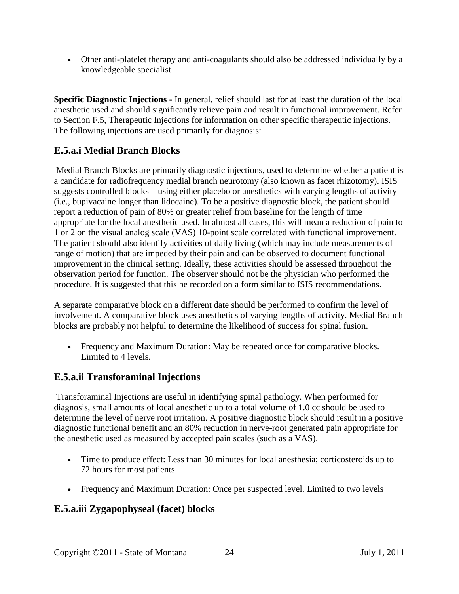• Other anti-platelet therapy and anti-coagulants should also be addressed individually by a knowledgeable specialist

**Specific Diagnostic Injections -** In general, relief should last for at least the duration of the local anesthetic used and should significantly relieve pain and result in functional improvement. Refer to Section F.5, Therapeutic Injections for information on other specific therapeutic injections. The following injections are used primarily for diagnosis:

## **E.5.a.i Medial Branch Blocks**

Medial Branch Blocks are primarily diagnostic injections, used to determine whether a patient is a candidate for radiofrequency medial branch neurotomy (also known as facet rhizotomy). ISIS suggests controlled blocks – using either placebo or anesthetics with varying lengths of activity (i.e., bupivacaine longer than lidocaine). To be a positive diagnostic block, the patient should report a reduction of pain of 80% or greater relief from baseline for the length of time appropriate for the local anesthetic used. In almost all cases, this will mean a reduction of pain to 1 or 2 on the visual analog scale (VAS) 10-point scale correlated with functional improvement. The patient should also identify activities of daily living (which may include measurements of range of motion) that are impeded by their pain and can be observed to document functional improvement in the clinical setting. Ideally, these activities should be assessed throughout the observation period for function. The observer should not be the physician who performed the procedure. It is suggested that this be recorded on a form similar to ISIS recommendations.

A separate comparative block on a different date should be performed to confirm the level of involvement. A comparative block uses anesthetics of varying lengths of activity. Medial Branch blocks are probably not helpful to determine the likelihood of success for spinal fusion.

• Frequency and Maximum Duration: May be repeated once for comparative blocks. Limited to 4 levels.

# **E.5.a.ii Transforaminal Injections**

Transforaminal Injections are useful in identifying spinal pathology. When performed for diagnosis, small amounts of local anesthetic up to a total volume of 1.0 cc should be used to determine the level of nerve root irritation. A positive diagnostic block should result in a positive diagnostic functional benefit and an 80% reduction in nerve-root generated pain appropriate for the anesthetic used as measured by accepted pain scales (such as a VAS).

- Time to produce effect: Less than 30 minutes for local anesthesia; corticosteroids up to 72 hours for most patients
- Frequency and Maximum Duration: Once per suspected level. Limited to two levels

# **E.5.a.iii Zygapophyseal (facet) blocks**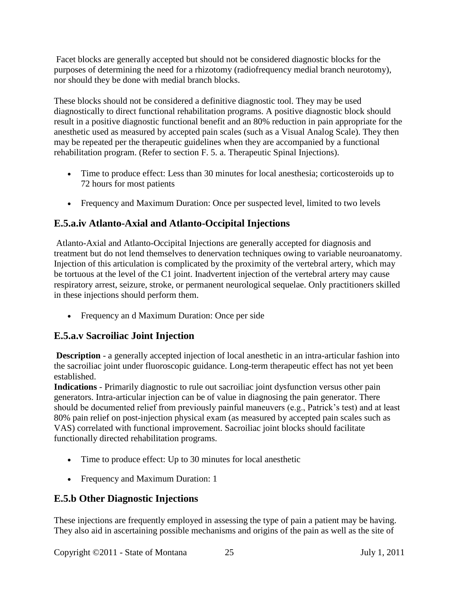Facet blocks are generally accepted but should not be considered diagnostic blocks for the purposes of determining the need for a rhizotomy (radiofrequency medial branch neurotomy), nor should they be done with medial branch blocks.

These blocks should not be considered a definitive diagnostic tool. They may be used diagnostically to direct functional rehabilitation programs. A positive diagnostic block should result in a positive diagnostic functional benefit and an 80% reduction in pain appropriate for the anesthetic used as measured by accepted pain scales (such as a Visual Analog Scale). They then may be repeated per the therapeutic guidelines when they are accompanied by a functional rehabilitation program. (Refer to section F. 5. a. Therapeutic Spinal Injections).

- Time to produce effect: Less than 30 minutes for local anesthesia; corticosteroids up to 72 hours for most patients
- Frequency and Maximum Duration: Once per suspected level, limited to two levels

# **E.5.a.iv Atlanto-Axial and Atlanto-Occipital Injections**

Atlanto-Axial and Atlanto-Occipital Injections are generally accepted for diagnosis and treatment but do not lend themselves to denervation techniques owing to variable neuroanatomy. Injection of this articulation is complicated by the proximity of the vertebral artery, which may be tortuous at the level of the C1 joint. Inadvertent injection of the vertebral artery may cause respiratory arrest, seizure, stroke, or permanent neurological sequelae. Only practitioners skilled in these injections should perform them.

• Frequency an d Maximum Duration: Once per side

# **E.5.a.v Sacroiliac Joint Injection**

**Description** - a generally accepted injection of local anesthetic in an intra-articular fashion into the sacroiliac joint under fluoroscopic guidance. Long-term therapeutic effect has not yet been established.

**Indications** - Primarily diagnostic to rule out sacroiliac joint dysfunction versus other pain generators. Intra-articular injection can be of value in diagnosing the pain generator. There should be documented relief from previously painful maneuvers (e.g., Patrick's test) and at least 80% pain relief on post-injection physical exam (as measured by accepted pain scales such as VAS) correlated with functional improvement. Sacroiliac joint blocks should facilitate functionally directed rehabilitation programs.

- Time to produce effect: Up to 30 minutes for local anesthetic
- Frequency and Maximum Duration: 1

# **E.5.b Other Diagnostic Injections**

These injections are frequently employed in assessing the type of pain a patient may be having. They also aid in ascertaining possible mechanisms and origins of the pain as well as the site of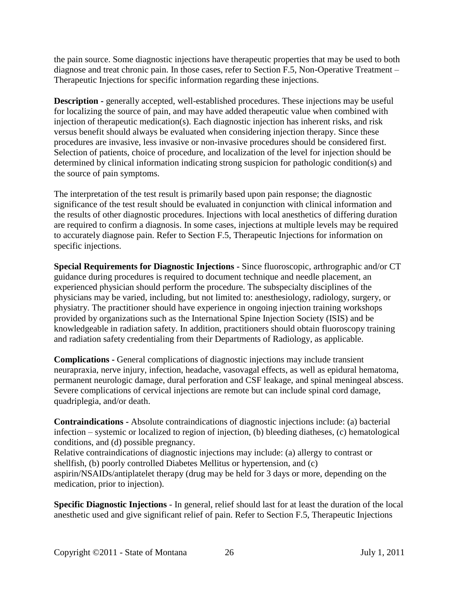the pain source. Some diagnostic injections have therapeutic properties that may be used to both diagnose and treat chronic pain. In those cases, refer to Section F.5, Non-Operative Treatment – Therapeutic Injections for specific information regarding these injections.

**Description -** generally accepted, well-established procedures. These injections may be useful for localizing the source of pain, and may have added therapeutic value when combined with injection of therapeutic medication(s). Each diagnostic injection has inherent risks, and risk versus benefit should always be evaluated when considering injection therapy. Since these procedures are invasive, less invasive or non-invasive procedures should be considered first. Selection of patients, choice of procedure, and localization of the level for injection should be determined by clinical information indicating strong suspicion for pathologic condition(s) and the source of pain symptoms.

The interpretation of the test result is primarily based upon pain response; the diagnostic significance of the test result should be evaluated in conjunction with clinical information and the results of other diagnostic procedures. Injections with local anesthetics of differing duration are required to confirm a diagnosis. In some cases, injections at multiple levels may be required to accurately diagnose pain. Refer to Section F.5, Therapeutic Injections for information on specific injections.

**Special Requirements for Diagnostic Injections -** Since fluoroscopic, arthrographic and/or CT guidance during procedures is required to document technique and needle placement, an experienced physician should perform the procedure. The subspecialty disciplines of the physicians may be varied, including, but not limited to: anesthesiology, radiology, surgery, or physiatry. The practitioner should have experience in ongoing injection training workshops provided by organizations such as the International Spine Injection Society (ISIS) and be knowledgeable in radiation safety. In addition, practitioners should obtain fluoroscopy training and radiation safety credentialing from their Departments of Radiology, as applicable.

**Complications -** General complications of diagnostic injections may include transient neurapraxia, nerve injury, infection, headache, vasovagal effects, as well as epidural hematoma, permanent neurologic damage, dural perforation and CSF leakage, and spinal meningeal abscess. Severe complications of cervical injections are remote but can include spinal cord damage, quadriplegia, and/or death.

**Contraindications -** Absolute contraindications of diagnostic injections include: (a) bacterial infection – systemic or localized to region of injection, (b) bleeding diatheses, (c) hematological conditions, and (d) possible pregnancy.

Relative contraindications of diagnostic injections may include: (a) allergy to contrast or shellfish, (b) poorly controlled Diabetes Mellitus or hypertension, and (c) aspirin/NSAIDs/antiplatelet therapy (drug may be held for 3 days or more, depending on the medication, prior to injection).

**Specific Diagnostic Injections** - In general, relief should last for at least the duration of the local anesthetic used and give significant relief of pain. Refer to Section F.5, Therapeutic Injections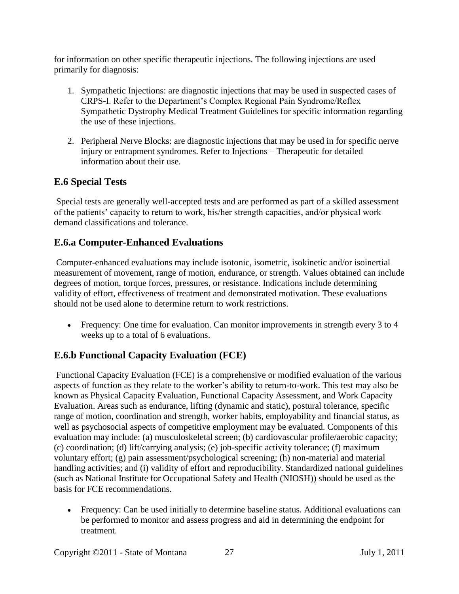for information on other specific therapeutic injections. The following injections are used primarily for diagnosis:

- 1. Sympathetic Injections: are diagnostic injections that may be used in suspected cases of CRPS-I. Refer to the Department's Complex Regional Pain Syndrome/Reflex Sympathetic Dystrophy Medical Treatment Guidelines for specific information regarding the use of these injections.
- 2. Peripheral Nerve Blocks: are diagnostic injections that may be used in for specific nerve injury or entrapment syndromes. Refer to Injections – Therapeutic for detailed information about their use.

## <span id="page-26-0"></span>**E.6 Special Tests**

Special tests are generally well-accepted tests and are performed as part of a skilled assessment of the patients' capacity to return to work, his/her strength capacities, and/or physical work demand classifications and tolerance.

## **E.6.a Computer-Enhanced Evaluations**

Computer-enhanced evaluations may include isotonic, isometric, isokinetic and/or isoinertial measurement of movement, range of motion, endurance, or strength. Values obtained can include degrees of motion, torque forces, pressures, or resistance. Indications include determining validity of effort, effectiveness of treatment and demonstrated motivation. These evaluations should not be used alone to determine return to work restrictions.

• Frequency: One time for evaluation. Can monitor improvements in strength every 3 to 4 weeks up to a total of 6 evaluations.

# **E.6.b Functional Capacity Evaluation (FCE)**

Functional Capacity Evaluation (FCE) is a comprehensive or modified evaluation of the various aspects of function as they relate to the worker's ability to return-to-work. This test may also be known as Physical Capacity Evaluation, Functional Capacity Assessment, and Work Capacity Evaluation. Areas such as endurance, lifting (dynamic and static), postural tolerance, specific range of motion, coordination and strength, worker habits, employability and financial status, as well as psychosocial aspects of competitive employment may be evaluated. Components of this evaluation may include: (a) musculoskeletal screen; (b) cardiovascular profile/aerobic capacity; (c) coordination; (d) lift/carrying analysis; (e) job-specific activity tolerance; (f) maximum voluntary effort; (g) pain assessment/psychological screening; (h) non-material and material handling activities; and (i) validity of effort and reproducibility. Standardized national guidelines (such as National Institute for Occupational Safety and Health (NIOSH)) should be used as the basis for FCE recommendations.

• Frequency: Can be used initially to determine baseline status. Additional evaluations can be performed to monitor and assess progress and aid in determining the endpoint for treatment.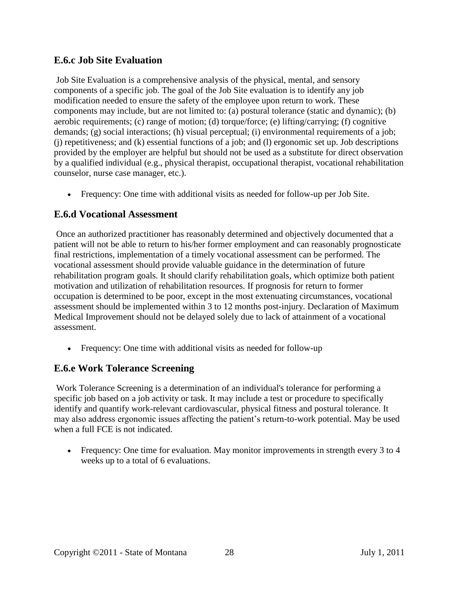## **E.6.c Job Site Evaluation**

Job Site Evaluation is a comprehensive analysis of the physical, mental, and sensory components of a specific job. The goal of the Job Site evaluation is to identify any job modification needed to ensure the safety of the employee upon return to work. These components may include, but are not limited to: (a) postural tolerance (static and dynamic); (b) aerobic requirements; (c) range of motion; (d) torque/force; (e) lifting/carrying; (f) cognitive demands; (g) social interactions; (h) visual perceptual; (i) environmental requirements of a job; (j) repetitiveness; and (k) essential functions of a job; and (l) ergonomic set up. Job descriptions provided by the employer are helpful but should not be used as a substitute for direct observation by a qualified individual (e.g., physical therapist, occupational therapist, vocational rehabilitation counselor, nurse case manager, etc.).

• Frequency: One time with additional visits as needed for follow-up per Job Site.

## **E.6.d Vocational Assessment**

Once an authorized practitioner has reasonably determined and objectively documented that a patient will not be able to return to his/her former employment and can reasonably prognosticate final restrictions, implementation of a timely vocational assessment can be performed. The vocational assessment should provide valuable guidance in the determination of future rehabilitation program goals. It should clarify rehabilitation goals, which optimize both patient motivation and utilization of rehabilitation resources. If prognosis for return to former occupation is determined to be poor, except in the most extenuating circumstances, vocational assessment should be implemented within 3 to 12 months post-injury. Declaration of Maximum Medical Improvement should not be delayed solely due to lack of attainment of a vocational assessment.

• Frequency: One time with additional visits as needed for follow-up

# **E.6.e Work Tolerance Screening**

Work Tolerance Screening is a determination of an individual's tolerance for performing a specific job based on a job activity or task. It may include a test or procedure to specifically identify and quantify work-relevant cardiovascular, physical fitness and postural tolerance. It may also address ergonomic issues affecting the patient's return-to-work potential. May be used when a full FCE is not indicated.

• Frequency: One time for evaluation. May monitor improvements in strength every 3 to 4 weeks up to a total of 6 evaluations.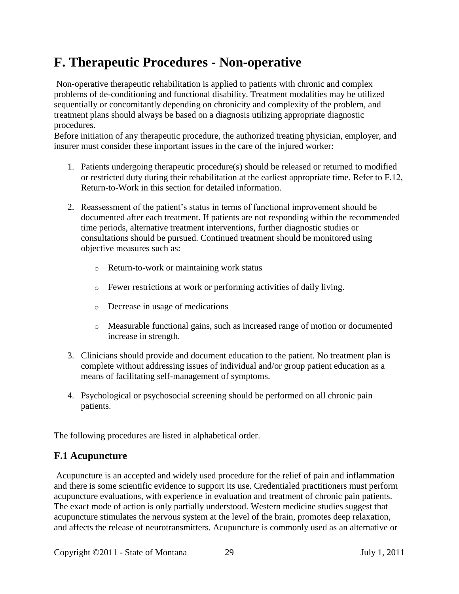# <span id="page-28-0"></span>**F. Therapeutic Procedures - Non-operative**

Non-operative therapeutic rehabilitation is applied to patients with chronic and complex problems of de-conditioning and functional disability. Treatment modalities may be utilized sequentially or concomitantly depending on chronicity and complexity of the problem, and treatment plans should always be based on a diagnosis utilizing appropriate diagnostic procedures.

Before initiation of any therapeutic procedure, the authorized treating physician, employer, and insurer must consider these important issues in the care of the injured worker:

- 1. Patients undergoing therapeutic procedure(s) should be released or returned to modified or restricted duty during their rehabilitation at the earliest appropriate time. Refer to F.12, Return-to-Work in this section for detailed information.
- 2. Reassessment of the patient's status in terms of functional improvement should be documented after each treatment. If patients are not responding within the recommended time periods, alternative treatment interventions, further diagnostic studies or consultations should be pursued. Continued treatment should be monitored using objective measures such as:
	- o Return-to-work or maintaining work status
	- o Fewer restrictions at work or performing activities of daily living.
	- o Decrease in usage of medications
	- o Measurable functional gains, such as increased range of motion or documented increase in strength.
- 3. Clinicians should provide and document education to the patient. No treatment plan is complete without addressing issues of individual and/or group patient education as a means of facilitating self-management of symptoms.
- 4. Psychological or psychosocial screening should be performed on all chronic pain patients.

The following procedures are listed in alphabetical order.

## <span id="page-28-1"></span>**F.1 Acupuncture**

Acupuncture is an accepted and widely used procedure for the relief of pain and inflammation and there is some scientific evidence to support its use. Credentialed practitioners must perform acupuncture evaluations, with experience in evaluation and treatment of chronic pain patients. The exact mode of action is only partially understood. Western medicine studies suggest that acupuncture stimulates the nervous system at the level of the brain, promotes deep relaxation, and affects the release of neurotransmitters. Acupuncture is commonly used as an alternative or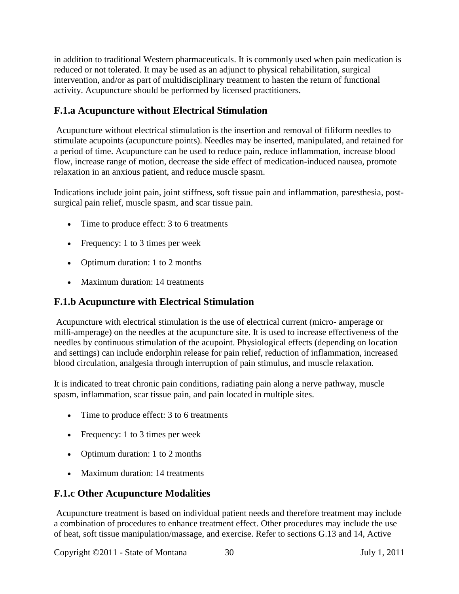in addition to traditional Western pharmaceuticals. It is commonly used when pain medication is reduced or not tolerated. It may be used as an adjunct to physical rehabilitation, surgical intervention, and/or as part of multidisciplinary treatment to hasten the return of functional activity. Acupuncture should be performed by licensed practitioners.

# **F.1.a Acupuncture without Electrical Stimulation**

Acupuncture without electrical stimulation is the insertion and removal of filiform needles to stimulate acupoints (acupuncture points). Needles may be inserted, manipulated, and retained for a period of time. Acupuncture can be used to reduce pain, reduce inflammation, increase blood flow, increase range of motion, decrease the side effect of medication-induced nausea, promote relaxation in an anxious patient, and reduce muscle spasm.

Indications include joint pain, joint stiffness, soft tissue pain and inflammation, paresthesia, postsurgical pain relief, muscle spasm, and scar tissue pain.

- Time to produce effect: 3 to 6 treatments
- Frequency: 1 to 3 times per week
- Optimum duration: 1 to 2 months
- Maximum duration: 14 treatments

# **F.1.b Acupuncture with Electrical Stimulation**

Acupuncture with electrical stimulation is the use of electrical current (micro- amperage or milli-amperage) on the needles at the acupuncture site. It is used to increase effectiveness of the needles by continuous stimulation of the acupoint. Physiological effects (depending on location and settings) can include endorphin release for pain relief, reduction of inflammation, increased blood circulation, analgesia through interruption of pain stimulus, and muscle relaxation.

It is indicated to treat chronic pain conditions, radiating pain along a nerve pathway, muscle spasm, inflammation, scar tissue pain, and pain located in multiple sites.

- Time to produce effect: 3 to 6 treatments
- Frequency: 1 to 3 times per week
- Optimum duration: 1 to 2 months
- Maximum duration: 14 treatments

# **F.1.c Other Acupuncture Modalities**

Acupuncture treatment is based on individual patient needs and therefore treatment may include a combination of procedures to enhance treatment effect. Other procedures may include the use of heat, soft tissue manipulation/massage, and exercise. Refer to sections G.13 and 14, Active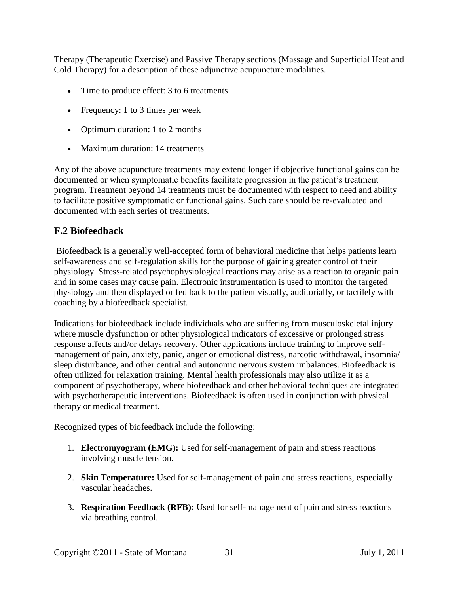Therapy (Therapeutic Exercise) and Passive Therapy sections (Massage and Superficial Heat and Cold Therapy) for a description of these adjunctive acupuncture modalities.

- Time to produce effect: 3 to 6 treatments
- Frequency: 1 to 3 times per week
- Optimum duration: 1 to 2 months
- Maximum duration: 14 treatments

Any of the above acupuncture treatments may extend longer if objective functional gains can be documented or when symptomatic benefits facilitate progression in the patient's treatment program. Treatment beyond 14 treatments must be documented with respect to need and ability to facilitate positive symptomatic or functional gains. Such care should be re-evaluated and documented with each series of treatments.

## <span id="page-30-0"></span>**F.2 Biofeedback**

Biofeedback is a generally well-accepted form of behavioral medicine that helps patients learn self-awareness and self-regulation skills for the purpose of gaining greater control of their physiology. Stress-related psychophysiological reactions may arise as a reaction to organic pain and in some cases may cause pain. Electronic instrumentation is used to monitor the targeted physiology and then displayed or fed back to the patient visually, auditorially, or tactilely with coaching by a biofeedback specialist.

Indications for biofeedback include individuals who are suffering from musculoskeletal injury where muscle dysfunction or other physiological indicators of excessive or prolonged stress response affects and/or delays recovery. Other applications include training to improve selfmanagement of pain, anxiety, panic, anger or emotional distress, narcotic withdrawal, insomnia/ sleep disturbance, and other central and autonomic nervous system imbalances. Biofeedback is often utilized for relaxation training. Mental health professionals may also utilize it as a component of psychotherapy, where biofeedback and other behavioral techniques are integrated with psychotherapeutic interventions. Biofeedback is often used in conjunction with physical therapy or medical treatment.

Recognized types of biofeedback include the following:

- 1. **Electromyogram (EMG):** Used for self-management of pain and stress reactions involving muscle tension.
- 2. **Skin Temperature:** Used for self-management of pain and stress reactions, especially vascular headaches.
- 3. **Respiration Feedback (RFB):** Used for self-management of pain and stress reactions via breathing control.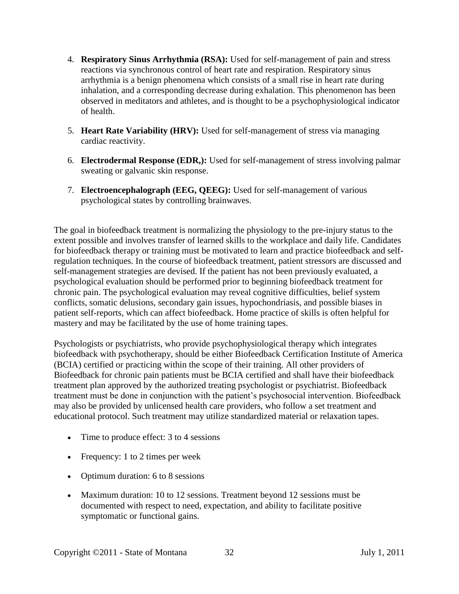- 4. **Respiratory Sinus Arrhythmia (RSA):** Used for self-management of pain and stress reactions via synchronous control of heart rate and respiration. Respiratory sinus arrhythmia is a benign phenomena which consists of a small rise in heart rate during inhalation, and a corresponding decrease during exhalation. This phenomenon has been observed in meditators and athletes, and is thought to be a psychophysiological indicator of health.
- 5. **Heart Rate Variability (HRV):** Used for self-management of stress via managing cardiac reactivity.
- 6. **Electrodermal Response (EDR,):** Used for self-management of stress involving palmar sweating or galvanic skin response.
- 7. **Electroencephalograph (EEG, QEEG):** Used for self-management of various psychological states by controlling brainwaves.

The goal in biofeedback treatment is normalizing the physiology to the pre-injury status to the extent possible and involves transfer of learned skills to the workplace and daily life. Candidates for biofeedback therapy or training must be motivated to learn and practice biofeedback and selfregulation techniques. In the course of biofeedback treatment, patient stressors are discussed and self-management strategies are devised. If the patient has not been previously evaluated, a psychological evaluation should be performed prior to beginning biofeedback treatment for chronic pain. The psychological evaluation may reveal cognitive difficulties, belief system conflicts, somatic delusions, secondary gain issues, hypochondriasis, and possible biases in patient self-reports, which can affect biofeedback. Home practice of skills is often helpful for mastery and may be facilitated by the use of home training tapes.

Psychologists or psychiatrists, who provide psychophysiological therapy which integrates biofeedback with psychotherapy, should be either Biofeedback Certification Institute of America (BCIA) certified or practicing within the scope of their training. All other providers of Biofeedback for chronic pain patients must be BCIA certified and shall have their biofeedback treatment plan approved by the authorized treating psychologist or psychiatrist. Biofeedback treatment must be done in conjunction with the patient's psychosocial intervention. Biofeedback may also be provided by unlicensed health care providers, who follow a set treatment and educational protocol. Such treatment may utilize standardized material or relaxation tapes.

- Time to produce effect: 3 to 4 sessions
- Frequency: 1 to 2 times per week
- Optimum duration: 6 to 8 sessions
- Maximum duration: 10 to 12 sessions. Treatment beyond 12 sessions must be documented with respect to need, expectation, and ability to facilitate positive symptomatic or functional gains.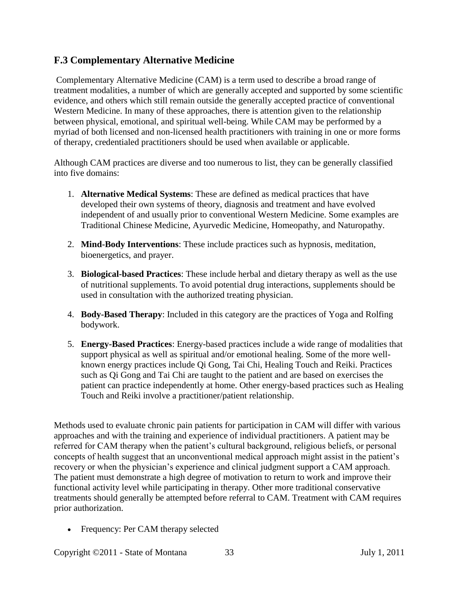## <span id="page-32-0"></span>**F.3 Complementary Alternative Medicine**

Complementary Alternative Medicine (CAM) is a term used to describe a broad range of treatment modalities, a number of which are generally accepted and supported by some scientific evidence, and others which still remain outside the generally accepted practice of conventional Western Medicine. In many of these approaches, there is attention given to the relationship between physical, emotional, and spiritual well-being. While CAM may be performed by a myriad of both licensed and non-licensed health practitioners with training in one or more forms of therapy, credentialed practitioners should be used when available or applicable.

Although CAM practices are diverse and too numerous to list, they can be generally classified into five domains:

- 1. **Alternative Medical Systems**: These are defined as medical practices that have developed their own systems of theory, diagnosis and treatment and have evolved independent of and usually prior to conventional Western Medicine. Some examples are Traditional Chinese Medicine, Ayurvedic Medicine, Homeopathy, and Naturopathy.
- 2. **Mind-Body Interventions**: These include practices such as hypnosis, meditation, bioenergetics, and prayer.
- 3. **Biological-based Practices**: These include herbal and dietary therapy as well as the use of nutritional supplements. To avoid potential drug interactions, supplements should be used in consultation with the authorized treating physician.
- 4. **Body-Based Therapy**: Included in this category are the practices of Yoga and Rolfing bodywork.
- 5. **Energy-Based Practices**: Energy-based practices include a wide range of modalities that support physical as well as spiritual and/or emotional healing. Some of the more wellknown energy practices include Qi Gong, Tai Chi, Healing Touch and Reiki. Practices such as Qi Gong and Tai Chi are taught to the patient and are based on exercises the patient can practice independently at home. Other energy-based practices such as Healing Touch and Reiki involve a practitioner/patient relationship.

Methods used to evaluate chronic pain patients for participation in CAM will differ with various approaches and with the training and experience of individual practitioners. A patient may be referred for CAM therapy when the patient's cultural background, religious beliefs, or personal concepts of health suggest that an unconventional medical approach might assist in the patient's recovery or when the physician's experience and clinical judgment support a CAM approach. The patient must demonstrate a high degree of motivation to return to work and improve their functional activity level while participating in therapy. Other more traditional conservative treatments should generally be attempted before referral to CAM. Treatment with CAM requires prior authorization.

• Frequency: Per CAM therapy selected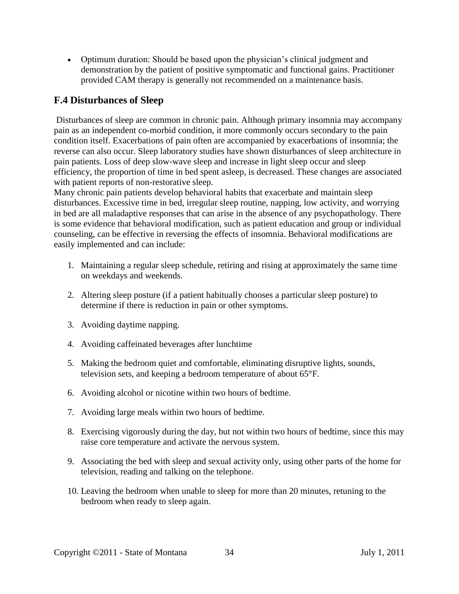• Optimum duration: Should be based upon the physician's clinical judgment and demonstration by the patient of positive symptomatic and functional gains. Practitioner provided CAM therapy is generally not recommended on a maintenance basis.

## <span id="page-33-0"></span>**F.4 Disturbances of Sleep**

Disturbances of sleep are common in chronic pain. Although primary insomnia may accompany pain as an independent co-morbid condition, it more commonly occurs secondary to the pain condition itself. Exacerbations of pain often are accompanied by exacerbations of insomnia; the reverse can also occur. Sleep laboratory studies have shown disturbances of sleep architecture in pain patients. Loss of deep slow-wave sleep and increase in light sleep occur and sleep efficiency, the proportion of time in bed spent asleep, is decreased. These changes are associated with patient reports of non-restorative sleep.

Many chronic pain patients develop behavioral habits that exacerbate and maintain sleep disturbances. Excessive time in bed, irregular sleep routine, napping, low activity, and worrying in bed are all maladaptive responses that can arise in the absence of any psychopathology. There is some evidence that behavioral modification, such as patient education and group or individual counseling, can be effective in reversing the effects of insomnia. Behavioral modifications are easily implemented and can include:

- 1. Maintaining a regular sleep schedule, retiring and rising at approximately the same time on weekdays and weekends.
- 2. Altering sleep posture (if a patient habitually chooses a particular sleep posture) to determine if there is reduction in pain or other symptoms.
- 3. Avoiding daytime napping.
- 4. Avoiding caffeinated beverages after lunchtime
- 5. Making the bedroom quiet and comfortable, eliminating disruptive lights, sounds, television sets, and keeping a bedroom temperature of about 65°F.
- 6. Avoiding alcohol or nicotine within two hours of bedtime.
- 7. Avoiding large meals within two hours of bedtime.
- 8. Exercising vigorously during the day, but not within two hours of bedtime, since this may raise core temperature and activate the nervous system.
- 9. Associating the bed with sleep and sexual activity only, using other parts of the home for television, reading and talking on the telephone.
- 10. Leaving the bedroom when unable to sleep for more than 20 minutes, retuning to the bedroom when ready to sleep again.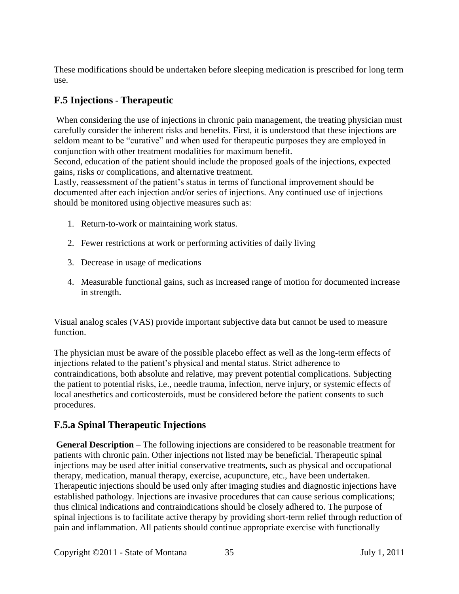These modifications should be undertaken before sleeping medication is prescribed for long term use.

# <span id="page-34-0"></span>**F.5 Injections** - **Therapeutic**

When considering the use of injections in chronic pain management, the treating physician must carefully consider the inherent risks and benefits. First, it is understood that these injections are seldom meant to be "curative" and when used for therapeutic purposes they are employed in conjunction with other treatment modalities for maximum benefit.

Second, education of the patient should include the proposed goals of the injections, expected gains, risks or complications, and alternative treatment.

Lastly, reassessment of the patient's status in terms of functional improvement should be documented after each injection and/or series of injections. Any continued use of injections should be monitored using objective measures such as:

- 1. Return-to-work or maintaining work status.
- 2. Fewer restrictions at work or performing activities of daily living
- 3. Decrease in usage of medications
- 4. Measurable functional gains, such as increased range of motion for documented increase in strength.

Visual analog scales (VAS) provide important subjective data but cannot be used to measure function.

The physician must be aware of the possible placebo effect as well as the long-term effects of injections related to the patient's physical and mental status. Strict adherence to contraindications, both absolute and relative, may prevent potential complications. Subjecting the patient to potential risks, i.e., needle trauma, infection, nerve injury, or systemic effects of local anesthetics and corticosteroids, must be considered before the patient consents to such procedures.

# **F.5.a Spinal Therapeutic Injections**

**General Description** – The following injections are considered to be reasonable treatment for patients with chronic pain. Other injections not listed may be beneficial. Therapeutic spinal injections may be used after initial conservative treatments, such as physical and occupational therapy, medication, manual therapy, exercise, acupuncture, etc., have been undertaken. Therapeutic injections should be used only after imaging studies and diagnostic injections have established pathology. Injections are invasive procedures that can cause serious complications; thus clinical indications and contraindications should be closely adhered to. The purpose of spinal injections is to facilitate active therapy by providing short-term relief through reduction of pain and inflammation. All patients should continue appropriate exercise with functionally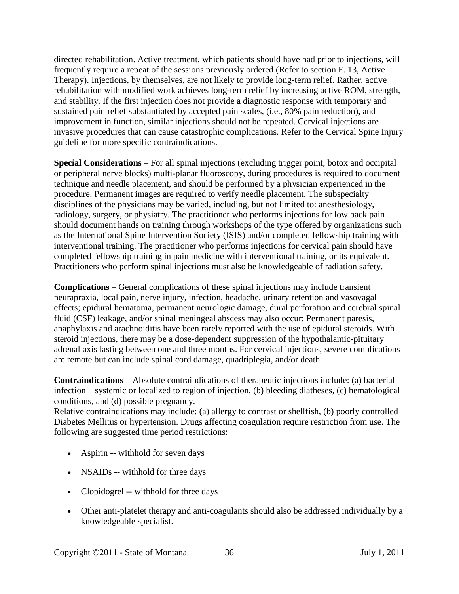directed rehabilitation. Active treatment, which patients should have had prior to injections, will frequently require a repeat of the sessions previously ordered (Refer to section F. 13, Active Therapy). Injections, by themselves, are not likely to provide long-term relief. Rather, active rehabilitation with modified work achieves long-term relief by increasing active ROM, strength, and stability. If the first injection does not provide a diagnostic response with temporary and sustained pain relief substantiated by accepted pain scales, (i.e., 80% pain reduction), and improvement in function, similar injections should not be repeated. Cervical injections are invasive procedures that can cause catastrophic complications. Refer to the Cervical Spine Injury guideline for more specific contraindications.

**Special Considerations** – For all spinal injections (excluding trigger point, botox and occipital or peripheral nerve blocks) multi-planar fluoroscopy, during procedures is required to document technique and needle placement, and should be performed by a physician experienced in the procedure. Permanent images are required to verify needle placement. The subspecialty disciplines of the physicians may be varied, including, but not limited to: anesthesiology, radiology, surgery, or physiatry. The practitioner who performs injections for low back pain should document hands on training through workshops of the type offered by organizations such as the International Spine Intervention Society (ISIS) and/or completed fellowship training with interventional training. The practitioner who performs injections for cervical pain should have completed fellowship training in pain medicine with interventional training, or its equivalent. Practitioners who perform spinal injections must also be knowledgeable of radiation safety.

**Complications** – General complications of these spinal injections may include transient neurapraxia, local pain, nerve injury, infection, headache, urinary retention and vasovagal effects; epidural hematoma, permanent neurologic damage, dural perforation and cerebral spinal fluid (CSF) leakage, and/or spinal meningeal abscess may also occur; Permanent paresis, anaphylaxis and arachnoiditis have been rarely reported with the use of epidural steroids. With steroid injections, there may be a dose-dependent suppression of the hypothalamic-pituitary adrenal axis lasting between one and three months. For cervical injections, severe complications are remote but can include spinal cord damage, quadriplegia, and/or death.

**Contraindications** – Absolute contraindications of therapeutic injections include: (a) bacterial infection – systemic or localized to region of injection, (b) bleeding diatheses, (c) hematological conditions, and (d) possible pregnancy.

Relative contraindications may include: (a) allergy to contrast or shellfish, (b) poorly controlled Diabetes Mellitus or hypertension. Drugs affecting coagulation require restriction from use. The following are suggested time period restrictions:

- Aspirin -- withhold for seven days
- NSAIDs -- withhold for three days
- Clopidogrel -- withhold for three days
- Other anti-platelet therapy and anti-coagulants should also be addressed individually by a knowledgeable specialist.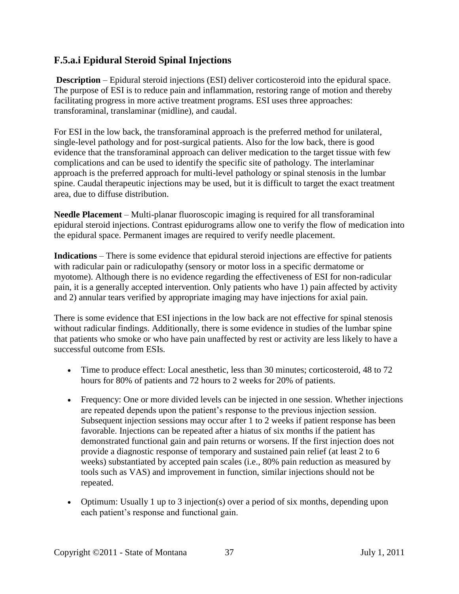### **F.5.a.i Epidural Steroid Spinal Injections**

**Description** – Epidural steroid injections (ESI) deliver corticosteroid into the epidural space. The purpose of ESI is to reduce pain and inflammation, restoring range of motion and thereby facilitating progress in more active treatment programs. ESI uses three approaches: transforaminal, translaminar (midline), and caudal.

For ESI in the low back, the transforaminal approach is the preferred method for unilateral, single-level pathology and for post-surgical patients. Also for the low back, there is good evidence that the transforaminal approach can deliver medication to the target tissue with few complications and can be used to identify the specific site of pathology. The interlaminar approach is the preferred approach for multi-level pathology or spinal stenosis in the lumbar spine. Caudal therapeutic injections may be used, but it is difficult to target the exact treatment area, due to diffuse distribution.

**Needle Placement** – Multi-planar fluoroscopic imaging is required for all transforaminal epidural steroid injections. Contrast epidurograms allow one to verify the flow of medication into the epidural space. Permanent images are required to verify needle placement.

**Indications** – There is some evidence that epidural steroid injections are effective for patients with radicular pain or radiculopathy (sensory or motor loss in a specific dermatome or myotome). Although there is no evidence regarding the effectiveness of ESI for non-radicular pain, it is a generally accepted intervention. Only patients who have 1) pain affected by activity and 2) annular tears verified by appropriate imaging may have injections for axial pain.

There is some evidence that ESI injections in the low back are not effective for spinal stenosis without radicular findings. Additionally, there is some evidence in studies of the lumbar spine that patients who smoke or who have pain unaffected by rest or activity are less likely to have a successful outcome from ESIs.

- Time to produce effect: Local anesthetic, less than 30 minutes; corticosteroid, 48 to 72 hours for 80% of patients and 72 hours to 2 weeks for 20% of patients.
- Frequency: One or more divided levels can be injected in one session. Whether injections are repeated depends upon the patient's response to the previous injection session. Subsequent injection sessions may occur after 1 to 2 weeks if patient response has been favorable. Injections can be repeated after a hiatus of six months if the patient has demonstrated functional gain and pain returns or worsens. If the first injection does not provide a diagnostic response of temporary and sustained pain relief (at least 2 to 6 weeks) substantiated by accepted pain scales (i.e., 80% pain reduction as measured by tools such as VAS) and improvement in function, similar injections should not be repeated.
- Optimum: Usually 1 up to 3 injection(s) over a period of six months, depending upon each patient's response and functional gain.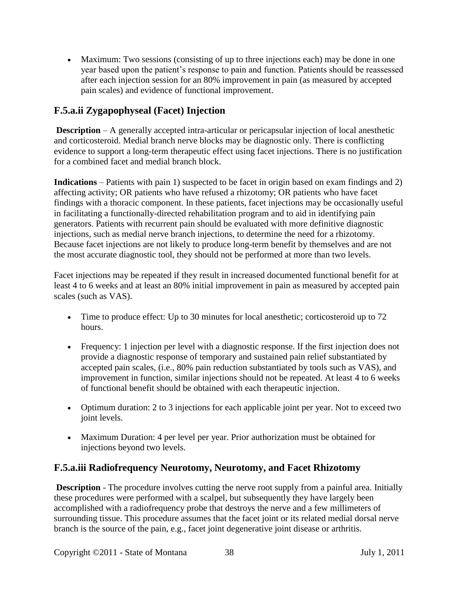• Maximum: Two sessions (consisting of up to three injections each) may be done in one year based upon the patient's response to pain and function. Patients should be reassessed after each injection session for an 80% improvement in pain (as measured by accepted pain scales) and evidence of functional improvement.

# **F.5.a.ii Zygapophyseal (Facet) Injection**

**Description** – A generally accepted intra-articular or pericapsular injection of local anesthetic and corticosteroid. Medial branch nerve blocks may be diagnostic only. There is conflicting evidence to support a long-term therapeutic effect using facet injections. There is no justification for a combined facet and medial branch block.

**Indications** – Patients with pain 1) suspected to be facet in origin based on exam findings and 2) affecting activity; OR patients who have refused a rhizotomy; OR patients who have facet findings with a thoracic component. In these patients, facet injections may be occasionally useful in facilitating a functionally-directed rehabilitation program and to aid in identifying pain generators. Patients with recurrent pain should be evaluated with more definitive diagnostic injections, such as medial nerve branch injections, to determine the need for a rhizotomy. Because facet injections are not likely to produce long-term benefit by themselves and are not the most accurate diagnostic tool, they should not be performed at more than two levels.

Facet injections may be repeated if they result in increased documented functional benefit for at least 4 to 6 weeks and at least an 80% initial improvement in pain as measured by accepted pain scales (such as VAS).

- Time to produce effect: Up to 30 minutes for local anesthetic; corticosteroid up to 72 hours.
- Frequency: 1 injection per level with a diagnostic response. If the first injection does not provide a diagnostic response of temporary and sustained pain relief substantiated by accepted pain scales, (i.e., 80% pain reduction substantiated by tools such as VAS), and improvement in function, similar injections should not be repeated. At least 4 to 6 weeks of functional benefit should be obtained with each therapeutic injection.
- Optimum duration: 2 to 3 injections for each applicable joint per year. Not to exceed two joint levels.
- Maximum Duration: 4 per level per year. Prior authorization must be obtained for injections beyond two levels.

## **F.5.a.iii Radiofrequency Neurotomy, Neurotomy, and Facet Rhizotomy**

**Description** - The procedure involves cutting the nerve root supply from a painful area. Initially these procedures were performed with a scalpel, but subsequently they have largely been accomplished with a radiofrequency probe that destroys the nerve and a few millimeters of surrounding tissue. This procedure assumes that the facet joint or its related medial dorsal nerve branch is the source of the pain, e.g., facet joint degenerative joint disease or arthritis.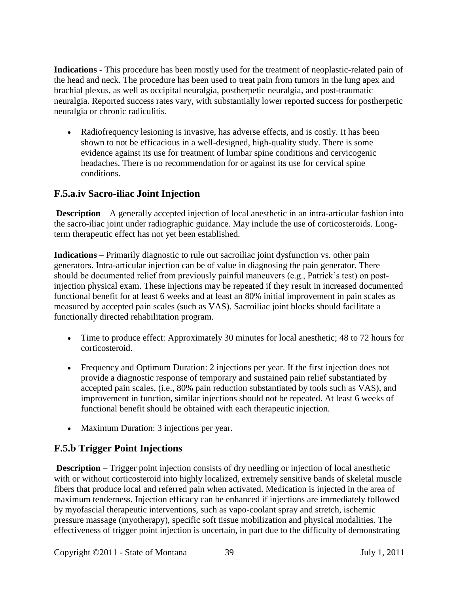**Indications** - This procedure has been mostly used for the treatment of neoplastic-related pain of the head and neck. The procedure has been used to treat pain from tumors in the lung apex and brachial plexus, as well as occipital neuralgia, postherpetic neuralgia, and post-traumatic neuralgia. Reported success rates vary, with substantially lower reported success for postherpetic neuralgia or chronic radiculitis.

• Radiofrequency lesioning is invasive, has adverse effects, and is costly. It has been shown to not be efficacious in a well-designed, high-quality study. There is some evidence against its use for treatment of lumbar spine conditions and cervicogenic headaches. There is no recommendation for or against its use for cervical spine conditions.

# **F.5.a.iv Sacro-iliac Joint Injection**

**Description** – A generally accepted injection of local anesthetic in an intra-articular fashion into the sacro-iliac joint under radiographic guidance. May include the use of corticosteroids. Longterm therapeutic effect has not yet been established.

**Indications** – Primarily diagnostic to rule out sacroiliac joint dysfunction vs. other pain generators. Intra-articular injection can be of value in diagnosing the pain generator. There should be documented relief from previously painful maneuvers (e.g., Patrick's test) on postinjection physical exam. These injections may be repeated if they result in increased documented functional benefit for at least 6 weeks and at least an 80% initial improvement in pain scales as measured by accepted pain scales (such as VAS). Sacroiliac joint blocks should facilitate a functionally directed rehabilitation program.

- Time to produce effect: Approximately 30 minutes for local anesthetic; 48 to 72 hours for corticosteroid.
- Frequency and Optimum Duration: 2 injections per year. If the first injection does not provide a diagnostic response of temporary and sustained pain relief substantiated by accepted pain scales, (i.e., 80% pain reduction substantiated by tools such as VAS), and improvement in function, similar injections should not be repeated. At least 6 weeks of functional benefit should be obtained with each therapeutic injection.
- Maximum Duration: 3 injections per year.

# **F.5.b Trigger Point Injections**

**Description** – Trigger point injection consists of dry needling or injection of local anesthetic with or without corticosteroid into highly localized, extremely sensitive bands of skeletal muscle fibers that produce local and referred pain when activated. Medication is injected in the area of maximum tenderness. Injection efficacy can be enhanced if injections are immediately followed by myofascial therapeutic interventions, such as vapo-coolant spray and stretch, ischemic pressure massage (myotherapy), specific soft tissue mobilization and physical modalities. The effectiveness of trigger point injection is uncertain, in part due to the difficulty of demonstrating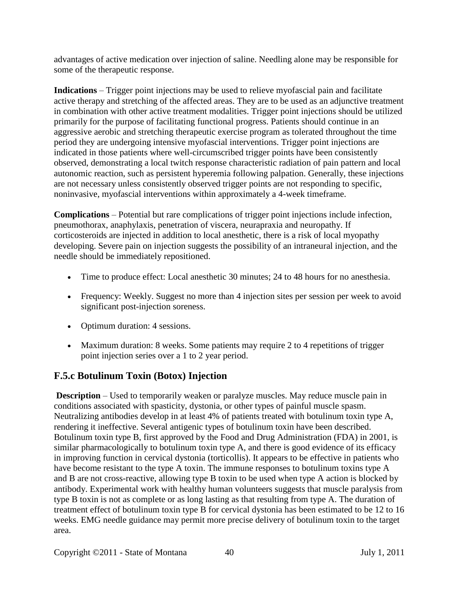advantages of active medication over injection of saline. Needling alone may be responsible for some of the therapeutic response.

**Indications** – Trigger point injections may be used to relieve myofascial pain and facilitate active therapy and stretching of the affected areas. They are to be used as an adjunctive treatment in combination with other active treatment modalities. Trigger point injections should be utilized primarily for the purpose of facilitating functional progress. Patients should continue in an aggressive aerobic and stretching therapeutic exercise program as tolerated throughout the time period they are undergoing intensive myofascial interventions. Trigger point injections are indicated in those patients where well-circumscribed trigger points have been consistently observed, demonstrating a local twitch response characteristic radiation of pain pattern and local autonomic reaction, such as persistent hyperemia following palpation. Generally, these injections are not necessary unless consistently observed trigger points are not responding to specific, noninvasive, myofascial interventions within approximately a 4-week timeframe.

**Complications** – Potential but rare complications of trigger point injections include infection, pneumothorax, anaphylaxis, penetration of viscera, neurapraxia and neuropathy. If corticosteroids are injected in addition to local anesthetic, there is a risk of local myopathy developing. Severe pain on injection suggests the possibility of an intraneural injection, and the needle should be immediately repositioned.

- Time to produce effect: Local anesthetic 30 minutes; 24 to 48 hours for no anesthesia.
- Frequency: Weekly. Suggest no more than 4 injection sites per session per week to avoid significant post-injection soreness.
- Optimum duration: 4 sessions.
- Maximum duration: 8 weeks. Some patients may require 2 to 4 repetitions of trigger point injection series over a 1 to 2 year period.

## **F.5.c Botulinum Toxin (Botox) Injection**

**Description** – Used to temporarily weaken or paralyze muscles. May reduce muscle pain in conditions associated with spasticity, dystonia, or other types of painful muscle spasm. Neutralizing antibodies develop in at least 4% of patients treated with botulinum toxin type A, rendering it ineffective. Several antigenic types of botulinum toxin have been described. Botulinum toxin type B, first approved by the Food and Drug Administration (FDA) in 2001, is similar pharmacologically to botulinum toxin type A, and there is good evidence of its efficacy in improving function in cervical dystonia (torticollis). It appears to be effective in patients who have become resistant to the type A toxin. The immune responses to botulinum toxins type A and B are not cross-reactive, allowing type B toxin to be used when type A action is blocked by antibody. Experimental work with healthy human volunteers suggests that muscle paralysis from type B toxin is not as complete or as long lasting as that resulting from type A. The duration of treatment effect of botulinum toxin type B for cervical dystonia has been estimated to be 12 to 16 weeks. EMG needle guidance may permit more precise delivery of botulinum toxin to the target area.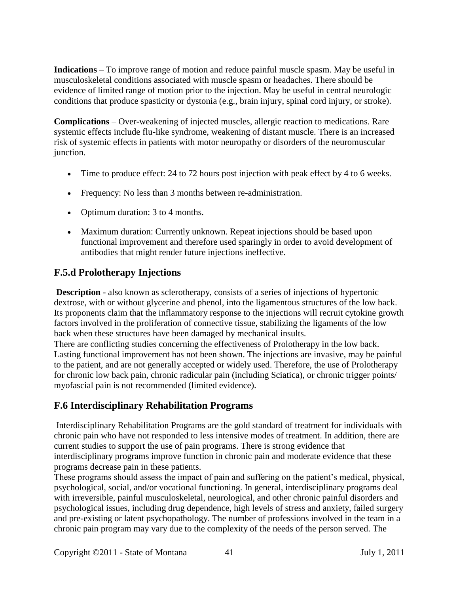**Indications** – To improve range of motion and reduce painful muscle spasm. May be useful in musculoskeletal conditions associated with muscle spasm or headaches. There should be evidence of limited range of motion prior to the injection. May be useful in central neurologic conditions that produce spasticity or dystonia (e.g., brain injury, spinal cord injury, or stroke).

**Complications** – Over-weakening of injected muscles, allergic reaction to medications. Rare systemic effects include flu-like syndrome, weakening of distant muscle. There is an increased risk of systemic effects in patients with motor neuropathy or disorders of the neuromuscular junction.

- Time to produce effect: 24 to 72 hours post injection with peak effect by 4 to 6 weeks.
- Frequency: No less than 3 months between re-administration.
- Optimum duration: 3 to 4 months.
- Maximum duration: Currently unknown. Repeat injections should be based upon functional improvement and therefore used sparingly in order to avoid development of antibodies that might render future injections ineffective.

## **F.5.d Prolotherapy Injections**

**Description** - also known as sclerotherapy, consists of a series of injections of hypertonic dextrose, with or without glycerine and phenol, into the ligamentous structures of the low back. Its proponents claim that the inflammatory response to the injections will recruit cytokine growth factors involved in the proliferation of connective tissue, stabilizing the ligaments of the low back when these structures have been damaged by mechanical insults.

There are conflicting studies concerning the effectiveness of Prolotherapy in the low back. Lasting functional improvement has not been shown. The injections are invasive, may be painful to the patient, and are not generally accepted or widely used. Therefore, the use of Prolotherapy for chronic low back pain, chronic radicular pain (including Sciatica), or chronic trigger points/ myofascial pain is not recommended (limited evidence).

# **F.6 Interdisciplinary Rehabilitation Programs**

Interdisciplinary Rehabilitation Programs are the gold standard of treatment for individuals with chronic pain who have not responded to less intensive modes of treatment. In addition, there are current studies to support the use of pain programs. There is strong evidence that interdisciplinary programs improve function in chronic pain and moderate evidence that these programs decrease pain in these patients.

These programs should assess the impact of pain and suffering on the patient's medical, physical, psychological, social, and/or vocational functioning. In general, interdisciplinary programs deal with irreversible, painful musculoskeletal, neurological, and other chronic painful disorders and psychological issues, including drug dependence, high levels of stress and anxiety, failed surgery and pre-existing or latent psychopathology. The number of professions involved in the team in a chronic pain program may vary due to the complexity of the needs of the person served. The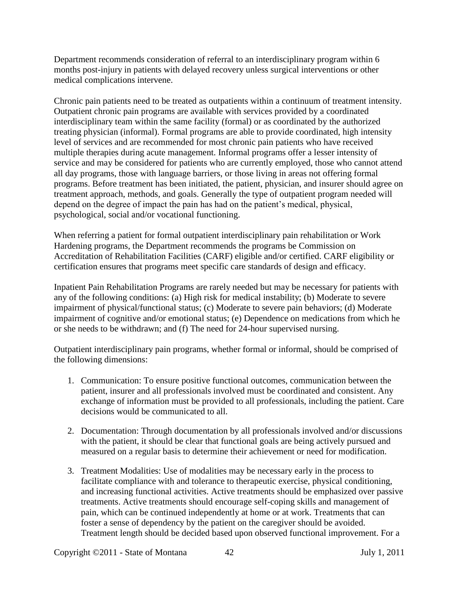Department recommends consideration of referral to an interdisciplinary program within 6 months post-injury in patients with delayed recovery unless surgical interventions or other medical complications intervene.

Chronic pain patients need to be treated as outpatients within a continuum of treatment intensity. Outpatient chronic pain programs are available with services provided by a coordinated interdisciplinary team within the same facility (formal) or as coordinated by the authorized treating physician (informal). Formal programs are able to provide coordinated, high intensity level of services and are recommended for most chronic pain patients who have received multiple therapies during acute management. Informal programs offer a lesser intensity of service and may be considered for patients who are currently employed, those who cannot attend all day programs, those with language barriers, or those living in areas not offering formal programs. Before treatment has been initiated, the patient, physician, and insurer should agree on treatment approach, methods, and goals. Generally the type of outpatient program needed will depend on the degree of impact the pain has had on the patient's medical, physical, psychological, social and/or vocational functioning.

When referring a patient for formal outpatient interdisciplinary pain rehabilitation or Work Hardening programs, the Department recommends the programs be Commission on Accreditation of Rehabilitation Facilities (CARF) eligible and/or certified. CARF eligibility or certification ensures that programs meet specific care standards of design and efficacy.

Inpatient Pain Rehabilitation Programs are rarely needed but may be necessary for patients with any of the following conditions: (a) High risk for medical instability; (b) Moderate to severe impairment of physical/functional status; (c) Moderate to severe pain behaviors; (d) Moderate impairment of cognitive and/or emotional status; (e) Dependence on medications from which he or she needs to be withdrawn; and (f) The need for 24-hour supervised nursing.

Outpatient interdisciplinary pain programs, whether formal or informal, should be comprised of the following dimensions:

- 1. Communication: To ensure positive functional outcomes, communication between the patient, insurer and all professionals involved must be coordinated and consistent. Any exchange of information must be provided to all professionals, including the patient. Care decisions would be communicated to all.
- 2. Documentation: Through documentation by all professionals involved and/or discussions with the patient, it should be clear that functional goals are being actively pursued and measured on a regular basis to determine their achievement or need for modification.
- 3. Treatment Modalities: Use of modalities may be necessary early in the process to facilitate compliance with and tolerance to therapeutic exercise, physical conditioning, and increasing functional activities. Active treatments should be emphasized over passive treatments. Active treatments should encourage self-coping skills and management of pain, which can be continued independently at home or at work. Treatments that can foster a sense of dependency by the patient on the caregiver should be avoided. Treatment length should be decided based upon observed functional improvement. For a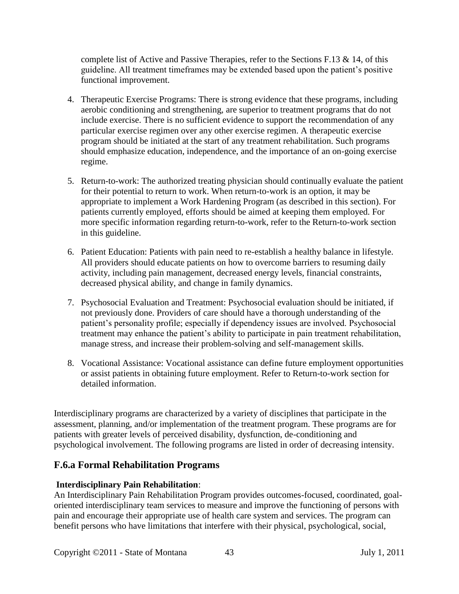complete list of Active and Passive Therapies, refer to the Sections F.13  $\&$  14, of this guideline. All treatment timeframes may be extended based upon the patient's positive functional improvement.

- 4. Therapeutic Exercise Programs: There is strong evidence that these programs, including aerobic conditioning and strengthening, are superior to treatment programs that do not include exercise. There is no sufficient evidence to support the recommendation of any particular exercise regimen over any other exercise regimen. A therapeutic exercise program should be initiated at the start of any treatment rehabilitation. Such programs should emphasize education, independence, and the importance of an on-going exercise regime.
- 5. Return-to-work: The authorized treating physician should continually evaluate the patient for their potential to return to work. When return-to-work is an option, it may be appropriate to implement a Work Hardening Program (as described in this section). For patients currently employed, efforts should be aimed at keeping them employed. For more specific information regarding return-to-work, refer to the Return-to-work section in this guideline.
- 6. Patient Education: Patients with pain need to re-establish a healthy balance in lifestyle. All providers should educate patients on how to overcome barriers to resuming daily activity, including pain management, decreased energy levels, financial constraints, decreased physical ability, and change in family dynamics.
- 7. Psychosocial Evaluation and Treatment: Psychosocial evaluation should be initiated, if not previously done. Providers of care should have a thorough understanding of the patient's personality profile; especially if dependency issues are involved. Psychosocial treatment may enhance the patient's ability to participate in pain treatment rehabilitation, manage stress, and increase their problem-solving and self-management skills.
- 8. Vocational Assistance: Vocational assistance can define future employment opportunities or assist patients in obtaining future employment. Refer to Return-to-work section for detailed information.

Interdisciplinary programs are characterized by a variety of disciplines that participate in the assessment, planning, and/or implementation of the treatment program. These programs are for patients with greater levels of perceived disability, dysfunction, de-conditioning and psychological involvement. The following programs are listed in order of decreasing intensity.

### **F.6.a Formal Rehabilitation Programs**

### **Interdisciplinary Pain Rehabilitation**:

An Interdisciplinary Pain Rehabilitation Program provides outcomes-focused, coordinated, goaloriented interdisciplinary team services to measure and improve the functioning of persons with pain and encourage their appropriate use of health care system and services. The program can benefit persons who have limitations that interfere with their physical, psychological, social,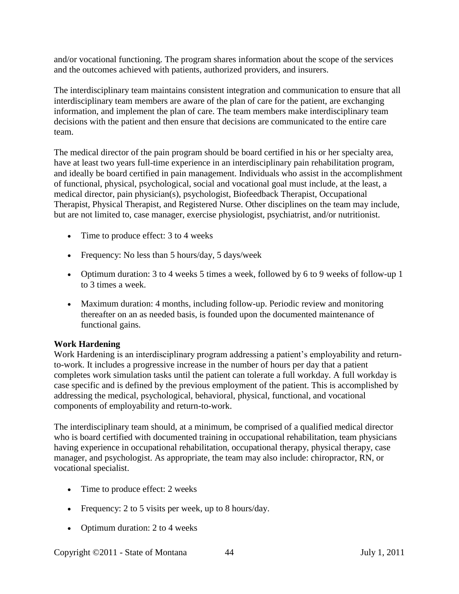and/or vocational functioning. The program shares information about the scope of the services and the outcomes achieved with patients, authorized providers, and insurers.

The interdisciplinary team maintains consistent integration and communication to ensure that all interdisciplinary team members are aware of the plan of care for the patient, are exchanging information, and implement the plan of care. The team members make interdisciplinary team decisions with the patient and then ensure that decisions are communicated to the entire care team.

The medical director of the pain program should be board certified in his or her specialty area, have at least two years full-time experience in an interdisciplinary pain rehabilitation program, and ideally be board certified in pain management. Individuals who assist in the accomplishment of functional, physical, psychological, social and vocational goal must include, at the least, a medical director, pain physician(s), psychologist, Biofeedback Therapist, Occupational Therapist, Physical Therapist, and Registered Nurse. Other disciplines on the team may include, but are not limited to, case manager, exercise physiologist, psychiatrist, and/or nutritionist.

- Time to produce effect: 3 to 4 weeks
- Frequency: No less than 5 hours/day, 5 days/week
- Optimum duration: 3 to 4 weeks 5 times a week, followed by 6 to 9 weeks of follow-up 1 to 3 times a week.
- Maximum duration: 4 months, including follow-up. Periodic review and monitoring thereafter on an as needed basis, is founded upon the documented maintenance of functional gains.

#### **Work Hardening**

Work Hardening is an interdisciplinary program addressing a patient's employability and returnto-work. It includes a progressive increase in the number of hours per day that a patient completes work simulation tasks until the patient can tolerate a full workday. A full workday is case specific and is defined by the previous employment of the patient. This is accomplished by addressing the medical, psychological, behavioral, physical, functional, and vocational components of employability and return-to-work.

The interdisciplinary team should, at a minimum, be comprised of a qualified medical director who is board certified with documented training in occupational rehabilitation, team physicians having experience in occupational rehabilitation, occupational therapy, physical therapy, case manager, and psychologist. As appropriate, the team may also include: chiropractor, RN, or vocational specialist.

- Time to produce effect: 2 weeks
- Frequency: 2 to 5 visits per week, up to 8 hours/day.
- Optimum duration: 2 to 4 weeks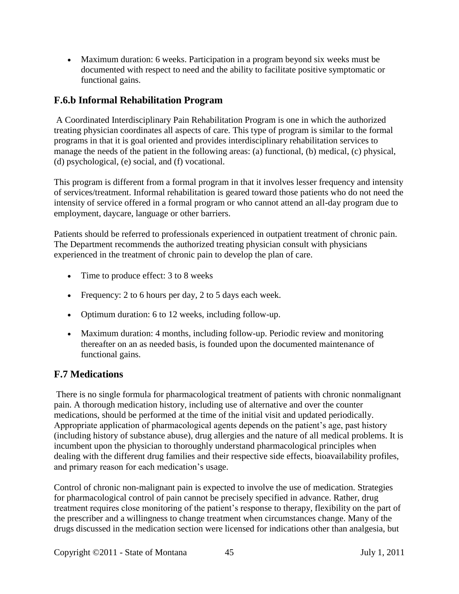• Maximum duration: 6 weeks. Participation in a program beyond six weeks must be documented with respect to need and the ability to facilitate positive symptomatic or functional gains.

## **F.6.b Informal Rehabilitation Program**

A Coordinated Interdisciplinary Pain Rehabilitation Program is one in which the authorized treating physician coordinates all aspects of care. This type of program is similar to the formal programs in that it is goal oriented and provides interdisciplinary rehabilitation services to manage the needs of the patient in the following areas: (a) functional, (b) medical, (c) physical, (d) psychological, (e) social, and (f) vocational.

This program is different from a formal program in that it involves lesser frequency and intensity of services/treatment. Informal rehabilitation is geared toward those patients who do not need the intensity of service offered in a formal program or who cannot attend an all-day program due to employment, daycare, language or other barriers.

Patients should be referred to professionals experienced in outpatient treatment of chronic pain. The Department recommends the authorized treating physician consult with physicians experienced in the treatment of chronic pain to develop the plan of care.

- Time to produce effect: 3 to 8 weeks
- Frequency: 2 to 6 hours per day, 2 to 5 days each week.
- Optimum duration: 6 to 12 weeks, including follow-up.
- Maximum duration: 4 months, including follow-up. Periodic review and monitoring thereafter on an as needed basis, is founded upon the documented maintenance of functional gains.

### **F.7 Medications**

There is no single formula for pharmacological treatment of patients with chronic nonmalignant pain. A thorough medication history, including use of alternative and over the counter medications, should be performed at the time of the initial visit and updated periodically. Appropriate application of pharmacological agents depends on the patient's age, past history (including history of substance abuse), drug allergies and the nature of all medical problems. It is incumbent upon the physician to thoroughly understand pharmacological principles when dealing with the different drug families and their respective side effects, bioavailability profiles, and primary reason for each medication's usage.

Control of chronic non-malignant pain is expected to involve the use of medication. Strategies for pharmacological control of pain cannot be precisely specified in advance. Rather, drug treatment requires close monitoring of the patient's response to therapy, flexibility on the part of the prescriber and a willingness to change treatment when circumstances change. Many of the drugs discussed in the medication section were licensed for indications other than analgesia, but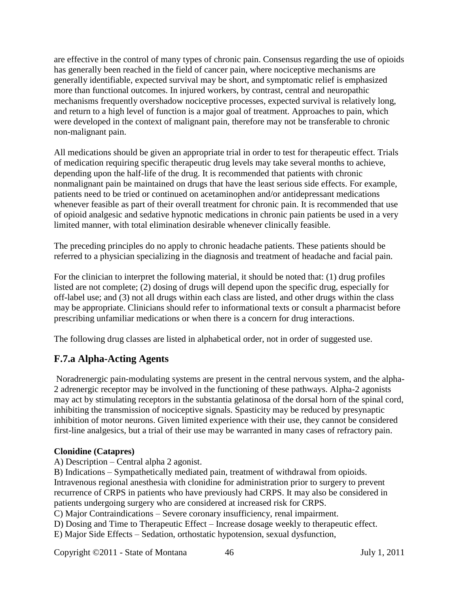are effective in the control of many types of chronic pain. Consensus regarding the use of opioids has generally been reached in the field of cancer pain, where nociceptive mechanisms are generally identifiable, expected survival may be short, and symptomatic relief is emphasized more than functional outcomes. In injured workers, by contrast, central and neuropathic mechanisms frequently overshadow nociceptive processes, expected survival is relatively long, and return to a high level of function is a major goal of treatment. Approaches to pain, which were developed in the context of malignant pain, therefore may not be transferable to chronic non-malignant pain.

All medications should be given an appropriate trial in order to test for therapeutic effect. Trials of medication requiring specific therapeutic drug levels may take several months to achieve, depending upon the half-life of the drug. It is recommended that patients with chronic nonmalignant pain be maintained on drugs that have the least serious side effects. For example, patients need to be tried or continued on acetaminophen and/or antidepressant medications whenever feasible as part of their overall treatment for chronic pain. It is recommended that use of opioid analgesic and sedative hypnotic medications in chronic pain patients be used in a very limited manner, with total elimination desirable whenever clinically feasible.

The preceding principles do no apply to chronic headache patients. These patients should be referred to a physician specializing in the diagnosis and treatment of headache and facial pain.

For the clinician to interpret the following material, it should be noted that: (1) drug profiles listed are not complete; (2) dosing of drugs will depend upon the specific drug, especially for off-label use; and (3) not all drugs within each class are listed, and other drugs within the class may be appropriate. Clinicians should refer to informational texts or consult a pharmacist before prescribing unfamiliar medications or when there is a concern for drug interactions.

The following drug classes are listed in alphabetical order, not in order of suggested use.

## **F.7.a Alpha-Acting Agents**

Noradrenergic pain-modulating systems are present in the central nervous system, and the alpha-2 adrenergic receptor may be involved in the functioning of these pathways. Alpha-2 agonists may act by stimulating receptors in the substantia gelatinosa of the dorsal horn of the spinal cord, inhibiting the transmission of nociceptive signals. Spasticity may be reduced by presynaptic inhibition of motor neurons. Given limited experience with their use, they cannot be considered first-line analgesics, but a trial of their use may be warranted in many cases of refractory pain.

#### **Clonidine (Catapres)**

A) Description – Central alpha 2 agonist.

B) Indications – Sympathetically mediated pain, treatment of withdrawal from opioids. Intravenous regional anesthesia with clonidine for administration prior to surgery to prevent recurrence of CRPS in patients who have previously had CRPS. It may also be considered in patients undergoing surgery who are considered at increased risk for CRPS.

C) Major Contraindications – Severe coronary insufficiency, renal impairment.

D) Dosing and Time to Therapeutic Effect – Increase dosage weekly to therapeutic effect.

E) Major Side Effects – Sedation, orthostatic hypotension, sexual dysfunction,

Copyright ©2011 - State of Montana 46 July 1, 2011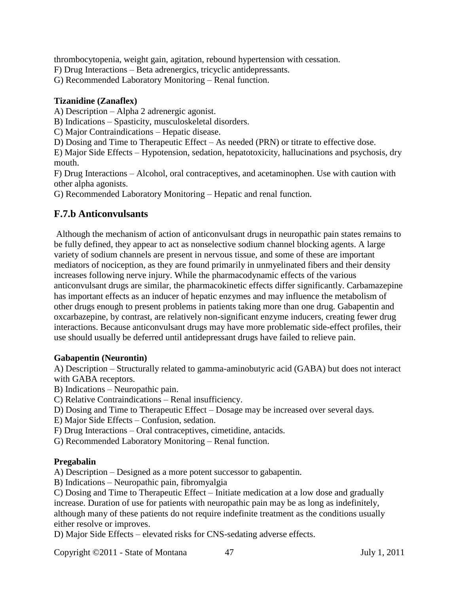thrombocytopenia, weight gain, agitation, rebound hypertension with cessation.

F) Drug Interactions – Beta adrenergics, tricyclic antidepressants.

G) Recommended Laboratory Monitoring – Renal function.

#### **Tizanidine (Zanaflex)**

A) Description – Alpha 2 adrenergic agonist.

B) Indications – Spasticity, musculoskeletal disorders.

C) Major Contraindications – Hepatic disease.

D) Dosing and Time to Therapeutic Effect – As needed (PRN) or titrate to effective dose.

E) Major Side Effects – Hypotension, sedation, hepatotoxicity, hallucinations and psychosis, dry mouth.

F) Drug Interactions – Alcohol, oral contraceptives, and acetaminophen. Use with caution with other alpha agonists.

G) Recommended Laboratory Monitoring – Hepatic and renal function.

### **F.7.b Anticonvulsants**

Although the mechanism of action of anticonvulsant drugs in neuropathic pain states remains to be fully defined, they appear to act as nonselective sodium channel blocking agents. A large variety of sodium channels are present in nervous tissue, and some of these are important mediators of nociception, as they are found primarily in unmyelinated fibers and their density increases following nerve injury. While the pharmacodynamic effects of the various anticonvulsant drugs are similar, the pharmacokinetic effects differ significantly. Carbamazepine has important effects as an inducer of hepatic enzymes and may influence the metabolism of other drugs enough to present problems in patients taking more than one drug. Gabapentin and oxcarbazepine, by contrast, are relatively non-significant enzyme inducers, creating fewer drug interactions. Because anticonvulsant drugs may have more problematic side-effect profiles, their use should usually be deferred until antidepressant drugs have failed to relieve pain.

#### **Gabapentin (Neurontin)**

A) Description – Structurally related to gamma-aminobutyric acid (GABA) but does not interact with GABA receptors.

B) Indications – Neuropathic pain.

- C) Relative Contraindications Renal insufficiency.
- D) Dosing and Time to Therapeutic Effect Dosage may be increased over several days.
- E) Major Side Effects Confusion, sedation.
- F) Drug Interactions Oral contraceptives, cimetidine, antacids.
- G) Recommended Laboratory Monitoring Renal function.

#### **Pregabalin**

A) Description – Designed as a more potent successor to gabapentin.

B) Indications – Neuropathic pain, fibromyalgia

C) Dosing and Time to Therapeutic Effect – Initiate medication at a low dose and gradually increase. Duration of use for patients with neuropathic pain may be as long as indefinitely,

although many of these patients do not require indefinite treatment as the conditions usually either resolve or improves.

D) Major Side Effects – elevated risks for CNS-sedating adverse effects.

Copyright ©2011 - State of Montana 47 July 1, 2011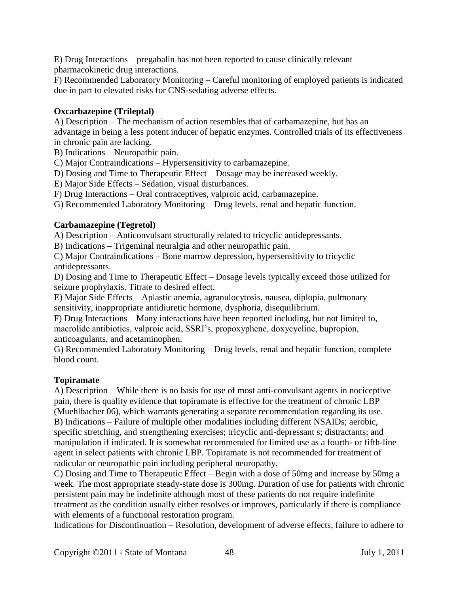E) Drug Interactions – pregabalin has not been reported to cause clinically relevant pharmacokinetic drug interactions.

F) Recommended Laboratory Monitoring – Careful monitoring of employed patients is indicated due in part to elevated risks for CNS-sedating adverse effects.

#### **Oxcarbazepine (Trileptal)**

A) Description – The mechanism of action resembles that of carbamazepine, but has an advantage in being a less potent inducer of hepatic enzymes. Controlled trials of its effectiveness in chronic pain are lacking.

B) Indications – Neuropathic pain.

C) Major Contraindications – Hypersensitivity to carbamazepine.

D) Dosing and Time to Therapeutic Effect – Dosage may be increased weekly.

E) Major Side Effects – Sedation, visual disturbances.

F) Drug Interactions – Oral contraceptives, valproic acid, carbamazepine.

G) Recommended Laboratory Monitoring – Drug levels, renal and hepatic function.

#### **Carbamazepine (Tegretol)**

A) Description – Anticonvulsant structurally related to tricyclic antidepressants.

B) Indications – Trigeminal neuralgia and other neuropathic pain.

C) Major Contraindications – Bone marrow depression, hypersensitivity to tricyclic antidepressants.

D) Dosing and Time to Therapeutic Effect – Dosage levels typically exceed those utilized for seizure prophylaxis. Titrate to desired effect.

E) Major Side Effects – Aplastic anemia, agranulocytosis, nausea, diplopia, pulmonary sensitivity, inappropriate antidiuretic hormone, dysphoria, disequilibrium.

F) Drug Interactions – Many interactions have been reported including, but not limited to, macrolide antibiotics, valproic acid, SSRI's, propoxyphene, doxycycline, bupropion, anticoagulants, and acetaminophen.

G) Recommended Laboratory Monitoring – Drug levels, renal and hepatic function, complete blood count.

#### **Topiramate**

A) Description – While there is no basis for use of most anti-convulsant agents in nociceptive pain, there is quality evidence that topiramate is effective for the treatment of chronic LBP (Muehlbacher 06), which warrants generating a separate recommendation regarding its use. B) Indications – Failure of multiple other modalities including different NSAIDs; aerobic, specific stretching, and strengthening exercises; tricyclic anti-depressant s; distractants; and manipulation if indicated. It is somewhat recommended for limited use as a fourth- or fifth-line agent in select patients with chronic LBP. Topiramate is not recommended for treatment of radicular or neuropathic pain including peripheral neuropathy.

C) Dosing and Time to Therapeutic Effect – Begin with a dose of 50mg and increase by 50mg a week. The most appropriate steady-state dose is 300mg. Duration of use for patients with chronic persistent pain may be indefinite although most of these patients do not require indefinite treatment as the condition usually either resolves or improves, particularly if there is compliance with elements of a functional restoration program.

Indications for Discontinuation – Resolution, development of adverse effects, failure to adhere to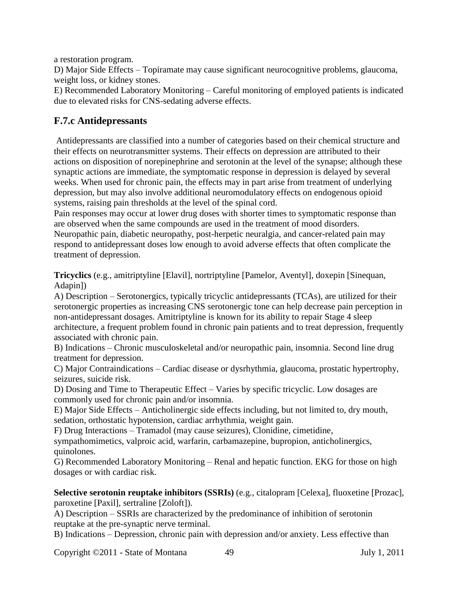a restoration program.

D) Major Side Effects – Topiramate may cause significant neurocognitive problems, glaucoma, weight loss, or kidney stones.

E) Recommended Laboratory Monitoring – Careful monitoring of employed patients is indicated due to elevated risks for CNS-sedating adverse effects.

### **F.7.c Antidepressants**

Antidepressants are classified into a number of categories based on their chemical structure and their effects on neurotransmitter systems. Their effects on depression are attributed to their actions on disposition of norepinephrine and serotonin at the level of the synapse; although these synaptic actions are immediate, the symptomatic response in depression is delayed by several weeks. When used for chronic pain, the effects may in part arise from treatment of underlying depression, but may also involve additional neuromodulatory effects on endogenous opioid systems, raising pain thresholds at the level of the spinal cord.

Pain responses may occur at lower drug doses with shorter times to symptomatic response than are observed when the same compounds are used in the treatment of mood disorders. Neuropathic pain, diabetic neuropathy, post-herpetic neuralgia, and cancer-related pain may

respond to antidepressant doses low enough to avoid adverse effects that often complicate the treatment of depression.

**Tricyclics** (e.g., amitriptyline [Elavil], nortriptyline [Pamelor, Aventyl], doxepin [Sinequan, Adapin])

A) Description – Serotonergics, typically tricyclic antidepressants (TCAs), are utilized for their serotonergic properties as increasing CNS serotonergic tone can help decrease pain perception in non-antidepressant dosages. Amitriptyline is known for its ability to repair Stage 4 sleep architecture, a frequent problem found in chronic pain patients and to treat depression, frequently associated with chronic pain.

B) Indications – Chronic musculoskeletal and/or neuropathic pain, insomnia. Second line drug treatment for depression.

C) Major Contraindications – Cardiac disease or dysrhythmia, glaucoma, prostatic hypertrophy, seizures, suicide risk.

D) Dosing and Time to Therapeutic Effect – Varies by specific tricyclic. Low dosages are commonly used for chronic pain and/or insomnia.

E) Major Side Effects – Anticholinergic side effects including, but not limited to, dry mouth, sedation, orthostatic hypotension, cardiac arrhythmia, weight gain.

F) Drug Interactions – Tramadol (may cause seizures), Clonidine, cimetidine,

sympathomimetics, valproic acid, warfarin, carbamazepine, bupropion, anticholinergics, quinolones.

G) Recommended Laboratory Monitoring – Renal and hepatic function. EKG for those on high dosages or with cardiac risk.

**Selective serotonin reuptake inhibitors (SSRIs)** (e.g., citalopram [Celexa], fluoxetine [Prozac], paroxetine [Paxil], sertraline [Zoloft]).

A) Description – SSRIs are characterized by the predominance of inhibition of serotonin reuptake at the pre-synaptic nerve terminal.

B) Indications – Depression, chronic pain with depression and/or anxiety. Less effective than

Copyright ©2011 - State of Montana 49 July 1, 2011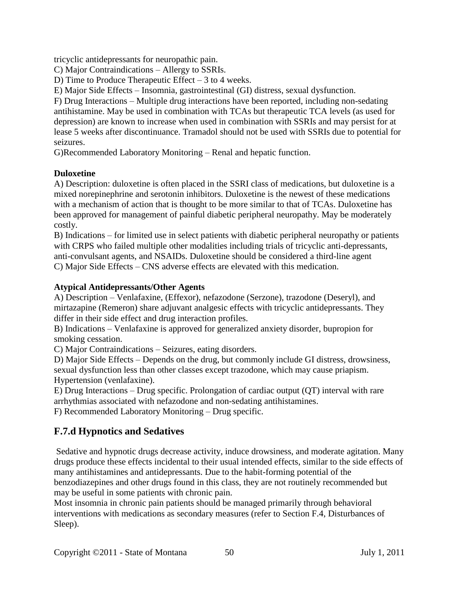tricyclic antidepressants for neuropathic pain.

C) Major Contraindications – Allergy to SSRIs.

D) Time to Produce Therapeutic Effect – 3 to 4 weeks.

E) Major Side Effects – Insomnia, gastrointestinal (GI) distress, sexual dysfunction.

F) Drug Interactions – Multiple drug interactions have been reported, including non-sedating antihistamine. May be used in combination with TCAs but therapeutic TCA levels (as used for depression) are known to increase when used in combination with SSRIs and may persist for at lease 5 weeks after discontinuance. Tramadol should not be used with SSRIs due to potential for seizures.

G)Recommended Laboratory Monitoring – Renal and hepatic function.

#### **Duloxetine**

A) Description: duloxetine is often placed in the SSRI class of medications, but duloxetine is a mixed norepinephrine and serotonin inhibitors. Duloxetine is the newest of these medications with a mechanism of action that is thought to be more similar to that of TCAs. Duloxetine has been approved for management of painful diabetic peripheral neuropathy. May be moderately costly.

B) Indications – for limited use in select patients with diabetic peripheral neuropathy or patients with CRPS who failed multiple other modalities including trials of tricyclic anti-depressants, anti-convulsant agents, and NSAIDs. Duloxetine should be considered a third-line agent C) Major Side Effects – CNS adverse effects are elevated with this medication.

#### **Atypical Antidepressants/Other Agents**

A) Description – Venlafaxine, (Effexor), nefazodone (Serzone), trazodone (Deseryl), and mirtazapine (Remeron) share adjuvant analgesic effects with tricyclic antidepressants. They differ in their side effect and drug interaction profiles.

B) Indications – Venlafaxine is approved for generalized anxiety disorder, bupropion for smoking cessation.

C) Major Contraindications – Seizures, eating disorders.

D) Major Side Effects – Depends on the drug, but commonly include GI distress, drowsiness, sexual dysfunction less than other classes except trazodone, which may cause priapism. Hypertension (venlafaxine).

E) Drug Interactions – Drug specific. Prolongation of cardiac output (QT) interval with rare arrhythmias associated with nefazodone and non-sedating antihistamines.

F) Recommended Laboratory Monitoring – Drug specific.

## **F.7.d Hypnotics and Sedatives**

Sedative and hypnotic drugs decrease activity, induce drowsiness, and moderate agitation. Many drugs produce these effects incidental to their usual intended effects, similar to the side effects of many antihistamines and antidepressants. Due to the habit-forming potential of the benzodiazepines and other drugs found in this class, they are not routinely recommended but may be useful in some patients with chronic pain.

Most insomnia in chronic pain patients should be managed primarily through behavioral interventions with medications as secondary measures (refer to Section F.4, Disturbances of Sleep).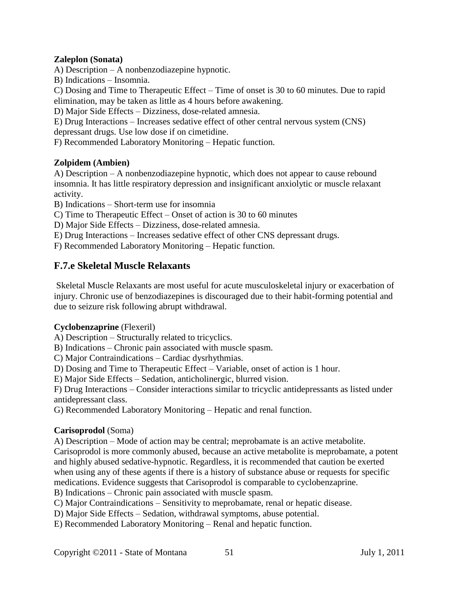#### **Zaleplon (Sonata)**

A) Description – A nonbenzodiazepine hypnotic.

B) Indications – Insomnia.

C) Dosing and Time to Therapeutic Effect – Time of onset is 30 to 60 minutes. Due to rapid elimination, may be taken as little as 4 hours before awakening.

D) Major Side Effects – Dizziness, dose-related amnesia.

E) Drug Interactions – Increases sedative effect of other central nervous system (CNS) depressant drugs. Use low dose if on cimetidine.

F) Recommended Laboratory Monitoring – Hepatic function.

#### **Zolpidem (Ambien)**

A) Description – A nonbenzodiazepine hypnotic, which does not appear to cause rebound insomnia. It has little respiratory depression and insignificant anxiolytic or muscle relaxant activity.

B) Indications – Short-term use for insomnia

C) Time to Therapeutic Effect – Onset of action is 30 to 60 minutes

D) Major Side Effects – Dizziness, dose-related amnesia.

E) Drug Interactions – Increases sedative effect of other CNS depressant drugs.

F) Recommended Laboratory Monitoring – Hepatic function.

### **F.7.e Skeletal Muscle Relaxants**

Skeletal Muscle Relaxants are most useful for acute musculoskeletal injury or exacerbation of injury. Chronic use of benzodiazepines is discouraged due to their habit-forming potential and due to seizure risk following abrupt withdrawal.

#### **Cyclobenzaprine** (Flexeril)

A) Description – Structurally related to tricyclics.

B) Indications – Chronic pain associated with muscle spasm.

C) Major Contraindications – Cardiac dysrhythmias.

D) Dosing and Time to Therapeutic Effect – Variable, onset of action is 1 hour.

E) Major Side Effects – Sedation, anticholinergic, blurred vision.

F) Drug Interactions – Consider interactions similar to tricyclic antidepressants as listed under antidepressant class.

G) Recommended Laboratory Monitoring – Hepatic and renal function.

#### **Carisoprodol** (Soma)

A) Description – Mode of action may be central; meprobamate is an active metabolite.

Carisoprodol is more commonly abused, because an active metabolite is meprobamate, a potent and highly abused sedative-hypnotic. Regardless, it is recommended that caution be exerted when using any of these agents if there is a history of substance abuse or requests for specific medications. Evidence suggests that Carisoprodol is comparable to cyclobenzaprine.

B) Indications – Chronic pain associated with muscle spasm.

C) Major Contraindications – Sensitivity to meprobamate, renal or hepatic disease.

D) Major Side Effects – Sedation, withdrawal symptoms, abuse potential.

E) Recommended Laboratory Monitoring – Renal and hepatic function.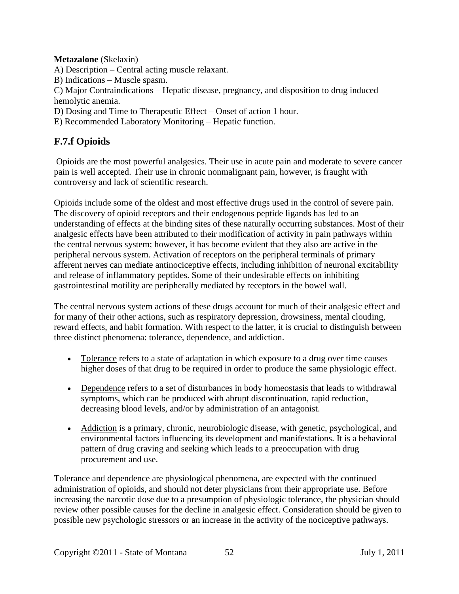**Metazalone** (Skelaxin)

A) Description – Central acting muscle relaxant.

B) Indications – Muscle spasm.

C) Major Contraindications – Hepatic disease, pregnancy, and disposition to drug induced hemolytic anemia.

D) Dosing and Time to Therapeutic Effect – Onset of action 1 hour.

E) Recommended Laboratory Monitoring – Hepatic function.

# **F.7.f Opioids**

Opioids are the most powerful analgesics. Their use in acute pain and moderate to severe cancer pain is well accepted. Their use in chronic nonmalignant pain, however, is fraught with controversy and lack of scientific research.

Opioids include some of the oldest and most effective drugs used in the control of severe pain. The discovery of opioid receptors and their endogenous peptide ligands has led to an understanding of effects at the binding sites of these naturally occurring substances. Most of their analgesic effects have been attributed to their modification of activity in pain pathways within the central nervous system; however, it has become evident that they also are active in the peripheral nervous system. Activation of receptors on the peripheral terminals of primary afferent nerves can mediate antinociceptive effects, including inhibition of neuronal excitability and release of inflammatory peptides. Some of their undesirable effects on inhibiting gastrointestinal motility are peripherally mediated by receptors in the bowel wall.

The central nervous system actions of these drugs account for much of their analgesic effect and for many of their other actions, such as respiratory depression, drowsiness, mental clouding, reward effects, and habit formation. With respect to the latter, it is crucial to distinguish between three distinct phenomena: tolerance, dependence, and addiction.

- Tolerance refers to a state of adaptation in which exposure to a drug over time causes higher doses of that drug to be required in order to produce the same physiologic effect.
- Dependence refers to a set of disturbances in body homeostasis that leads to withdrawal symptoms, which can be produced with abrupt discontinuation, rapid reduction, decreasing blood levels, and/or by administration of an antagonist.
- Addiction is a primary, chronic, neurobiologic disease, with genetic, psychological, and environmental factors influencing its development and manifestations. It is a behavioral pattern of drug craving and seeking which leads to a preoccupation with drug procurement and use.

Tolerance and dependence are physiological phenomena, are expected with the continued administration of opioids, and should not deter physicians from their appropriate use. Before increasing the narcotic dose due to a presumption of physiologic tolerance, the physician should review other possible causes for the decline in analgesic effect. Consideration should be given to possible new psychologic stressors or an increase in the activity of the nociceptive pathways.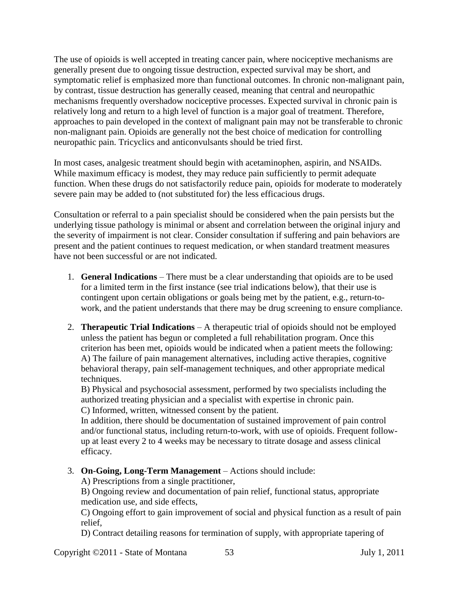The use of opioids is well accepted in treating cancer pain, where nociceptive mechanisms are generally present due to ongoing tissue destruction, expected survival may be short, and symptomatic relief is emphasized more than functional outcomes. In chronic non-malignant pain, by contrast, tissue destruction has generally ceased, meaning that central and neuropathic mechanisms frequently overshadow nociceptive processes. Expected survival in chronic pain is relatively long and return to a high level of function is a major goal of treatment. Therefore, approaches to pain developed in the context of malignant pain may not be transferable to chronic non-malignant pain. Opioids are generally not the best choice of medication for controlling neuropathic pain. Tricyclics and anticonvulsants should be tried first.

In most cases, analgesic treatment should begin with acetaminophen, aspirin, and NSAIDs. While maximum efficacy is modest, they may reduce pain sufficiently to permit adequate function. When these drugs do not satisfactorily reduce pain, opioids for moderate to moderately severe pain may be added to (not substituted for) the less efficacious drugs.

Consultation or referral to a pain specialist should be considered when the pain persists but the underlying tissue pathology is minimal or absent and correlation between the original injury and the severity of impairment is not clear. Consider consultation if suffering and pain behaviors are present and the patient continues to request medication, or when standard treatment measures have not been successful or are not indicated.

- 1. **General Indications**  There must be a clear understanding that opioids are to be used for a limited term in the first instance (see trial indications below), that their use is contingent upon certain obligations or goals being met by the patient, e.g., return-towork, and the patient understands that there may be drug screening to ensure compliance.
- 2. **Therapeutic Trial Indications**  A therapeutic trial of opioids should not be employed unless the patient has begun or completed a full rehabilitation program. Once this criterion has been met, opioids would be indicated when a patient meets the following: A) The failure of pain management alternatives, including active therapies, cognitive behavioral therapy, pain self-management techniques, and other appropriate medical techniques.

B) Physical and psychosocial assessment, performed by two specialists including the authorized treating physician and a specialist with expertise in chronic pain. C) Informed, written, witnessed consent by the patient.

In addition, there should be documentation of sustained improvement of pain control and/or functional status, including return-to-work, with use of opioids. Frequent followup at least every 2 to 4 weeks may be necessary to titrate dosage and assess clinical efficacy.

3. **On-Going, Long-Term Management** – Actions should include:

A) Prescriptions from a single practitioner,

B) Ongoing review and documentation of pain relief, functional status, appropriate medication use, and side effects,

C) Ongoing effort to gain improvement of social and physical function as a result of pain relief,

D) Contract detailing reasons for termination of supply, with appropriate tapering of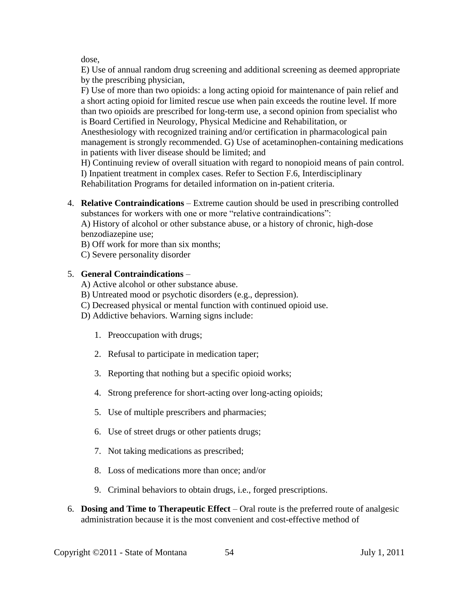dose,

E) Use of annual random drug screening and additional screening as deemed appropriate by the prescribing physician,

F) Use of more than two opioids: a long acting opioid for maintenance of pain relief and a short acting opioid for limited rescue use when pain exceeds the routine level. If more than two opioids are prescribed for long-term use, a second opinion from specialist who is Board Certified in Neurology, Physical Medicine and Rehabilitation, or

Anesthesiology with recognized training and/or certification in pharmacological pain management is strongly recommended. G) Use of acetaminophen-containing medications in patients with liver disease should be limited; and

H) Continuing review of overall situation with regard to nonopioid means of pain control. I) Inpatient treatment in complex cases. Refer to Section F.6, Interdisciplinary Rehabilitation Programs for detailed information on in-patient criteria.

4. **Relative Contraindications** – Extreme caution should be used in prescribing controlled substances for workers with one or more "relative contraindications":

A) History of alcohol or other substance abuse, or a history of chronic, high-dose benzodiazepine use:

B) Off work for more than six months;

C) Severe personality disorder

### 5. **General Contraindications** –

- A) Active alcohol or other substance abuse.
- B) Untreated mood or psychotic disorders (e.g., depression).
- C) Decreased physical or mental function with continued opioid use.
- D) Addictive behaviors. Warning signs include:
	- 1. Preoccupation with drugs;
	- 2. Refusal to participate in medication taper;
	- 3. Reporting that nothing but a specific opioid works;
	- 4. Strong preference for short-acting over long-acting opioids;
	- 5. Use of multiple prescribers and pharmacies;
	- 6. Use of street drugs or other patients drugs;
	- 7. Not taking medications as prescribed;
	- 8. Loss of medications more than once; and/or
	- 9. Criminal behaviors to obtain drugs, i.e., forged prescriptions.
- 6. **Dosing and Time to Therapeutic Effect**  Oral route is the preferred route of analgesic administration because it is the most convenient and cost-effective method of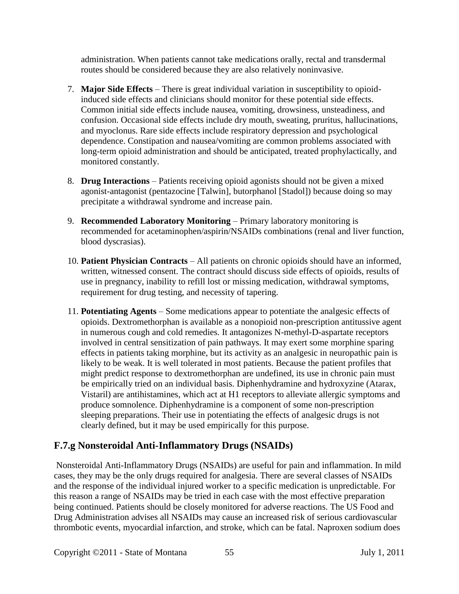administration. When patients cannot take medications orally, rectal and transdermal routes should be considered because they are also relatively noninvasive.

- 7. **Major Side Effects**  There is great individual variation in susceptibility to opioidinduced side effects and clinicians should monitor for these potential side effects. Common initial side effects include nausea, vomiting, drowsiness, unsteadiness, and confusion. Occasional side effects include dry mouth, sweating, pruritus, hallucinations, and myoclonus. Rare side effects include respiratory depression and psychological dependence. Constipation and nausea/vomiting are common problems associated with long-term opioid administration and should be anticipated, treated prophylactically, and monitored constantly.
- 8. **Drug Interactions**  Patients receiving opioid agonists should not be given a mixed agonist-antagonist (pentazocine [Talwin], butorphanol [Stadol]) because doing so may precipitate a withdrawal syndrome and increase pain.
- 9. **Recommended Laboratory Monitoring**  Primary laboratory monitoring is recommended for acetaminophen/aspirin/NSAIDs combinations (renal and liver function, blood dyscrasias).
- 10. **Patient Physician Contracts**  All patients on chronic opioids should have an informed, written, witnessed consent. The contract should discuss side effects of opioids, results of use in pregnancy, inability to refill lost or missing medication, withdrawal symptoms, requirement for drug testing, and necessity of tapering.
- 11. **Potentiating Agents**  Some medications appear to potentiate the analgesic effects of opioids. Dextromethorphan is available as a nonopioid non-prescription antitussive agent in numerous cough and cold remedies. It antagonizes N-methyl-D-aspartate receptors involved in central sensitization of pain pathways. It may exert some morphine sparing effects in patients taking morphine, but its activity as an analgesic in neuropathic pain is likely to be weak. It is well tolerated in most patients. Because the patient profiles that might predict response to dextromethorphan are undefined, its use in chronic pain must be empirically tried on an individual basis. Diphenhydramine and hydroxyzine (Atarax, Vistaril) are antihistamines, which act at H1 receptors to alleviate allergic symptoms and produce somnolence. Diphenhydramine is a component of some non-prescription sleeping preparations. Their use in potentiating the effects of analgesic drugs is not clearly defined, but it may be used empirically for this purpose.

## **F.7.g Nonsteroidal Anti-Inflammatory Drugs (NSAIDs)**

Nonsteroidal Anti-Inflammatory Drugs (NSAIDs) are useful for pain and inflammation. In mild cases, they may be the only drugs required for analgesia. There are several classes of NSAIDs and the response of the individual injured worker to a specific medication is unpredictable. For this reason a range of NSAIDs may be tried in each case with the most effective preparation being continued. Patients should be closely monitored for adverse reactions. The US Food and Drug Administration advises all NSAIDs may cause an increased risk of serious cardiovascular thrombotic events, myocardial infarction, and stroke, which can be fatal. Naproxen sodium does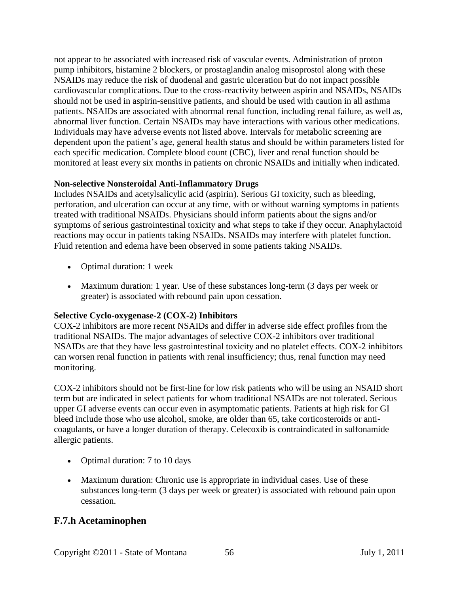not appear to be associated with increased risk of vascular events. Administration of proton pump inhibitors, histamine 2 blockers, or prostaglandin analog misoprostol along with these NSAIDs may reduce the risk of duodenal and gastric ulceration but do not impact possible cardiovascular complications. Due to the cross-reactivity between aspirin and NSAIDs, NSAIDs should not be used in aspirin-sensitive patients, and should be used with caution in all asthma patients. NSAIDs are associated with abnormal renal function, including renal failure, as well as, abnormal liver function. Certain NSAIDs may have interactions with various other medications. Individuals may have adverse events not listed above. Intervals for metabolic screening are dependent upon the patient's age, general health status and should be within parameters listed for each specific medication. Complete blood count (CBC), liver and renal function should be monitored at least every six months in patients on chronic NSAIDs and initially when indicated.

#### **Non-selective Nonsteroidal Anti-Inflammatory Drugs**

Includes NSAIDs and acetylsalicylic acid (aspirin). Serious GI toxicity, such as bleeding, perforation, and ulceration can occur at any time, with or without warning symptoms in patients treated with traditional NSAIDs. Physicians should inform patients about the signs and/or symptoms of serious gastrointestinal toxicity and what steps to take if they occur. Anaphylactoid reactions may occur in patients taking NSAIDs. NSAIDs may interfere with platelet function. Fluid retention and edema have been observed in some patients taking NSAIDs.

- Optimal duration: 1 week
- Maximum duration: 1 year. Use of these substances long-term (3 days per week or greater) is associated with rebound pain upon cessation.

### **Selective Cyclo-oxygenase-2 (COX-2) Inhibitors**

COX-2 inhibitors are more recent NSAIDs and differ in adverse side effect profiles from the traditional NSAIDs. The major advantages of selective COX-2 inhibitors over traditional NSAIDs are that they have less gastrointestinal toxicity and no platelet effects. COX-2 inhibitors can worsen renal function in patients with renal insufficiency; thus, renal function may need monitoring.

COX-2 inhibitors should not be first-line for low risk patients who will be using an NSAID short term but are indicated in select patients for whom traditional NSAIDs are not tolerated. Serious upper GI adverse events can occur even in asymptomatic patients. Patients at high risk for GI bleed include those who use alcohol, smoke, are older than 65, take corticosteroids or anticoagulants, or have a longer duration of therapy. Celecoxib is contraindicated in sulfonamide allergic patients.

- Optimal duration: 7 to 10 days
- Maximum duration: Chronic use is appropriate in individual cases. Use of these substances long-term (3 days per week or greater) is associated with rebound pain upon cessation.

### **F.7.h Acetaminophen**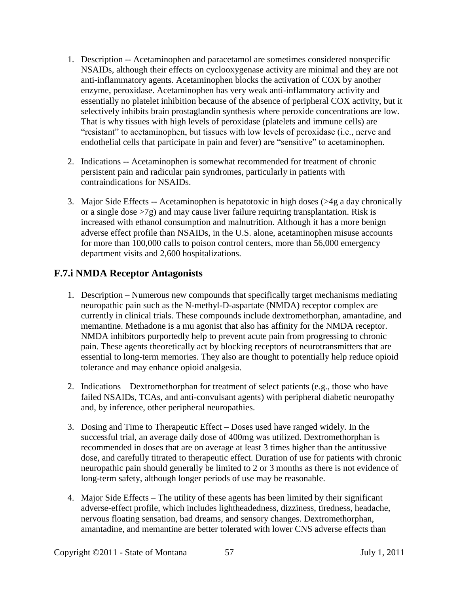- 1. Description -- Acetaminophen and paracetamol are sometimes considered nonspecific NSAIDs, although their effects on cyclooxygenase activity are minimal and they are not anti-inflammatory agents. Acetaminophen blocks the activation of COX by another enzyme, peroxidase. Acetaminophen has very weak anti-inflammatory activity and essentially no platelet inhibition because of the absence of peripheral COX activity, but it selectively inhibits brain prostaglandin synthesis where peroxide concentrations are low. That is why tissues with high levels of peroxidase (platelets and immune cells) are "resistant" to acetaminophen, but tissues with low levels of peroxidase (i.e., nerve and endothelial cells that participate in pain and fever) are "sensitive" to acetaminophen.
- 2. Indications -- Acetaminophen is somewhat recommended for treatment of chronic persistent pain and radicular pain syndromes, particularly in patients with contraindications for NSAIDs.
- 3. Major Side Effects -- Acetaminophen is hepatotoxic in high doses (>4g a day chronically or a single dose >7g) and may cause liver failure requiring transplantation. Risk is increased with ethanol consumption and malnutrition. Although it has a more benign adverse effect profile than NSAIDs, in the U.S. alone, acetaminophen misuse accounts for more than 100,000 calls to poison control centers, more than 56,000 emergency department visits and 2,600 hospitalizations.

### **F.7.i NMDA Receptor Antagonists**

- 1. Description Numerous new compounds that specifically target mechanisms mediating neuropathic pain such as the N-methyl-D-aspartate (NMDA) receptor complex are currently in clinical trials. These compounds include dextromethorphan, amantadine, and memantine. Methadone is a mu agonist that also has affinity for the NMDA receptor. NMDA inhibitors purportedly help to prevent acute pain from progressing to chronic pain. These agents theoretically act by blocking receptors of neurotransmitters that are essential to long-term memories. They also are thought to potentially help reduce opioid tolerance and may enhance opioid analgesia.
- 2. Indications Dextromethorphan for treatment of select patients (e.g., those who have failed NSAIDs, TCAs, and anti-convulsant agents) with peripheral diabetic neuropathy and, by inference, other peripheral neuropathies.
- 3. Dosing and Time to Therapeutic Effect Doses used have ranged widely. In the successful trial, an average daily dose of 400mg was utilized. Dextromethorphan is recommended in doses that are on average at least 3 times higher than the antitussive dose, and carefully titrated to therapeutic effect. Duration of use for patients with chronic neuropathic pain should generally be limited to 2 or 3 months as there is not evidence of long-term safety, although longer periods of use may be reasonable.
- 4. Major Side Effects The utility of these agents has been limited by their significant adverse-effect profile, which includes lightheadedness, dizziness, tiredness, headache, nervous floating sensation, bad dreams, and sensory changes. Dextromethorphan, amantadine, and memantine are better tolerated with lower CNS adverse effects than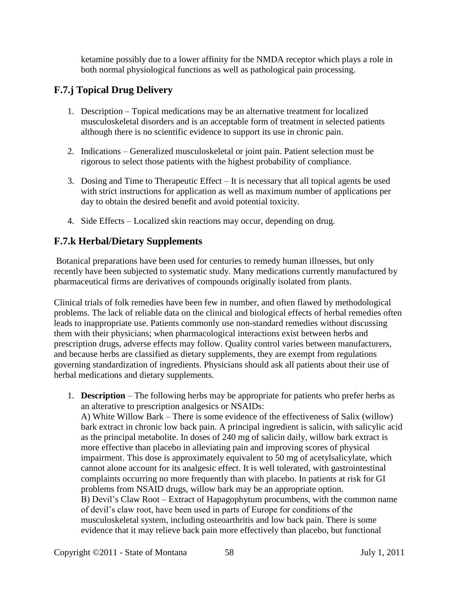ketamine possibly due to a lower affinity for the NMDA receptor which plays a role in both normal physiological functions as well as pathological pain processing.

# **F.7.j Topical Drug Delivery**

- 1. Description Topical medications may be an alternative treatment for localized musculoskeletal disorders and is an acceptable form of treatment in selected patients although there is no scientific evidence to support its use in chronic pain.
- 2. Indications Generalized musculoskeletal or joint pain. Patient selection must be rigorous to select those patients with the highest probability of compliance.
- 3. Dosing and Time to Therapeutic Effect It is necessary that all topical agents be used with strict instructions for application as well as maximum number of applications per day to obtain the desired benefit and avoid potential toxicity.
- 4. Side Effects Localized skin reactions may occur, depending on drug.

### **F.7.k Herbal/Dietary Supplements**

Botanical preparations have been used for centuries to remedy human illnesses, but only recently have been subjected to systematic study. Many medications currently manufactured by pharmaceutical firms are derivatives of compounds originally isolated from plants.

Clinical trials of folk remedies have been few in number, and often flawed by methodological problems. The lack of reliable data on the clinical and biological effects of herbal remedies often leads to inappropriate use. Patients commonly use non-standard remedies without discussing them with their physicians; when pharmacological interactions exist between herbs and prescription drugs, adverse effects may follow. Quality control varies between manufacturers, and because herbs are classified as dietary supplements, they are exempt from regulations governing standardization of ingredients. Physicians should ask all patients about their use of herbal medications and dietary supplements.

1. **Description** – The following herbs may be appropriate for patients who prefer herbs as an alterative to prescription analgesics or NSAIDs: A) White Willow Bark – There is some evidence of the effectiveness of Salix (willow) bark extract in chronic low back pain. A principal ingredient is salicin, with salicylic acid as the principal metabolite. In doses of 240 mg of salicin daily, willow bark extract is more effective than placebo in alleviating pain and improving scores of physical impairment. This dose is approximately equivalent to 50 mg of acetylsalicylate, which cannot alone account for its analgesic effect. It is well tolerated, with gastrointestinal complaints occurring no more frequently than with placebo. In patients at risk for GI problems from NSAID drugs, willow bark may be an appropriate option. B) Devil's Claw Root – Extract of Hapagophytum procumbens, with the common name of devil's claw root, have been used in parts of Europe for conditions of the musculoskeletal system, including osteoarthritis and low back pain. There is some evidence that it may relieve back pain more effectively than placebo, but functional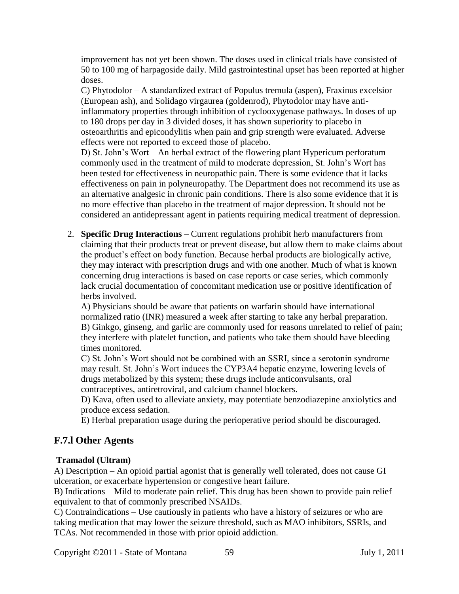improvement has not yet been shown. The doses used in clinical trials have consisted of 50 to 100 mg of harpagoside daily. Mild gastrointestinal upset has been reported at higher doses.

C) Phytodolor – A standardized extract of Populus tremula (aspen), Fraxinus excelsior (European ash), and Solidago virgaurea (goldenrod), Phytodolor may have antiinflammatory properties through inhibition of cyclooxygenase pathways. In doses of up to 180 drops per day in 3 divided doses, it has shown superiority to placebo in osteoarthritis and epicondylitis when pain and grip strength were evaluated. Adverse effects were not reported to exceed those of placebo.

D) St. John's Wort – An herbal extract of the flowering plant Hypericum perforatum commonly used in the treatment of mild to moderate depression, St. John's Wort has been tested for effectiveness in neuropathic pain. There is some evidence that it lacks effectiveness on pain in polyneuropathy. The Department does not recommend its use as an alternative analgesic in chronic pain conditions. There is also some evidence that it is no more effective than placebo in the treatment of major depression. It should not be considered an antidepressant agent in patients requiring medical treatment of depression.

2. **Specific Drug Interactions** – Current regulations prohibit herb manufacturers from claiming that their products treat or prevent disease, but allow them to make claims about the product's effect on body function. Because herbal products are biologically active, they may interact with prescription drugs and with one another. Much of what is known concerning drug interactions is based on case reports or case series, which commonly lack crucial documentation of concomitant medication use or positive identification of herbs involved.

A) Physicians should be aware that patients on warfarin should have international normalized ratio (INR) measured a week after starting to take any herbal preparation. B) Ginkgo, ginseng, and garlic are commonly used for reasons unrelated to relief of pain; they interfere with platelet function, and patients who take them should have bleeding times monitored.

C) St. John's Wort should not be combined with an SSRI, since a serotonin syndrome may result. St. John's Wort induces the CYP3A4 hepatic enzyme, lowering levels of drugs metabolized by this system; these drugs include anticonvulsants, oral contraceptives, antiretroviral, and calcium channel blockers.

D) Kava, often used to alleviate anxiety, may potentiate benzodiazepine anxiolytics and produce excess sedation.

E) Herbal preparation usage during the perioperative period should be discouraged.

## **F.7.l Other Agents**

### **Tramadol (Ultram)**

A) Description – An opioid partial agonist that is generally well tolerated, does not cause GI ulceration, or exacerbate hypertension or congestive heart failure.

B) Indications – Mild to moderate pain relief. This drug has been shown to provide pain relief equivalent to that of commonly prescribed NSAIDs.

C) Contraindications – Use cautiously in patients who have a history of seizures or who are taking medication that may lower the seizure threshold, such as MAO inhibitors, SSRIs, and TCAs. Not recommended in those with prior opioid addiction.

Copyright ©2011 - State of Montana 59 July 1, 2011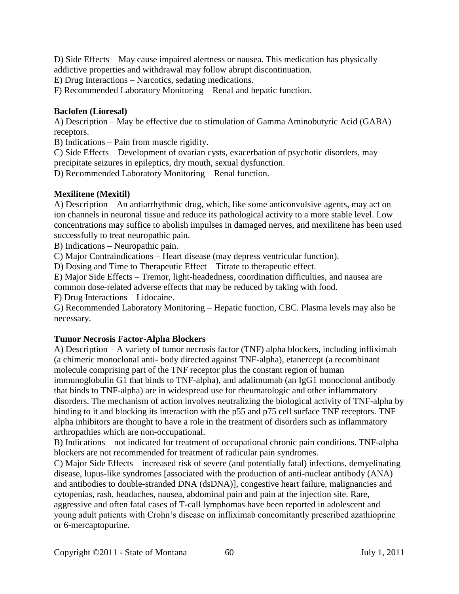D) Side Effects – May cause impaired alertness or nausea. This medication has physically addictive properties and withdrawal may follow abrupt discontinuation.

E) Drug Interactions – Narcotics, sedating medications.

F) Recommended Laboratory Monitoring – Renal and hepatic function.

#### **Baclofen (Lioresal)**

A) Description – May be effective due to stimulation of Gamma Aminobutyric Acid (GABA) receptors.

B) Indications – Pain from muscle rigidity.

C) Side Effects – Development of ovarian cysts, exacerbation of psychotic disorders, may precipitate seizures in epileptics, dry mouth, sexual dysfunction.

D) Recommended Laboratory Monitoring – Renal function.

#### **Mexilitene (Mexitil)**

A) Description – An antiarrhythmic drug, which, like some anticonvulsive agents, may act on ion channels in neuronal tissue and reduce its pathological activity to a more stable level. Low concentrations may suffice to abolish impulses in damaged nerves, and mexilitene has been used successfully to treat neuropathic pain.

B) Indications – Neuropathic pain.

C) Major Contraindications – Heart disease (may depress ventricular function).

D) Dosing and Time to Therapeutic Effect – Titrate to therapeutic effect.

E) Major Side Effects – Tremor, light-headedness, coordination difficulties, and nausea are common dose-related adverse effects that may be reduced by taking with food.

F) Drug Interactions – Lidocaine.

G) Recommended Laboratory Monitoring – Hepatic function, CBC. Plasma levels may also be necessary.

#### **Tumor Necrosis Factor-Alpha Blockers**

A) Description – A variety of tumor necrosis factor (TNF) alpha blockers, including infliximab (a chimeric monoclonal anti- body directed against TNF-alpha), etanercept (a recombinant molecule comprising part of the TNF receptor plus the constant region of human immunoglobulin G1 that binds to TNF-alpha), and adalimumab (an IgG1 monoclonal antibody that binds to TNF-alpha) are in widespread use for rheumatologic and other inflammatory disorders. The mechanism of action involves neutralizing the biological activity of TNF-alpha by binding to it and blocking its interaction with the p55 and p75 cell surface TNF receptors. TNF alpha inhibitors are thought to have a role in the treatment of disorders such as inflammatory arthropathies which are non-occupational.

B) Indications – not indicated for treatment of occupational chronic pain conditions. TNF-alpha blockers are not recommended for treatment of radicular pain syndromes.

C) Major Side Effects – increased risk of severe (and potentially fatal) infections, demyelinating disease, lupus-like syndromes [associated with the production of anti-nuclear antibody (ANA) and antibodies to double-stranded DNA (dsDNA)], congestive heart failure, malignancies and cytopenias, rash, headaches, nausea, abdominal pain and pain at the injection site. Rare, aggressive and often fatal cases of T-call lymphomas have been reported in adolescent and young adult patients with Crohn's disease on infliximab concomitantly prescribed azathioprine or 6-mercaptopurine.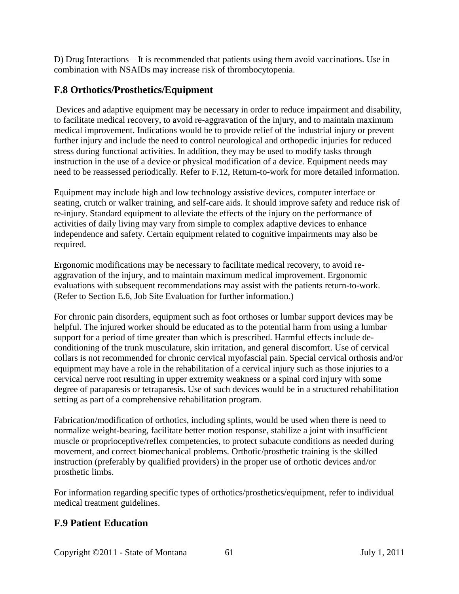D) Drug Interactions – It is recommended that patients using them avoid vaccinations. Use in combination with NSAIDs may increase risk of thrombocytopenia.

## **F.8 Orthotics/Prosthetics/Equipment**

Devices and adaptive equipment may be necessary in order to reduce impairment and disability, to facilitate medical recovery, to avoid re-aggravation of the injury, and to maintain maximum medical improvement. Indications would be to provide relief of the industrial injury or prevent further injury and include the need to control neurological and orthopedic injuries for reduced stress during functional activities. In addition, they may be used to modify tasks through instruction in the use of a device or physical modification of a device. Equipment needs may need to be reassessed periodically. Refer to F.12, Return-to-work for more detailed information.

Equipment may include high and low technology assistive devices, computer interface or seating, crutch or walker training, and self-care aids. It should improve safety and reduce risk of re-injury. Standard equipment to alleviate the effects of the injury on the performance of activities of daily living may vary from simple to complex adaptive devices to enhance independence and safety. Certain equipment related to cognitive impairments may also be required.

Ergonomic modifications may be necessary to facilitate medical recovery, to avoid reaggravation of the injury, and to maintain maximum medical improvement. Ergonomic evaluations with subsequent recommendations may assist with the patients return-to-work. (Refer to Section E.6, Job Site Evaluation for further information.)

For chronic pain disorders, equipment such as foot orthoses or lumbar support devices may be helpful. The injured worker should be educated as to the potential harm from using a lumbar support for a period of time greater than which is prescribed. Harmful effects include deconditioning of the trunk musculature, skin irritation, and general discomfort. Use of cervical collars is not recommended for chronic cervical myofascial pain. Special cervical orthosis and/or equipment may have a role in the rehabilitation of a cervical injury such as those injuries to a cervical nerve root resulting in upper extremity weakness or a spinal cord injury with some degree of paraparesis or tetraparesis. Use of such devices would be in a structured rehabilitation setting as part of a comprehensive rehabilitation program.

Fabrication/modification of orthotics, including splints, would be used when there is need to normalize weight-bearing, facilitate better motion response, stabilize a joint with insufficient muscle or proprioceptive/reflex competencies, to protect subacute conditions as needed during movement, and correct biomechanical problems. Orthotic/prosthetic training is the skilled instruction (preferably by qualified providers) in the proper use of orthotic devices and/or prosthetic limbs.

For information regarding specific types of orthotics/prosthetics/equipment, refer to individual medical treatment guidelines.

## **F.9 Patient Education**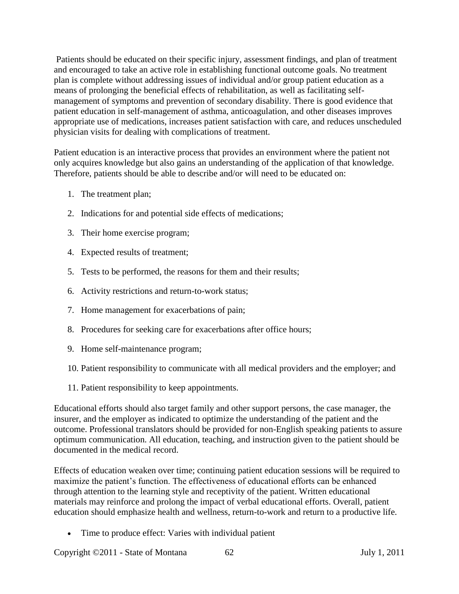Patients should be educated on their specific injury, assessment findings, and plan of treatment and encouraged to take an active role in establishing functional outcome goals. No treatment plan is complete without addressing issues of individual and/or group patient education as a means of prolonging the beneficial effects of rehabilitation, as well as facilitating selfmanagement of symptoms and prevention of secondary disability. There is good evidence that patient education in self-management of asthma, anticoagulation, and other diseases improves appropriate use of medications, increases patient satisfaction with care, and reduces unscheduled physician visits for dealing with complications of treatment.

Patient education is an interactive process that provides an environment where the patient not only acquires knowledge but also gains an understanding of the application of that knowledge. Therefore, patients should be able to describe and/or will need to be educated on:

- 1. The treatment plan;
- 2. Indications for and potential side effects of medications;
- 3. Their home exercise program;
- 4. Expected results of treatment;
- 5. Tests to be performed, the reasons for them and their results;
- 6. Activity restrictions and return-to-work status;
- 7. Home management for exacerbations of pain;
- 8. Procedures for seeking care for exacerbations after office hours;
- 9. Home self-maintenance program;
- 10. Patient responsibility to communicate with all medical providers and the employer; and
- 11. Patient responsibility to keep appointments.

Educational efforts should also target family and other support persons, the case manager, the insurer, and the employer as indicated to optimize the understanding of the patient and the outcome. Professional translators should be provided for non-English speaking patients to assure optimum communication. All education, teaching, and instruction given to the patient should be documented in the medical record.

Effects of education weaken over time; continuing patient education sessions will be required to maximize the patient's function. The effectiveness of educational efforts can be enhanced through attention to the learning style and receptivity of the patient. Written educational materials may reinforce and prolong the impact of verbal educational efforts. Overall, patient education should emphasize health and wellness, return-to-work and return to a productive life.

• Time to produce effect: Varies with individual patient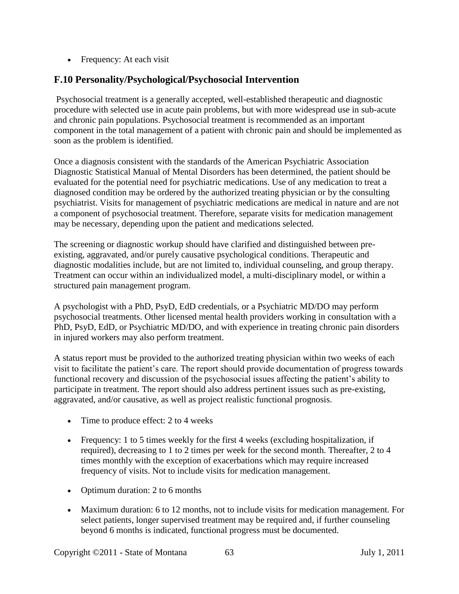• Frequency: At each visit

## **F.10 Personality/Psychological/Psychosocial Intervention**

Psychosocial treatment is a generally accepted, well-established therapeutic and diagnostic procedure with selected use in acute pain problems, but with more widespread use in sub-acute and chronic pain populations. Psychosocial treatment is recommended as an important component in the total management of a patient with chronic pain and should be implemented as soon as the problem is identified.

Once a diagnosis consistent with the standards of the American Psychiatric Association Diagnostic Statistical Manual of Mental Disorders has been determined, the patient should be evaluated for the potential need for psychiatric medications. Use of any medication to treat a diagnosed condition may be ordered by the authorized treating physician or by the consulting psychiatrist. Visits for management of psychiatric medications are medical in nature and are not a component of psychosocial treatment. Therefore, separate visits for medication management may be necessary, depending upon the patient and medications selected.

The screening or diagnostic workup should have clarified and distinguished between preexisting, aggravated, and/or purely causative psychological conditions. Therapeutic and diagnostic modalities include, but are not limited to, individual counseling, and group therapy. Treatment can occur within an individualized model, a multi-disciplinary model, or within a structured pain management program.

A psychologist with a PhD, PsyD, EdD credentials, or a Psychiatric MD/DO may perform psychosocial treatments. Other licensed mental health providers working in consultation with a PhD, PsyD, EdD, or Psychiatric MD/DO, and with experience in treating chronic pain disorders in injured workers may also perform treatment.

A status report must be provided to the authorized treating physician within two weeks of each visit to facilitate the patient's care. The report should provide documentation of progress towards functional recovery and discussion of the psychosocial issues affecting the patient's ability to participate in treatment. The report should also address pertinent issues such as pre-existing, aggravated, and/or causative, as well as project realistic functional prognosis.

- Time to produce effect: 2 to 4 weeks
- Frequency: 1 to 5 times weekly for the first 4 weeks (excluding hospitalization, if required), decreasing to 1 to 2 times per week for the second month. Thereafter, 2 to 4 times monthly with the exception of exacerbations which may require increased frequency of visits. Not to include visits for medication management.
- Optimum duration: 2 to 6 months
- Maximum duration: 6 to 12 months, not to include visits for medication management. For select patients, longer supervised treatment may be required and, if further counseling beyond 6 months is indicated, functional progress must be documented.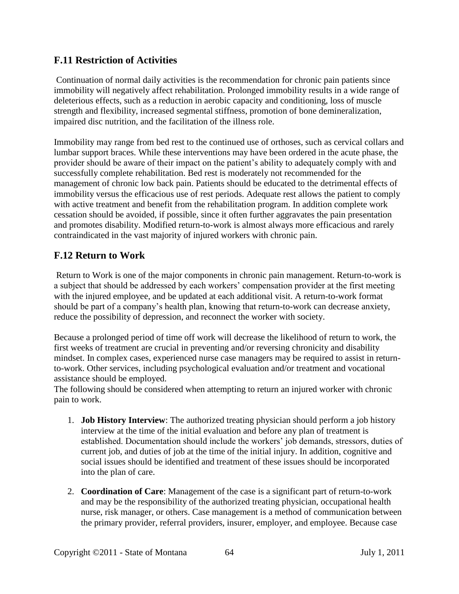### **F.11 Restriction of Activities**

Continuation of normal daily activities is the recommendation for chronic pain patients since immobility will negatively affect rehabilitation. Prolonged immobility results in a wide range of deleterious effects, such as a reduction in aerobic capacity and conditioning, loss of muscle strength and flexibility, increased segmental stiffness, promotion of bone demineralization, impaired disc nutrition, and the facilitation of the illness role.

Immobility may range from bed rest to the continued use of orthoses, such as cervical collars and lumbar support braces. While these interventions may have been ordered in the acute phase, the provider should be aware of their impact on the patient's ability to adequately comply with and successfully complete rehabilitation. Bed rest is moderately not recommended for the management of chronic low back pain. Patients should be educated to the detrimental effects of immobility versus the efficacious use of rest periods. Adequate rest allows the patient to comply with active treatment and benefit from the rehabilitation program. In addition complete work cessation should be avoided, if possible, since it often further aggravates the pain presentation and promotes disability. Modified return-to-work is almost always more efficacious and rarely contraindicated in the vast majority of injured workers with chronic pain.

## **F.12 Return to Work**

Return to Work is one of the major components in chronic pain management. Return-to-work is a subject that should be addressed by each workers' compensation provider at the first meeting with the injured employee, and be updated at each additional visit. A return-to-work format should be part of a company's health plan, knowing that return-to-work can decrease anxiety, reduce the possibility of depression, and reconnect the worker with society.

Because a prolonged period of time off work will decrease the likelihood of return to work, the first weeks of treatment are crucial in preventing and/or reversing chronicity and disability mindset. In complex cases, experienced nurse case managers may be required to assist in returnto-work. Other services, including psychological evaluation and/or treatment and vocational assistance should be employed.

The following should be considered when attempting to return an injured worker with chronic pain to work.

- 1. **Job History Interview**: The authorized treating physician should perform a job history interview at the time of the initial evaluation and before any plan of treatment is established. Documentation should include the workers' job demands, stressors, duties of current job, and duties of job at the time of the initial injury. In addition, cognitive and social issues should be identified and treatment of these issues should be incorporated into the plan of care.
- 2. **Coordination of Care**: Management of the case is a significant part of return-to-work and may be the responsibility of the authorized treating physician, occupational health nurse, risk manager, or others. Case management is a method of communication between the primary provider, referral providers, insurer, employer, and employee. Because case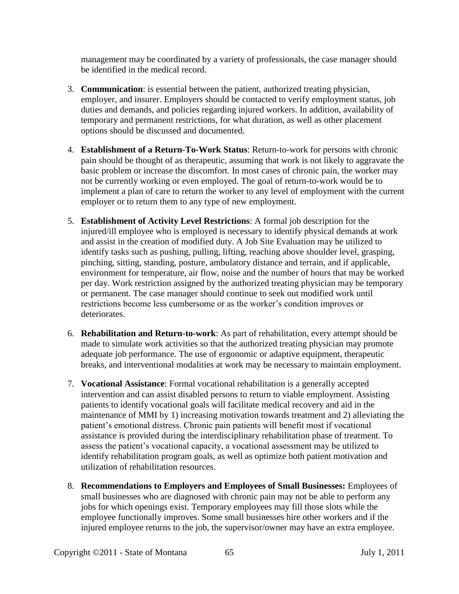management may be coordinated by a variety of professionals, the case manager should be identified in the medical record.

- 3. **Communication**: is essential between the patient, authorized treating physician, employer, and insurer. Employers should be contacted to verify employment status, job duties and demands, and policies regarding injured workers. In addition, availability of temporary and permanent restrictions, for what duration, as well as other placement options should be discussed and documented.
- 4. **Establishment of a Return-To-Work Status**: Return-to-work for persons with chronic pain should be thought of as therapeutic, assuming that work is not likely to aggravate the basic problem or increase the discomfort. In most cases of chronic pain, the worker may not be currently working or even employed. The goal of return-to-work would be to implement a plan of care to return the worker to any level of employment with the current employer or to return them to any type of new employment.
- 5. **Establishment of Activity Level Restrictions**: A formal job description for the injured/ill employee who is employed is necessary to identify physical demands at work and assist in the creation of modified duty. A Job Site Evaluation may be utilized to identify tasks such as pushing, pulling, lifting, reaching above shoulder level, grasping, pinching, sitting, standing, posture, ambulatory distance and terrain, and if applicable, environment for temperature, air flow, noise and the number of hours that may be worked per day. Work restriction assigned by the authorized treating physician may be temporary or permanent. The case manager should continue to seek out modified work until restrictions become less cumbersome or as the worker's condition improves or deteriorates.
- 6. **Rehabilitation and Return-to-work**: As part of rehabilitation, every attempt should be made to simulate work activities so that the authorized treating physician may promote adequate job performance. The use of ergonomic or adaptive equipment, therapeutic breaks, and interventional modalities at work may be necessary to maintain employment.
- 7. **Vocational Assistance**: Formal vocational rehabilitation is a generally accepted intervention and can assist disabled persons to return to viable employment. Assisting patients to identify vocational goals will facilitate medical recovery and aid in the maintenance of MMI by 1) increasing motivation towards treatment and 2) alleviating the patient's emotional distress. Chronic pain patients will benefit most if vocational assistance is provided during the interdisciplinary rehabilitation phase of treatment. To assess the patient's vocational capacity, a vocational assessment may be utilized to identify rehabilitation program goals, as well as optimize both patient motivation and utilization of rehabilitation resources.
- 8. **Recommendations to Employers and Employees of Small Businesses:** Employees of small businesses who are diagnosed with chronic pain may not be able to perform any jobs for which openings exist. Temporary employees may fill those slots while the employee functionally improves. Some small businesses hire other workers and if the injured employee returns to the job, the supervisor/owner may have an extra employee.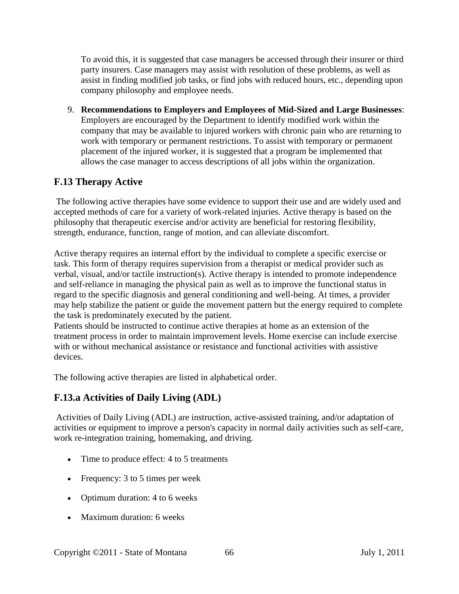To avoid this, it is suggested that case managers be accessed through their insurer or third party insurers. Case managers may assist with resolution of these problems, as well as assist in finding modified job tasks, or find jobs with reduced hours, etc., depending upon company philosophy and employee needs.

9. **Recommendations to Employers and Employees of Mid-Sized and Large Businesses**: Employers are encouraged by the Department to identify modified work within the company that may be available to injured workers with chronic pain who are returning to work with temporary or permanent restrictions. To assist with temporary or permanent placement of the injured worker, it is suggested that a program be implemented that allows the case manager to access descriptions of all jobs within the organization.

## **F.13 Therapy Active**

The following active therapies have some evidence to support their use and are widely used and accepted methods of care for a variety of work-related injuries. Active therapy is based on the philosophy that therapeutic exercise and/or activity are beneficial for restoring flexibility, strength, endurance, function, range of motion, and can alleviate discomfort.

Active therapy requires an internal effort by the individual to complete a specific exercise or task. This form of therapy requires supervision from a therapist or medical provider such as verbal, visual, and/or tactile instruction(s). Active therapy is intended to promote independence and self-reliance in managing the physical pain as well as to improve the functional status in regard to the specific diagnosis and general conditioning and well-being. At times, a provider may help stabilize the patient or guide the movement pattern but the energy required to complete the task is predominately executed by the patient.

Patients should be instructed to continue active therapies at home as an extension of the treatment process in order to maintain improvement levels. Home exercise can include exercise with or without mechanical assistance or resistance and functional activities with assistive devices.

The following active therapies are listed in alphabetical order.

## **F.13.a Activities of Daily Living (ADL)**

Activities of Daily Living (ADL) are instruction, active-assisted training, and/or adaptation of activities or equipment to improve a person's capacity in normal daily activities such as self-care, work re-integration training, homemaking, and driving.

- Time to produce effect: 4 to 5 treatments
- Frequency: 3 to 5 times per week
- Optimum duration: 4 to 6 weeks
- Maximum duration: 6 weeks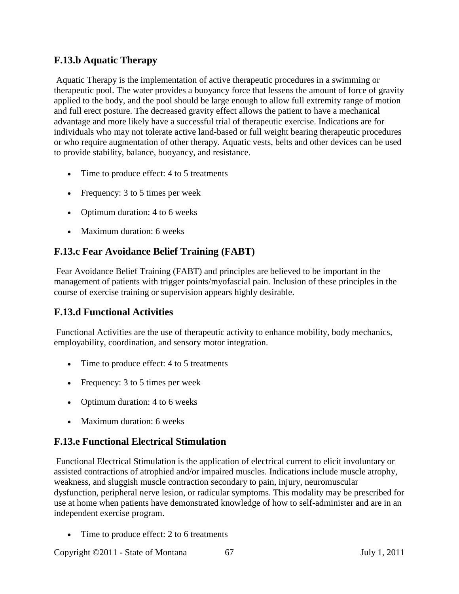## **F.13.b Aquatic Therapy**

Aquatic Therapy is the implementation of active therapeutic procedures in a swimming or therapeutic pool. The water provides a buoyancy force that lessens the amount of force of gravity applied to the body, and the pool should be large enough to allow full extremity range of motion and full erect posture. The decreased gravity effect allows the patient to have a mechanical advantage and more likely have a successful trial of therapeutic exercise. Indications are for individuals who may not tolerate active land-based or full weight bearing therapeutic procedures or who require augmentation of other therapy. Aquatic vests, belts and other devices can be used to provide stability, balance, buoyancy, and resistance.

- Time to produce effect: 4 to 5 treatments
- Frequency: 3 to 5 times per week
- Optimum duration: 4 to 6 weeks
- Maximum duration: 6 weeks

## **F.13.c Fear Avoidance Belief Training (FABT)**

Fear Avoidance Belief Training (FABT) and principles are believed to be important in the management of patients with trigger points/myofascial pain. Inclusion of these principles in the course of exercise training or supervision appears highly desirable.

### **F.13.d Functional Activities**

Functional Activities are the use of therapeutic activity to enhance mobility, body mechanics, employability, coordination, and sensory motor integration.

- Time to produce effect: 4 to 5 treatments
- Frequency: 3 to 5 times per week
- Optimum duration: 4 to 6 weeks
- Maximum duration: 6 weeks

### **F.13.e Functional Electrical Stimulation**

Functional Electrical Stimulation is the application of electrical current to elicit involuntary or assisted contractions of atrophied and/or impaired muscles. Indications include muscle atrophy, weakness, and sluggish muscle contraction secondary to pain, injury, neuromuscular dysfunction, peripheral nerve lesion, or radicular symptoms. This modality may be prescribed for use at home when patients have demonstrated knowledge of how to self-administer and are in an independent exercise program.

• Time to produce effect: 2 to 6 treatments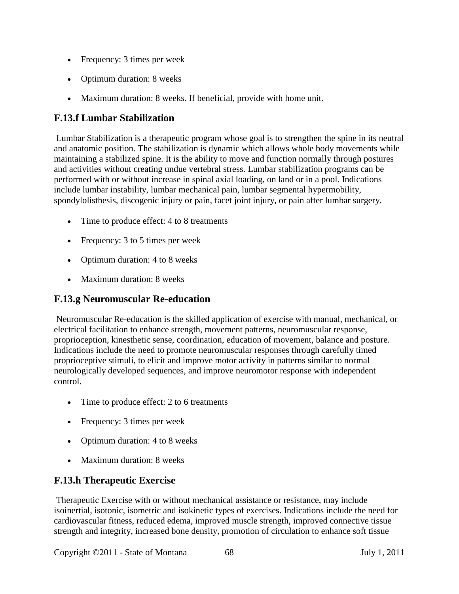- Frequency: 3 times per week
- Optimum duration: 8 weeks
- Maximum duration: 8 weeks. If beneficial, provide with home unit.

### **F.13.f Lumbar Stabilization**

Lumbar Stabilization is a therapeutic program whose goal is to strengthen the spine in its neutral and anatomic position. The stabilization is dynamic which allows whole body movements while maintaining a stabilized spine. It is the ability to move and function normally through postures and activities without creating undue vertebral stress. Lumbar stabilization programs can be performed with or without increase in spinal axial loading, on land or in a pool. Indications include lumbar instability, lumbar mechanical pain, lumbar segmental hypermobility, spondylolisthesis, discogenic injury or pain, facet joint injury, or pain after lumbar surgery.

- Time to produce effect: 4 to 8 treatments
- Frequency: 3 to 5 times per week
- Optimum duration: 4 to 8 weeks
- Maximum duration: 8 weeks

### **F.13.g Neuromuscular Re-education**

Neuromuscular Re-education is the skilled application of exercise with manual, mechanical, or electrical facilitation to enhance strength, movement patterns, neuromuscular response, proprioception, kinesthetic sense, coordination, education of movement, balance and posture. Indications include the need to promote neuromuscular responses through carefully timed proprioceptive stimuli, to elicit and improve motor activity in patterns similar to normal neurologically developed sequences, and improve neuromotor response with independent control.

- Time to produce effect: 2 to 6 treatments
- Frequency: 3 times per week
- Optimum duration: 4 to 8 weeks
- Maximum duration: 8 weeks

### **F.13.h Therapeutic Exercise**

Therapeutic Exercise with or without mechanical assistance or resistance, may include isoinertial, isotonic, isometric and isokinetic types of exercises. Indications include the need for cardiovascular fitness, reduced edema, improved muscle strength, improved connective tissue strength and integrity, increased bone density, promotion of circulation to enhance soft tissue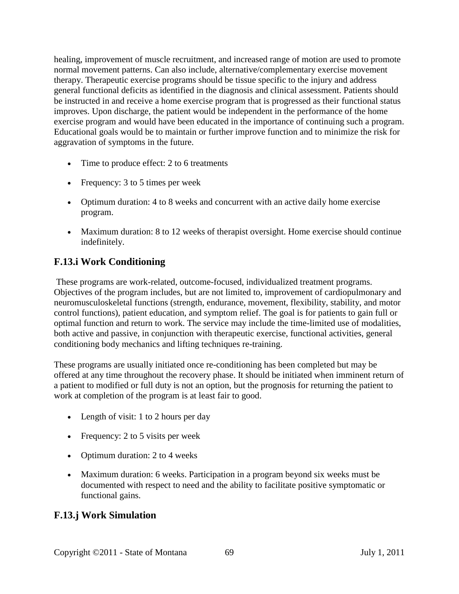healing, improvement of muscle recruitment, and increased range of motion are used to promote normal movement patterns. Can also include, alternative/complementary exercise movement therapy. Therapeutic exercise programs should be tissue specific to the injury and address general functional deficits as identified in the diagnosis and clinical assessment. Patients should be instructed in and receive a home exercise program that is progressed as their functional status improves. Upon discharge, the patient would be independent in the performance of the home exercise program and would have been educated in the importance of continuing such a program. Educational goals would be to maintain or further improve function and to minimize the risk for aggravation of symptoms in the future.

- Time to produce effect: 2 to 6 treatments
- Frequency: 3 to 5 times per week
- Optimum duration: 4 to 8 weeks and concurrent with an active daily home exercise program.
- Maximum duration: 8 to 12 weeks of therapist oversight. Home exercise should continue indefinitely.

### **F.13.i Work Conditioning**

These programs are work-related, outcome-focused, individualized treatment programs. Objectives of the program includes, but are not limited to, improvement of cardiopulmonary and neuromusculoskeletal functions (strength, endurance, movement, flexibility, stability, and motor control functions), patient education, and symptom relief. The goal is for patients to gain full or optimal function and return to work. The service may include the time-limited use of modalities, both active and passive, in conjunction with therapeutic exercise, functional activities, general conditioning body mechanics and lifting techniques re-training.

These programs are usually initiated once re-conditioning has been completed but may be offered at any time throughout the recovery phase. It should be initiated when imminent return of a patient to modified or full duty is not an option, but the prognosis for returning the patient to work at completion of the program is at least fair to good.

- Length of visit: 1 to 2 hours per day
- Frequency: 2 to 5 visits per week
- Optimum duration: 2 to 4 weeks
- Maximum duration: 6 weeks. Participation in a program beyond six weeks must be documented with respect to need and the ability to facilitate positive symptomatic or functional gains.

## **F.13.j Work Simulation**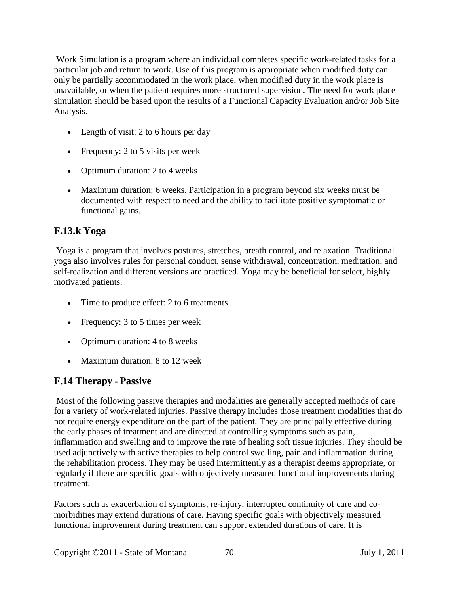Work Simulation is a program where an individual completes specific work-related tasks for a particular job and return to work. Use of this program is appropriate when modified duty can only be partially accommodated in the work place, when modified duty in the work place is unavailable, or when the patient requires more structured supervision. The need for work place simulation should be based upon the results of a Functional Capacity Evaluation and/or Job Site Analysis.

- Length of visit: 2 to 6 hours per day
- Frequency: 2 to 5 visits per week
- Optimum duration: 2 to 4 weeks
- Maximum duration: 6 weeks. Participation in a program beyond six weeks must be documented with respect to need and the ability to facilitate positive symptomatic or functional gains.

# **F.13.k Yoga**

Yoga is a program that involves postures, stretches, breath control, and relaxation. Traditional yoga also involves rules for personal conduct, sense withdrawal, concentration, meditation, and self-realization and different versions are practiced. Yoga may be beneficial for select, highly motivated patients.

- Time to produce effect: 2 to 6 treatments
- Frequency: 3 to 5 times per week
- Optimum duration: 4 to 8 weeks
- Maximum duration: 8 to 12 week

## **F.14 Therapy** - **Passive**

Most of the following passive therapies and modalities are generally accepted methods of care for a variety of work-related injuries. Passive therapy includes those treatment modalities that do not require energy expenditure on the part of the patient. They are principally effective during the early phases of treatment and are directed at controlling symptoms such as pain, inflammation and swelling and to improve the rate of healing soft tissue injuries. They should be used adjunctively with active therapies to help control swelling, pain and inflammation during the rehabilitation process. They may be used intermittently as a therapist deems appropriate, or regularly if there are specific goals with objectively measured functional improvements during treatment.

Factors such as exacerbation of symptoms, re-injury, interrupted continuity of care and comorbidities may extend durations of care. Having specific goals with objectively measured functional improvement during treatment can support extended durations of care. It is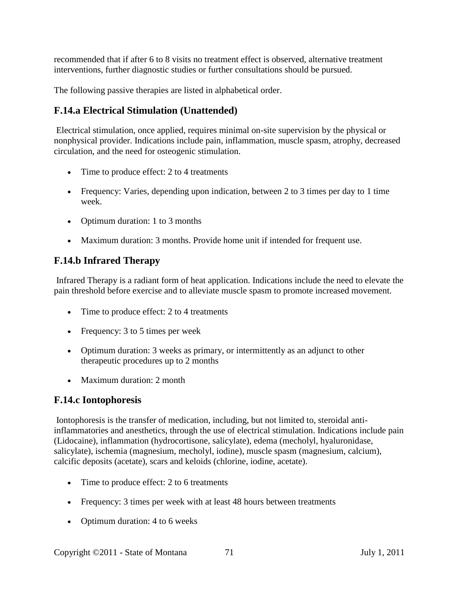recommended that if after 6 to 8 visits no treatment effect is observed, alternative treatment interventions, further diagnostic studies or further consultations should be pursued.

The following passive therapies are listed in alphabetical order.

### **F.14.a Electrical Stimulation (Unattended)**

Electrical stimulation, once applied, requires minimal on-site supervision by the physical or nonphysical provider. Indications include pain, inflammation, muscle spasm, atrophy, decreased circulation, and the need for osteogenic stimulation.

- Time to produce effect: 2 to 4 treatments
- Frequency: Varies, depending upon indication, between 2 to 3 times per day to 1 time week.
- Optimum duration: 1 to 3 months
- Maximum duration: 3 months. Provide home unit if intended for frequent use.

### **F.14.b Infrared Therapy**

Infrared Therapy is a radiant form of heat application. Indications include the need to elevate the pain threshold before exercise and to alleviate muscle spasm to promote increased movement.

- Time to produce effect: 2 to 4 treatments
- Frequency: 3 to 5 times per week
- Optimum duration: 3 weeks as primary, or intermittently as an adjunct to other therapeutic procedures up to 2 months
- Maximum duration: 2 month

## **F.14.c Iontophoresis**

Iontophoresis is the transfer of medication, including, but not limited to, steroidal antiinflammatories and anesthetics, through the use of electrical stimulation. Indications include pain (Lidocaine), inflammation (hydrocortisone, salicylate), edema (mecholyl, hyaluronidase, salicylate), ischemia (magnesium, mecholyl, iodine), muscle spasm (magnesium, calcium), calcific deposits (acetate), scars and keloids (chlorine, iodine, acetate).

- Time to produce effect: 2 to 6 treatments
- Frequency: 3 times per week with at least 48 hours between treatments
- Optimum duration: 4 to 6 weeks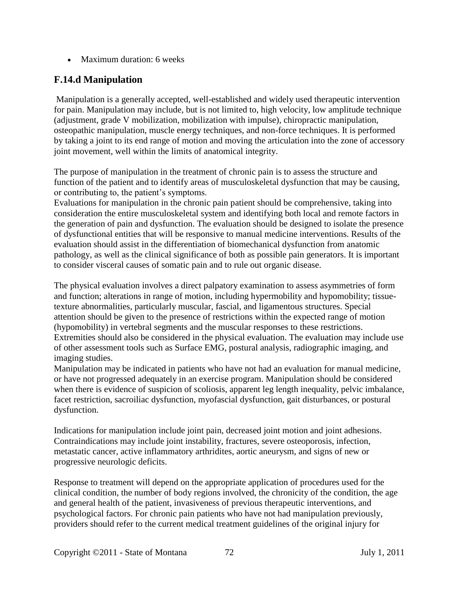• Maximum duration: 6 weeks

# **F.14.d Manipulation**

Manipulation is a generally accepted, well-established and widely used therapeutic intervention for pain. Manipulation may include, but is not limited to, high velocity, low amplitude technique (adjustment, grade V mobilization, mobilization with impulse), chiropractic manipulation, osteopathic manipulation, muscle energy techniques, and non-force techniques. It is performed by taking a joint to its end range of motion and moving the articulation into the zone of accessory joint movement, well within the limits of anatomical integrity.

The purpose of manipulation in the treatment of chronic pain is to assess the structure and function of the patient and to identify areas of musculoskeletal dysfunction that may be causing, or contributing to, the patient's symptoms.

Evaluations for manipulation in the chronic pain patient should be comprehensive, taking into consideration the entire musculoskeletal system and identifying both local and remote factors in the generation of pain and dysfunction. The evaluation should be designed to isolate the presence of dysfunctional entities that will be responsive to manual medicine interventions. Results of the evaluation should assist in the differentiation of biomechanical dysfunction from anatomic pathology, as well as the clinical significance of both as possible pain generators. It is important to consider visceral causes of somatic pain and to rule out organic disease.

The physical evaluation involves a direct palpatory examination to assess asymmetries of form and function; alterations in range of motion, including hypermobility and hypomobility; tissuetexture abnormalities, particularly muscular, fascial, and ligamentous structures. Special attention should be given to the presence of restrictions within the expected range of motion (hypomobility) in vertebral segments and the muscular responses to these restrictions. Extremities should also be considered in the physical evaluation. The evaluation may include use of other assessment tools such as Surface EMG, postural analysis, radiographic imaging, and imaging studies.

Manipulation may be indicated in patients who have not had an evaluation for manual medicine, or have not progressed adequately in an exercise program. Manipulation should be considered when there is evidence of suspicion of scoliosis, apparent leg length inequality, pelvic imbalance, facet restriction, sacroiliac dysfunction, myofascial dysfunction, gait disturbances, or postural dysfunction.

Indications for manipulation include joint pain, decreased joint motion and joint adhesions. Contraindications may include joint instability, fractures, severe osteoporosis, infection, metastatic cancer, active inflammatory arthridites, aortic aneurysm, and signs of new or progressive neurologic deficits.

Response to treatment will depend on the appropriate application of procedures used for the clinical condition, the number of body regions involved, the chronicity of the condition, the age and general health of the patient, invasiveness of previous therapeutic interventions, and psychological factors. For chronic pain patients who have not had manipulation previously, providers should refer to the current medical treatment guidelines of the original injury for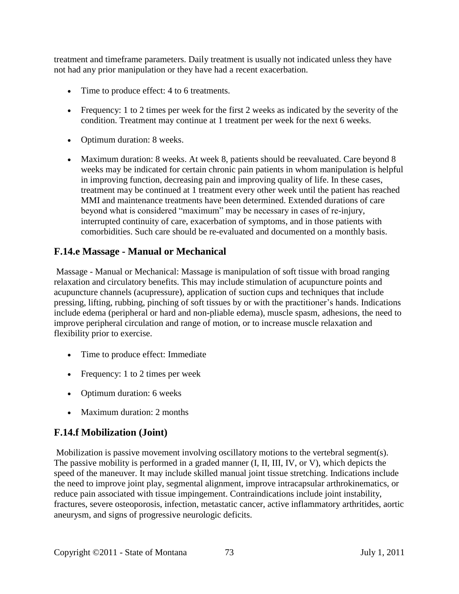treatment and timeframe parameters. Daily treatment is usually not indicated unless they have not had any prior manipulation or they have had a recent exacerbation.

- Time to produce effect: 4 to 6 treatments.
- Frequency: 1 to 2 times per week for the first 2 weeks as indicated by the severity of the condition. Treatment may continue at 1 treatment per week for the next 6 weeks.
- Optimum duration: 8 weeks.
- Maximum duration: 8 weeks. At week 8, patients should be reevaluated. Care beyond 8 weeks may be indicated for certain chronic pain patients in whom manipulation is helpful in improving function, decreasing pain and improving quality of life. In these cases, treatment may be continued at 1 treatment every other week until the patient has reached MMI and maintenance treatments have been determined. Extended durations of care beyond what is considered "maximum" may be necessary in cases of re-injury, interrupted continuity of care, exacerbation of symptoms, and in those patients with comorbidities. Such care should be re-evaluated and documented on a monthly basis.

#### **F.14.e Massage - Manual or Mechanical**

Massage - Manual or Mechanical: Massage is manipulation of soft tissue with broad ranging relaxation and circulatory benefits. This may include stimulation of acupuncture points and acupuncture channels (acupressure), application of suction cups and techniques that include pressing, lifting, rubbing, pinching of soft tissues by or with the practitioner's hands. Indications include edema (peripheral or hard and non-pliable edema), muscle spasm, adhesions, the need to improve peripheral circulation and range of motion, or to increase muscle relaxation and flexibility prior to exercise.

- Time to produce effect: Immediate
- Frequency: 1 to 2 times per week
- Optimum duration: 6 weeks
- Maximum duration: 2 months

#### **F.14.f Mobilization (Joint)**

Mobilization is passive movement involving oscillatory motions to the vertebral segment(s). The passive mobility is performed in a graded manner (I, II, III, IV, or V), which depicts the speed of the maneuver. It may include skilled manual joint tissue stretching. Indications include the need to improve joint play, segmental alignment, improve intracapsular arthrokinematics, or reduce pain associated with tissue impingement. Contraindications include joint instability, fractures, severe osteoporosis, infection, metastatic cancer, active inflammatory arthritides, aortic aneurysm, and signs of progressive neurologic deficits.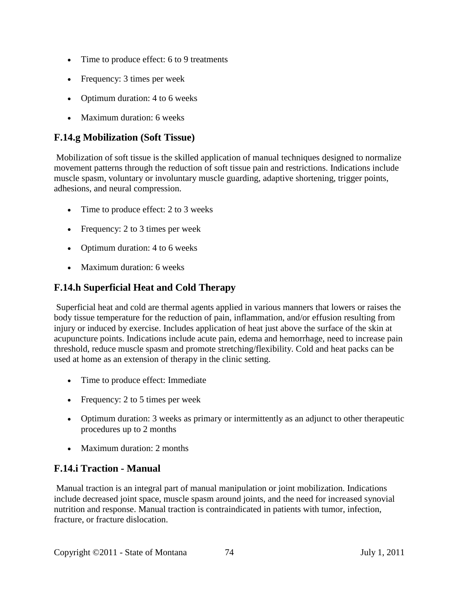- Time to produce effect: 6 to 9 treatments
- Frequency: 3 times per week
- Optimum duration: 4 to 6 weeks
- Maximum duration: 6 weeks

## **F.14.g Mobilization (Soft Tissue)**

Mobilization of soft tissue is the skilled application of manual techniques designed to normalize movement patterns through the reduction of soft tissue pain and restrictions. Indications include muscle spasm, voluntary or involuntary muscle guarding, adaptive shortening, trigger points, adhesions, and neural compression.

- Time to produce effect: 2 to 3 weeks
- Frequency: 2 to 3 times per week
- Optimum duration: 4 to 6 weeks
- Maximum duration: 6 weeks

### **F.14.h Superficial Heat and Cold Therapy**

Superficial heat and cold are thermal agents applied in various manners that lowers or raises the body tissue temperature for the reduction of pain, inflammation, and/or effusion resulting from injury or induced by exercise. Includes application of heat just above the surface of the skin at acupuncture points. Indications include acute pain, edema and hemorrhage, need to increase pain threshold, reduce muscle spasm and promote stretching/flexibility. Cold and heat packs can be used at home as an extension of therapy in the clinic setting.

- Time to produce effect: Immediate
- Frequency: 2 to 5 times per week
- Optimum duration: 3 weeks as primary or intermittently as an adjunct to other therapeutic procedures up to 2 months
- Maximum duration: 2 months

#### **F.14.i Traction - Manual**

Manual traction is an integral part of manual manipulation or joint mobilization. Indications include decreased joint space, muscle spasm around joints, and the need for increased synovial nutrition and response. Manual traction is contraindicated in patients with tumor, infection, fracture, or fracture dislocation.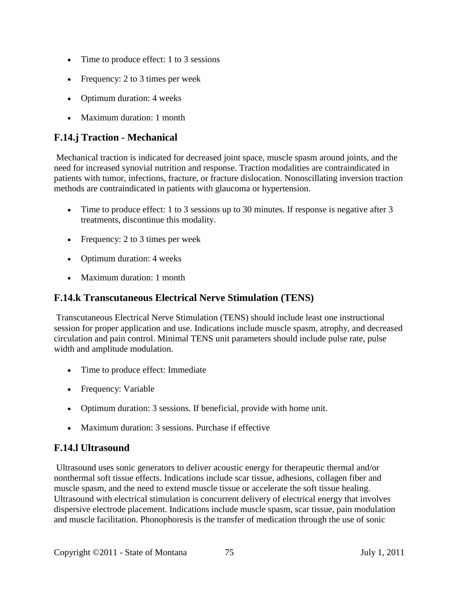- Time to produce effect: 1 to 3 sessions
- Frequency: 2 to 3 times per week
- Optimum duration: 4 weeks
- Maximum duration: 1 month

# **F.14.j Traction - Mechanical**

Mechanical traction is indicated for decreased joint space, muscle spasm around joints, and the need for increased synovial nutrition and response. Traction modalities are contraindicated in patients with tumor, infections, fracture, or fracture dislocation. Nonoscillating inversion traction methods are contraindicated in patients with glaucoma or hypertension.

- Time to produce effect: 1 to 3 sessions up to 30 minutes. If response is negative after 3 treatments, discontinue this modality.
- Frequency: 2 to 3 times per week
- Optimum duration: 4 weeks
- Maximum duration: 1 month

#### **F.14.k Transcutaneous Electrical Nerve Stimulation (TENS)**

Transcutaneous Electrical Nerve Stimulation (TENS) should include least one instructional session for proper application and use. Indications include muscle spasm, atrophy, and decreased circulation and pain control. Minimal TENS unit parameters should include pulse rate, pulse width and amplitude modulation.

- Time to produce effect: Immediate
- Frequency: Variable
- Optimum duration: 3 sessions. If beneficial, provide with home unit.
- Maximum duration: 3 sessions. Purchase if effective

#### **F.14.l Ultrasound**

Ultrasound uses sonic generators to deliver acoustic energy for therapeutic thermal and/or nonthermal soft tissue effects. Indications include scar tissue, adhesions, collagen fiber and muscle spasm, and the need to extend muscle tissue or accelerate the soft tissue healing. Ultrasound with electrical stimulation is concurrent delivery of electrical energy that involves dispersive electrode placement. Indications include muscle spasm, scar tissue, pain modulation and muscle facilitation. Phonophoresis is the transfer of medication through the use of sonic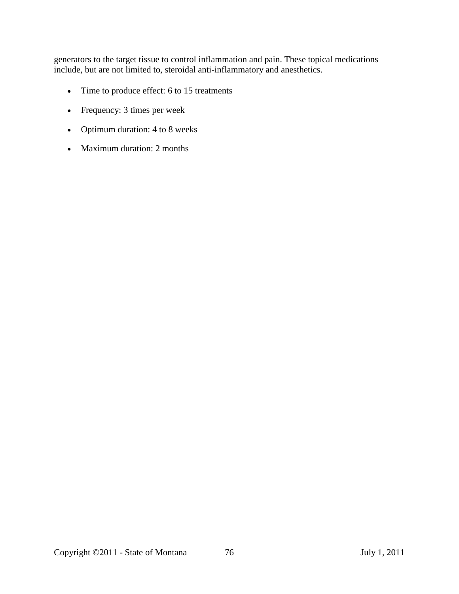generators to the target tissue to control inflammation and pain. These topical medications include, but are not limited to, steroidal anti-inflammatory and anesthetics.

- Time to produce effect: 6 to 15 treatments
- Frequency: 3 times per week
- Optimum duration: 4 to 8 weeks
- Maximum duration: 2 months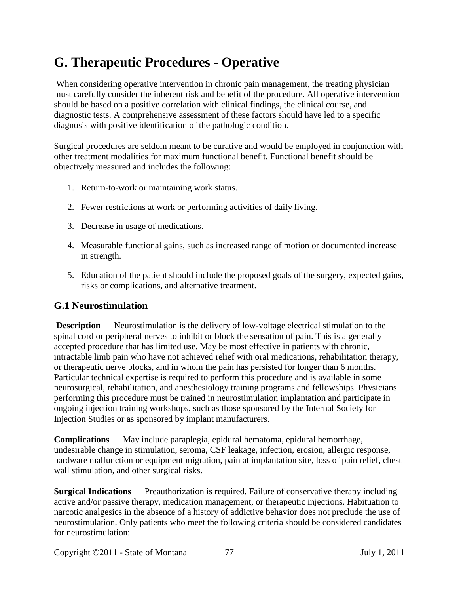# **G. Therapeutic Procedures - Operative**

When considering operative intervention in chronic pain management, the treating physician must carefully consider the inherent risk and benefit of the procedure. All operative intervention should be based on a positive correlation with clinical findings, the clinical course, and diagnostic tests. A comprehensive assessment of these factors should have led to a specific diagnosis with positive identification of the pathologic condition.

Surgical procedures are seldom meant to be curative and would be employed in conjunction with other treatment modalities for maximum functional benefit. Functional benefit should be objectively measured and includes the following:

- 1. Return-to-work or maintaining work status.
- 2. Fewer restrictions at work or performing activities of daily living.
- 3. Decrease in usage of medications.
- 4. Measurable functional gains, such as increased range of motion or documented increase in strength.
- 5. Education of the patient should include the proposed goals of the surgery, expected gains, risks or complications, and alternative treatment.

#### **G.1 Neurostimulation**

**Description** — Neurostimulation is the delivery of low-voltage electrical stimulation to the spinal cord or peripheral nerves to inhibit or block the sensation of pain. This is a generally accepted procedure that has limited use. May be most effective in patients with chronic, intractable limb pain who have not achieved relief with oral medications, rehabilitation therapy, or therapeutic nerve blocks, and in whom the pain has persisted for longer than 6 months. Particular technical expertise is required to perform this procedure and is available in some neurosurgical, rehabilitation, and anesthesiology training programs and fellowships. Physicians performing this procedure must be trained in neurostimulation implantation and participate in ongoing injection training workshops, such as those sponsored by the Internal Society for Injection Studies or as sponsored by implant manufacturers.

**Complications** — May include paraplegia, epidural hematoma, epidural hemorrhage, undesirable change in stimulation, seroma, CSF leakage, infection, erosion, allergic response, hardware malfunction or equipment migration, pain at implantation site, loss of pain relief, chest wall stimulation, and other surgical risks.

**Surgical Indications** — Preauthorization is required. Failure of conservative therapy including active and/or passive therapy, medication management, or therapeutic injections. Habituation to narcotic analgesics in the absence of a history of addictive behavior does not preclude the use of neurostimulation. Only patients who meet the following criteria should be considered candidates for neurostimulation: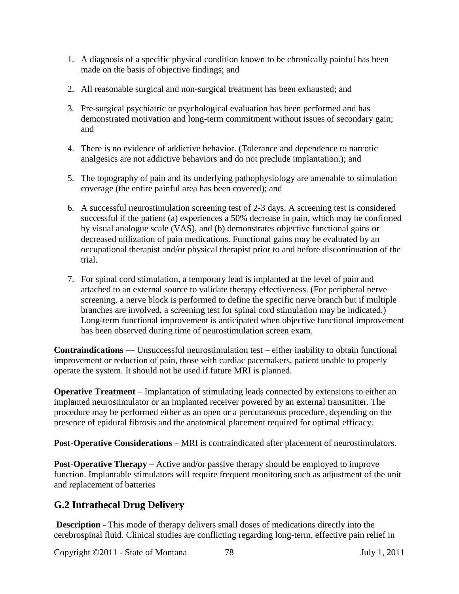- 1. A diagnosis of a specific physical condition known to be chronically painful has been made on the basis of objective findings; and
- 2. All reasonable surgical and non-surgical treatment has been exhausted; and
- 3. Pre-surgical psychiatric or psychological evaluation has been performed and has demonstrated motivation and long-term commitment without issues of secondary gain; and
- 4. There is no evidence of addictive behavior. (Tolerance and dependence to narcotic analgesics are not addictive behaviors and do not preclude implantation.); and
- 5. The topography of pain and its underlying pathophysiology are amenable to stimulation coverage (the entire painful area has been covered); and
- 6. A successful neurostimulation screening test of 2-3 days. A screening test is considered successful if the patient (a) experiences a 50% decrease in pain, which may be confirmed by visual analogue scale (VAS), and (b) demonstrates objective functional gains or decreased utilization of pain medications. Functional gains may be evaluated by an occupational therapist and/or physical therapist prior to and before discontinuation of the trial.
- 7. For spinal cord stimulation, a temporary lead is implanted at the level of pain and attached to an external source to validate therapy effectiveness. (For peripheral nerve screening, a nerve block is performed to define the specific nerve branch but if multiple branches are involved, a screening test for spinal cord stimulation may be indicated.) Long-term functional improvement is anticipated when objective functional improvement has been observed during time of neurostimulation screen exam.

**Contraindications** — Unsuccessful neurostimulation test – either inability to obtain functional improvement or reduction of pain, those with cardiac pacemakers, patient unable to properly operate the system. It should not be used if future MRI is planned.

**Operative Treatment** – Implantation of stimulating leads connected by extensions to either an implanted neurostimulator or an implanted receiver powered by an external transmitter. The procedure may be performed either as an open or a percutaneous procedure, depending on the presence of epidural fibrosis and the anatomical placement required for optimal efficacy.

**Post-Operative Considerations** – MRI is contraindicated after placement of neurostimulators.

**Post-Operative Therapy** – Active and/or passive therapy should be employed to improve function. Implantable stimulators will require frequent monitoring such as adjustment of the unit and replacement of batteries

# **G.2 Intrathecal Drug Delivery**

**Description** - This mode of therapy delivers small doses of medications directly into the cerebrospinal fluid. Clinical studies are conflicting regarding long-term, effective pain relief in

Copyright ©2011 - State of Montana 78 July 1, 2011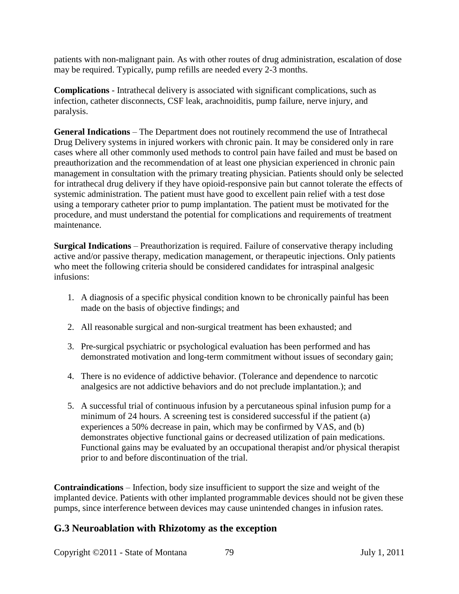patients with non-malignant pain. As with other routes of drug administration, escalation of dose may be required. Typically, pump refills are needed every 2-3 months.

**Complications** - Intrathecal delivery is associated with significant complications, such as infection, catheter disconnects, CSF leak, arachnoiditis, pump failure, nerve injury, and paralysis.

**General Indications** – The Department does not routinely recommend the use of Intrathecal Drug Delivery systems in injured workers with chronic pain. It may be considered only in rare cases where all other commonly used methods to control pain have failed and must be based on preauthorization and the recommendation of at least one physician experienced in chronic pain management in consultation with the primary treating physician. Patients should only be selected for intrathecal drug delivery if they have opioid-responsive pain but cannot tolerate the effects of systemic administration. The patient must have good to excellent pain relief with a test dose using a temporary catheter prior to pump implantation. The patient must be motivated for the procedure, and must understand the potential for complications and requirements of treatment maintenance.

**Surgical Indications** – Preauthorization is required. Failure of conservative therapy including active and/or passive therapy, medication management, or therapeutic injections. Only patients who meet the following criteria should be considered candidates for intraspinal analgesic infusions:

- 1. A diagnosis of a specific physical condition known to be chronically painful has been made on the basis of objective findings; and
- 2. All reasonable surgical and non-surgical treatment has been exhausted; and
- 3. Pre-surgical psychiatric or psychological evaluation has been performed and has demonstrated motivation and long-term commitment without issues of secondary gain;
- 4. There is no evidence of addictive behavior. (Tolerance and dependence to narcotic analgesics are not addictive behaviors and do not preclude implantation.); and
- 5. A successful trial of continuous infusion by a percutaneous spinal infusion pump for a minimum of 24 hours. A screening test is considered successful if the patient (a) experiences a 50% decrease in pain, which may be confirmed by VAS, and (b) demonstrates objective functional gains or decreased utilization of pain medications. Functional gains may be evaluated by an occupational therapist and/or physical therapist prior to and before discontinuation of the trial.

**Contraindications** – Infection, body size insufficient to support the size and weight of the implanted device. Patients with other implanted programmable devices should not be given these pumps, since interference between devices may cause unintended changes in infusion rates.

#### **G.3 Neuroablation with Rhizotomy as the exception**

Copyright ©2011 - State of Montana 79 July 1, 2011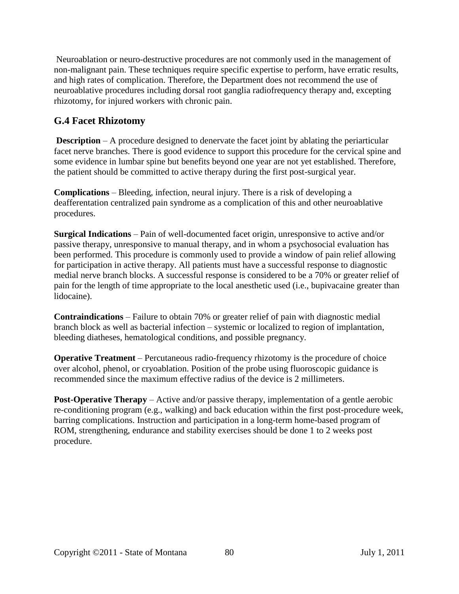Neuroablation or neuro-destructive procedures are not commonly used in the management of non-malignant pain. These techniques require specific expertise to perform, have erratic results, and high rates of complication. Therefore, the Department does not recommend the use of neuroablative procedures including dorsal root ganglia radiofrequency therapy and, excepting rhizotomy, for injured workers with chronic pain.

# **G.4 Facet Rhizotomy**

**Description** – A procedure designed to denervate the facet joint by ablating the periarticular facet nerve branches. There is good evidence to support this procedure for the cervical spine and some evidence in lumbar spine but benefits beyond one year are not yet established. Therefore, the patient should be committed to active therapy during the first post-surgical year.

**Complications** – Bleeding, infection, neural injury. There is a risk of developing a deafferentation centralized pain syndrome as a complication of this and other neuroablative procedures.

**Surgical Indications** – Pain of well-documented facet origin, unresponsive to active and/or passive therapy, unresponsive to manual therapy, and in whom a psychosocial evaluation has been performed. This procedure is commonly used to provide a window of pain relief allowing for participation in active therapy. All patients must have a successful response to diagnostic medial nerve branch blocks. A successful response is considered to be a 70% or greater relief of pain for the length of time appropriate to the local anesthetic used (i.e., bupivacaine greater than lidocaine).

**Contraindications** – Failure to obtain 70% or greater relief of pain with diagnostic medial branch block as well as bacterial infection – systemic or localized to region of implantation, bleeding diatheses, hematological conditions, and possible pregnancy.

**Operative Treatment** – Percutaneous radio-frequency rhizotomy is the procedure of choice over alcohol, phenol, or cryoablation. Position of the probe using fluoroscopic guidance is recommended since the maximum effective radius of the device is 2 millimeters.

**Post-Operative Therapy** – Active and/or passive therapy, implementation of a gentle aerobic re-conditioning program (e.g., walking) and back education within the first post-procedure week, barring complications. Instruction and participation in a long-term home-based program of ROM, strengthening, endurance and stability exercises should be done 1 to 2 weeks post procedure.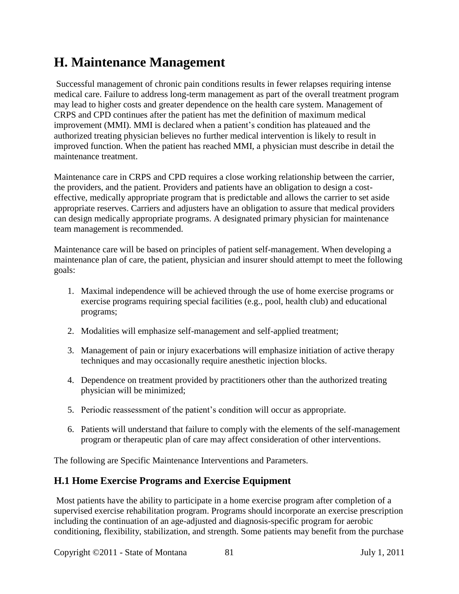# **H. Maintenance Management**

Successful management of chronic pain conditions results in fewer relapses requiring intense medical care. Failure to address long-term management as part of the overall treatment program may lead to higher costs and greater dependence on the health care system. Management of CRPS and CPD continues after the patient has met the definition of maximum medical improvement (MMI). MMI is declared when a patient's condition has plateaued and the authorized treating physician believes no further medical intervention is likely to result in improved function. When the patient has reached MMI, a physician must describe in detail the maintenance treatment.

Maintenance care in CRPS and CPD requires a close working relationship between the carrier, the providers, and the patient. Providers and patients have an obligation to design a costeffective, medically appropriate program that is predictable and allows the carrier to set aside appropriate reserves. Carriers and adjusters have an obligation to assure that medical providers can design medically appropriate programs. A designated primary physician for maintenance team management is recommended.

Maintenance care will be based on principles of patient self-management. When developing a maintenance plan of care, the patient, physician and insurer should attempt to meet the following goals:

- 1. Maximal independence will be achieved through the use of home exercise programs or exercise programs requiring special facilities (e.g., pool, health club) and educational programs;
- 2. Modalities will emphasize self-management and self-applied treatment;
- 3. Management of pain or injury exacerbations will emphasize initiation of active therapy techniques and may occasionally require anesthetic injection blocks.
- 4. Dependence on treatment provided by practitioners other than the authorized treating physician will be minimized;
- 5. Periodic reassessment of the patient's condition will occur as appropriate.
- 6. Patients will understand that failure to comply with the elements of the self-management program or therapeutic plan of care may affect consideration of other interventions.

The following are Specific Maintenance Interventions and Parameters.

#### **H.1 Home Exercise Programs and Exercise Equipment**

Most patients have the ability to participate in a home exercise program after completion of a supervised exercise rehabilitation program. Programs should incorporate an exercise prescription including the continuation of an age-adjusted and diagnosis-specific program for aerobic conditioning, flexibility, stabilization, and strength. Some patients may benefit from the purchase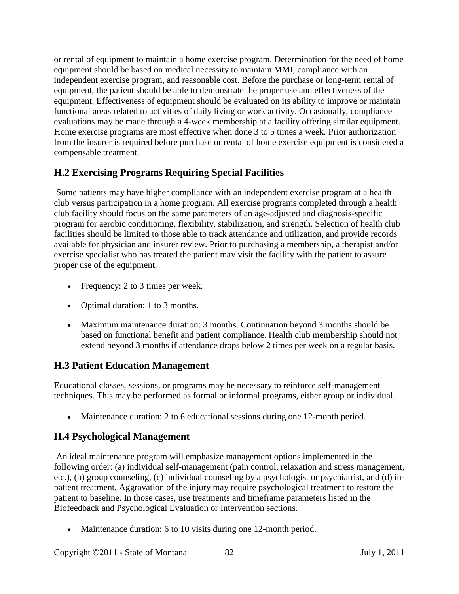or rental of equipment to maintain a home exercise program. Determination for the need of home equipment should be based on medical necessity to maintain MMI, compliance with an independent exercise program, and reasonable cost. Before the purchase or long-term rental of equipment, the patient should be able to demonstrate the proper use and effectiveness of the equipment. Effectiveness of equipment should be evaluated on its ability to improve or maintain functional areas related to activities of daily living or work activity. Occasionally, compliance evaluations may be made through a 4-week membership at a facility offering similar equipment. Home exercise programs are most effective when done 3 to 5 times a week. Prior authorization from the insurer is required before purchase or rental of home exercise equipment is considered a compensable treatment.

# **H.2 Exercising Programs Requiring Special Facilities**

Some patients may have higher compliance with an independent exercise program at a health club versus participation in a home program. All exercise programs completed through a health club facility should focus on the same parameters of an age-adjusted and diagnosis-specific program for aerobic conditioning, flexibility, stabilization, and strength. Selection of health club facilities should be limited to those able to track attendance and utilization, and provide records available for physician and insurer review. Prior to purchasing a membership, a therapist and/or exercise specialist who has treated the patient may visit the facility with the patient to assure proper use of the equipment.

- Frequency: 2 to 3 times per week.
- Optimal duration: 1 to 3 months.
- Maximum maintenance duration: 3 months. Continuation beyond 3 months should be based on functional benefit and patient compliance. Health club membership should not extend beyond 3 months if attendance drops below 2 times per week on a regular basis.

# **H.3 Patient Education Management**

Educational classes, sessions, or programs may be necessary to reinforce self-management techniques. This may be performed as formal or informal programs, either group or individual.

• Maintenance duration: 2 to 6 educational sessions during one 12-month period.

# **H.4 Psychological Management**

An ideal maintenance program will emphasize management options implemented in the following order: (a) individual self-management (pain control, relaxation and stress management, etc.), (b) group counseling, (c) individual counseling by a psychologist or psychiatrist, and (d) inpatient treatment. Aggravation of the injury may require psychological treatment to restore the patient to baseline. In those cases, use treatments and timeframe parameters listed in the Biofeedback and Psychological Evaluation or Intervention sections.

• Maintenance duration: 6 to 10 visits during one 12-month period.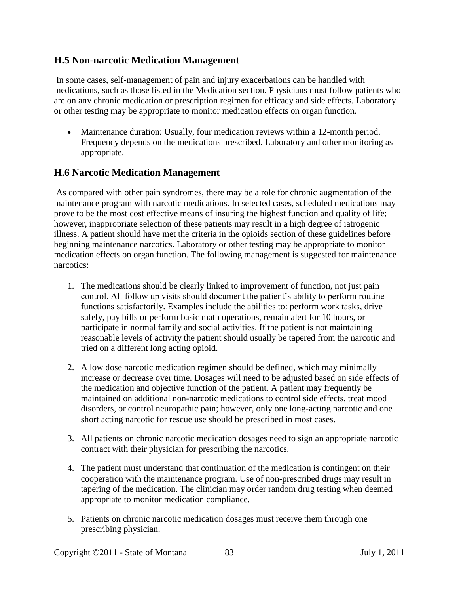#### **H.5 Non-narcotic Medication Management**

In some cases, self-management of pain and injury exacerbations can be handled with medications, such as those listed in the Medication section. Physicians must follow patients who are on any chronic medication or prescription regimen for efficacy and side effects. Laboratory or other testing may be appropriate to monitor medication effects on organ function.

• Maintenance duration: Usually, four medication reviews within a 12-month period. Frequency depends on the medications prescribed. Laboratory and other monitoring as appropriate.

### **H.6 Narcotic Medication Management**

As compared with other pain syndromes, there may be a role for chronic augmentation of the maintenance program with narcotic medications. In selected cases, scheduled medications may prove to be the most cost effective means of insuring the highest function and quality of life; however, inappropriate selection of these patients may result in a high degree of iatrogenic illness. A patient should have met the criteria in the opioids section of these guidelines before beginning maintenance narcotics. Laboratory or other testing may be appropriate to monitor medication effects on organ function. The following management is suggested for maintenance narcotics:

- 1. The medications should be clearly linked to improvement of function, not just pain control. All follow up visits should document the patient's ability to perform routine functions satisfactorily. Examples include the abilities to: perform work tasks, drive safely, pay bills or perform basic math operations, remain alert for 10 hours, or participate in normal family and social activities. If the patient is not maintaining reasonable levels of activity the patient should usually be tapered from the narcotic and tried on a different long acting opioid.
- 2. A low dose narcotic medication regimen should be defined, which may minimally increase or decrease over time. Dosages will need to be adjusted based on side effects of the medication and objective function of the patient. A patient may frequently be maintained on additional non-narcotic medications to control side effects, treat mood disorders, or control neuropathic pain; however, only one long-acting narcotic and one short acting narcotic for rescue use should be prescribed in most cases.
- 3. All patients on chronic narcotic medication dosages need to sign an appropriate narcotic contract with their physician for prescribing the narcotics.
- 4. The patient must understand that continuation of the medication is contingent on their cooperation with the maintenance program. Use of non-prescribed drugs may result in tapering of the medication. The clinician may order random drug testing when deemed appropriate to monitor medication compliance.
- 5. Patients on chronic narcotic medication dosages must receive them through one prescribing physician.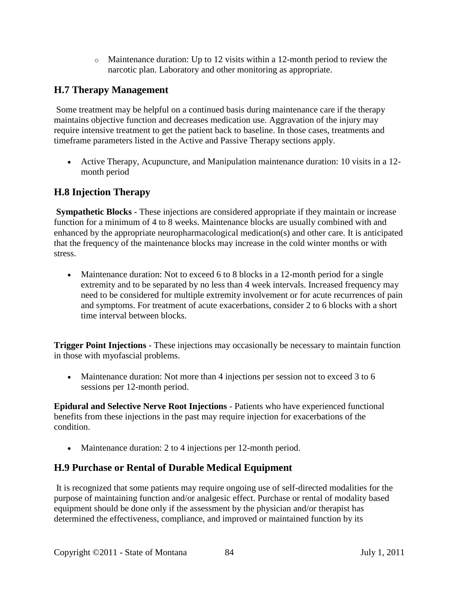$\circ$  Maintenance duration: Up to 12 visits within a 12-month period to review the narcotic plan. Laboratory and other monitoring as appropriate.

# **H.7 Therapy Management**

Some treatment may be helpful on a continued basis during maintenance care if the therapy maintains objective function and decreases medication use. Aggravation of the injury may require intensive treatment to get the patient back to baseline. In those cases, treatments and timeframe parameters listed in the Active and Passive Therapy sections apply.

• Active Therapy, Acupuncture, and Manipulation maintenance duration: 10 visits in a 12month period

# **H.8 Injection Therapy**

**Sympathetic Blocks** - These injections are considered appropriate if they maintain or increase function for a minimum of 4 to 8 weeks. Maintenance blocks are usually combined with and enhanced by the appropriate neuropharmacological medication(s) and other care. It is anticipated that the frequency of the maintenance blocks may increase in the cold winter months or with stress.

• Maintenance duration: Not to exceed 6 to 8 blocks in a 12-month period for a single extremity and to be separated by no less than 4 week intervals. Increased frequency may need to be considered for multiple extremity involvement or for acute recurrences of pain and symptoms. For treatment of acute exacerbations, consider 2 to 6 blocks with a short time interval between blocks.

**Trigger Point Injections** - These injections may occasionally be necessary to maintain function in those with myofascial problems.

• Maintenance duration: Not more than 4 injections per session not to exceed 3 to 6 sessions per 12-month period.

**Epidural and Selective Nerve Root Injections** - Patients who have experienced functional benefits from these injections in the past may require injection for exacerbations of the condition.

• Maintenance duration: 2 to 4 injections per 12-month period.

# **H.9 Purchase or Rental of Durable Medical Equipment**

It is recognized that some patients may require ongoing use of self-directed modalities for the purpose of maintaining function and/or analgesic effect. Purchase or rental of modality based equipment should be done only if the assessment by the physician and/or therapist has determined the effectiveness, compliance, and improved or maintained function by its